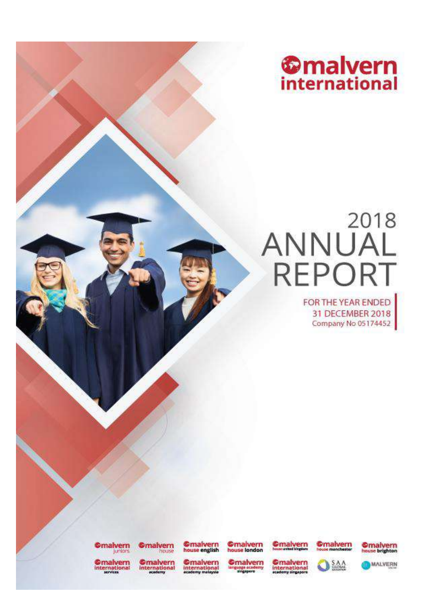

# ANNUAL **REPORT**

FOR THE YEAR ENDED 31 DECEMBER 2018 Company No 05174452

**Omalvern** 

**Omalvern** 

**Omaivern**<br>house english

**Omalvern**<br>house london

**C**malvern **Omalvern O** SAA





**Omalvern**<br>international

**Omalvern**<br>international

**Omalvern**<br>international<br>eadeny malaysia

**Omalvern** 

Omalvern<br>international

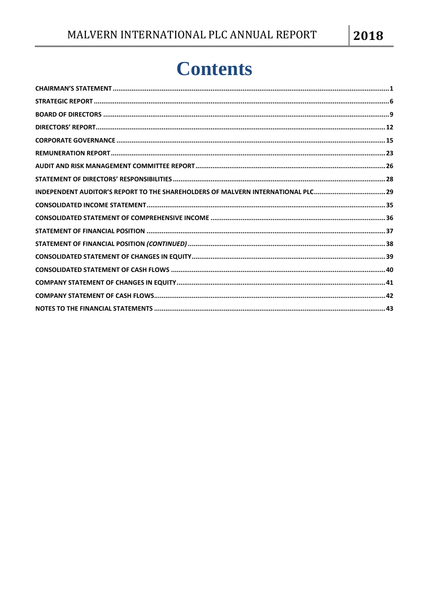# **Contents**

| INDEPENDENT AUDITOR'S REPORT TO THE SHAREHOLDERS OF MALVERN INTERNATIONAL PLC |  |
|-------------------------------------------------------------------------------|--|
|                                                                               |  |
|                                                                               |  |
|                                                                               |  |
|                                                                               |  |
|                                                                               |  |
|                                                                               |  |
|                                                                               |  |
|                                                                               |  |
|                                                                               |  |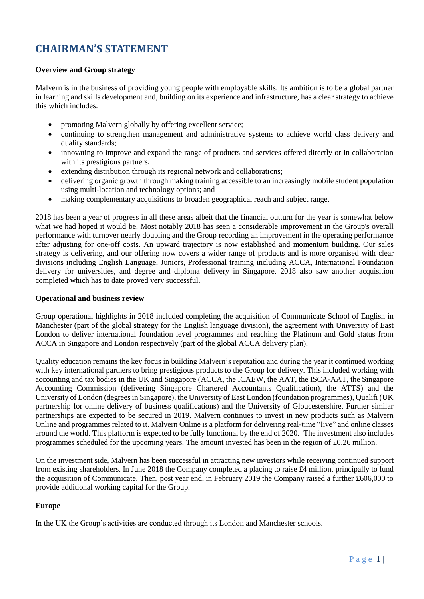### <span id="page-2-0"></span>**CHAIRMAN'S STATEMENT**

### **Overview and Group strategy**

Malvern is in the business of providing young people with employable skills. Its ambition is to be a global partner in learning and skills development and, building on its experience and infrastructure, has a clear strategy to achieve this which includes:

- promoting Malvern globally by offering excellent service;
- continuing to strengthen management and administrative systems to achieve world class delivery and quality standards;
- innovating to improve and expand the range of products and services offered directly or in collaboration with its prestigious partners;
- extending distribution through its regional network and collaborations;
- delivering organic growth through making training accessible to an increasingly mobile student population using multi-location and technology options; and
- making complementary acquisitions to broaden geographical reach and subject range.

2018 has been a year of progress in all these areas albeit that the financial outturn for the year is somewhat below what we had hoped it would be. Most notably 2018 has seen a considerable improvement in the Group's overall performance with turnover nearly doubling and the Group recording an improvement in the operating performance after adjusting for one-off costs. An upward trajectory is now established and momentum building. Our sales strategy is delivering, and our offering now covers a wider range of products and is more organised with clear divisions including English Language, Juniors, Professional training including ACCA, International Foundation delivery for universities, and degree and diploma delivery in Singapore. 2018 also saw another acquisition completed which has to date proved very successful.

### **Operational and business review**

Group operational highlights in 2018 included completing the acquisition of Communicate School of English in Manchester (part of the global strategy for the English language division), the agreement with University of East London to deliver international foundation level programmes and reaching the Platinum and Gold status from ACCA in Singapore and London respectively (part of the global ACCA delivery plan).

Quality education remains the key focus in building Malvern's reputation and during the year it continued working with key international partners to bring prestigious products to the Group for delivery. This included working with accounting and tax bodies in the UK and Singapore (ACCA, the ICAEW, the AAT, the ISCA-AAT, the Singapore Accounting Commission (delivering Singapore Chartered Accountants Qualification), the ATTS) and the University of London (degrees in Singapore), the University of East London (foundation programmes), Qualifi (UK partnership for online delivery of business qualifications) and the University of Gloucestershire. Further similar partnerships are expected to be secured in 2019. Malvern continues to invest in new products such as Malvern Online and programmes related to it. Malvern Online is a platform for delivering real-time "live" and online classes around the world. This platform is expected to be fully functional by the end of 2020. The investment also includes programmes scheduled for the upcoming years. The amount invested has been in the region of £0.26 million.

On the investment side, Malvern has been successful in attracting new investors while receiving continued support from existing shareholders. In June 2018 the Company completed a placing to raise £4 million, principally to fund the acquisition of Communicate. Then, post year end, in February 2019 the Company raised a further £606,000 to provide additional working capital for the Group.

### **Europe**

In the UK the Group's activities are conducted through its London and Manchester schools.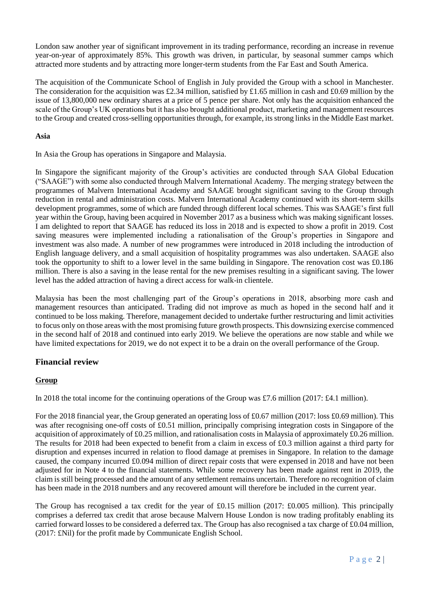London saw another year of significant improvement in its trading performance, recording an increase in revenue year-on-year of approximately 85%. This growth was driven, in particular, by seasonal summer camps which attracted more students and by attracting more longer-term students from the Far East and South America.

The acquisition of the Communicate School of English in July provided the Group with a school in Manchester. The consideration for the acquisition was £2.34 million, satisfied by £1.65 million in cash and £0.69 million by the issue of 13,800,000 new ordinary shares at a price of 5 pence per share. Not only has the acquisition enhanced the scale of the Group's UK operations but it has also brought additional product, marketing and management resources to the Group and created cross-selling opportunities through, for example, its strong links in the Middle East market.

### **Asia**

In Asia the Group has operations in Singapore and Malaysia.

In Singapore the significant majority of the Group's activities are conducted through SAA Global Education ("SAAGE") with some also conducted through Malvern International Academy. The merging strategy between the programmes of Malvern International Academy and SAAGE brought significant saving to the Group through reduction in rental and administration costs. Malvern International Academy continued with its short-term skills development programmes, some of which are funded through different local schemes. This was SAAGE's first full year within the Group, having been acquired in November 2017 as a business which was making significant losses. I am delighted to report that SAAGE has reduced its loss in 2018 and is expected to show a profit in 2019. Cost saving measures were implemented including a rationalisation of the Group's properties in Singapore and investment was also made. A number of new programmes were introduced in 2018 including the introduction of English language delivery, and a small acquisition of hospitality programmes was also undertaken. SAAGE also took the opportunity to shift to a lower level in the same building in Singapore. The renovation cost was £0.186 million. There is also a saving in the lease rental for the new premises resulting in a significant saving. The lower level has the added attraction of having a direct access for walk-in clientele.

Malaysia has been the most challenging part of the Group's operations in 2018, absorbing more cash and management resources than anticipated. Trading did not improve as much as hoped in the second half and it continued to be loss making. Therefore, management decided to undertake further restructuring and limit activities to focus only on those areas with the most promising future growth prospects. This downsizing exercise commenced in the second half of 2018 and continued into early 2019. We believe the operations are now stable and while we have limited expectations for 2019, we do not expect it to be a drain on the overall performance of the Group.

### **Financial review**

### **Group**

In 2018 the total income for the continuing operations of the Group was £7.6 million (2017: £4.1 million).

For the 2018 financial year, the Group generated an operating loss of £0.67 million (2017: loss £0.69 million). This was after recognising one-off costs of £0.51 million, principally comprising integration costs in Singapore of the acquisition of approximately of £0.25 million, and rationalisation costs in Malaysia of approximately £0.26 million. The results for 2018 had been expected to benefit from a claim in excess of £0.3 million against a third party for disruption and expenses incurred in relation to flood damage at premises in Singapore. In relation to the damage caused, the company incurred £0.094 million of direct repair costs that were expensed in 2018 and have not been adjusted for in Note 4 to the financial statements. While some recovery has been made against rent in 2019, the claim is still being processed and the amount of any settlement remains uncertain. Therefore no recognition of claim has been made in the 2018 numbers and any recovered amount will therefore be included in the current year.

The Group has recognised a tax credit for the year of £0.15 million (2017: £0.005 million). This principally comprises a deferred tax credit that arose because Malvern House London is now trading profitably enabling its carried forward losses to be considered a deferred tax. The Group has also recognised a tax charge of £0.04 million, (2017: £Nil) for the profit made by Communicate English School.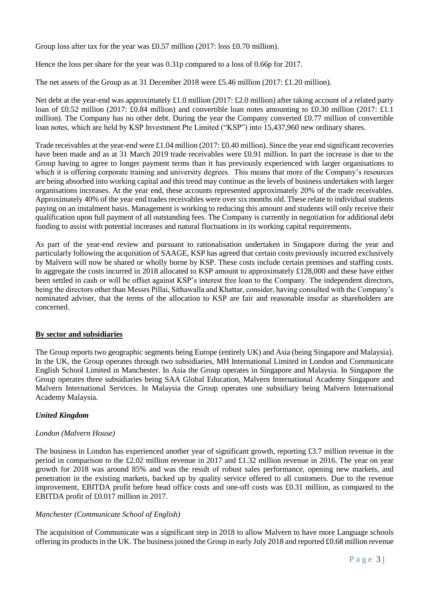Group loss after tax for the year was £0.57 million (2017: loss £0.70 million).

Hence the loss per share for the year was 0.31p compared to a loss of 0.66p for 2017.

The net assets of the Group as at 31 December 2018 were £5.46 million (2017: £1.20 million).

Net debt at the year-end was approximately £1.0 million (2017: £2.0 million) after taking account of a related party loan of £0.52 million (2017: £0.84 million) and convertible loan notes amounting to £0.30 million (2017: £1.1) million). The Company has no other debt. During the year the Company converted £0.77 million of convertible loan notes, which are held by KSP Investment Pte Limited ("KSP") into 15,437,960 new ordinary shares.

Trade receivables at the year-end were £1.04 million (2017: £0.40 million). Since the year end significant recoveries have been made and as at 31 March 2019 trade receivables were £0.91 million. In part the increase is due to the Group having to agree to longer payment terms than it has previously experienced with larger organisations to which it is offering corporate training and university degrees. This means that more of the Company's resources are being absorbed into working capital and this trend may continue as the levels of business undertaken with larger organisations increases. At the year end, these accounts represented approximately 20% of the trade receivables. Approximately 40% of the year end trades receivables were over six months old. These relate to individual students paying on an instalment basis. Management is working to reducing this amount and students will only receive their qualification upon full payment of all outstanding fees. The Company is currently in negotiation for additional debt funding to assist with potential increases and natural fluctuations in its working capital requirements.

As part of the year-end review and pursuant to rationalisation undertaken in Singapore during the year and particularly following the acquisition of SAAGE, KSP has agreed that certain costs previously incurred exclusively by Malvern will now be shared or wholly borne by KSP. These costs include certain premises and staffing costs. In aggregate the costs incurred in 2018 allocated to KSP amount to approximately £128,000 and these have either been settled in cash or will be offset against KSP's interest free loan to the Company. The independent directors, being the directors other than Messrs Pillai, Sithawalla and Khattar, consider, having consulted with the Company's nominated adviser, that the terms of the allocation to KSP are fair and reasonable insofar as shareholders are concerned.

### **By sector and subsidiaries**

The Group reports two geographic segments being Europe (entirely UK) and Asia (being Singapore and Malaysia). In the UK, the Group operates through two subsidiaries, MH International Limited in London and Communicate English School Limited in Manchester. In Asia the Group operates in Singapore and Malaysia. In Singapore the Group operates three subsidiaries being SAA Global Education, Malvern International Academy Singapore and Malvern International Services. In Malaysia the Group operates one subsidiary being Malvern International Academy Malaysia.

### *United Kingdom*

### *London (Malvern House)*

The business in London has experienced another year of significant growth, reporting  $\pounds 3.7$  million revenue in the period in comparison to the £2.02 million revenue in 2017 and £1.32 million revenue in 2016. The year on year growth for 2018 was around 85% and was the result of robust sales performance, opening new markets, and penetration in the existing markets, backed up by quality service offered to all customers. Due to the revenue improvement, EBITDA profit before head office costs and one-off costs was £0.31 million, as compared to the EBITDA profit of £0.017 million in 2017.

### *Manchester (Communicate School of English)*

The acquisition of Communicate was a significant step in 2018 to allow Malvern to have more Language schools offering its products in the UK. The business joined the Group in early July 2018 and reported £0.68 million revenue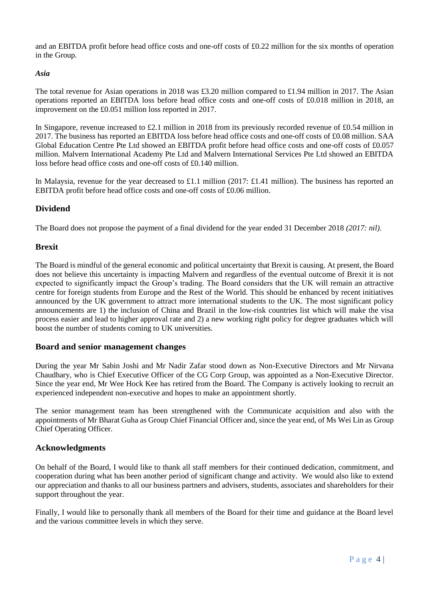and an EBITDA profit before head office costs and one-off costs of £0.22 million for the six months of operation in the Group.

### *Asia*

The total revenue for Asian operations in 2018 was £3.20 million compared to £1.94 million in 2017. The Asian operations reported an EBITDA loss before head office costs and one-off costs of £0.018 million in 2018, an improvement on the £0.051 million loss reported in 2017.

In Singapore, revenue increased to £2.1 million in 2018 from its previously recorded revenue of £0.54 million in 2017. The business has reported an EBITDA loss before head office costs and one-off costs of £0.08 million. SAA Global Education Centre Pte Ltd showed an EBITDA profit before head office costs and one-off costs of £0.057 million. Malvern International Academy Pte Ltd and Malvern International Services Pte Ltd showed an EBITDA loss before head office costs and one-off costs of £0.140 million.

In Malaysia, revenue for the year decreased to £1.1 million (2017: £1.41 million). The business has reported an EBITDA profit before head office costs and one-off costs of £0.06 million.

### **Dividend**

The Board does not propose the payment of a final dividend for the year ended 31 December 2018 *(2017: nil)*.

### **Brexit**

The Board is mindful of the general economic and political uncertainty that Brexit is causing. At present, the Board does not believe this uncertainty is impacting Malvern and regardless of the eventual outcome of Brexit it is not expected to significantly impact the Group's trading. The Board considers that the UK will remain an attractive centre for foreign students from Europe and the Rest of the World. This should be enhanced by recent initiatives announced by the UK government to attract more international students to the UK. The most significant policy announcements are 1) the inclusion of China and Brazil in the low-risk countries list which will make the visa process easier and lead to higher approval rate and 2) a new working right policy for degree graduates which will boost the number of students coming to UK universities.

### **Board and senior management changes**

During the year Mr Sabin Joshi and Mr Nadir Zafar stood down as Non-Executive Directors and Mr Nirvana Chaudhary, who is Chief Executive Officer of the CG Corp Group, was appointed as a Non-Executive Director. Since the year end, Mr Wee Hock Kee has retired from the Board. The Company is actively looking to recruit an experienced independent non-executive and hopes to make an appointment shortly.

The senior management team has been strengthened with the Communicate acquisition and also with the appointments of Mr Bharat Guha as Group Chief Financial Officer and, since the year end, of Ms Wei Lin as Group Chief Operating Officer.

### **Acknowledgments**

On behalf of the Board, I would like to thank all staff members for their continued dedication, commitment, and cooperation during what has been another period of significant change and activity. We would also like to extend our appreciation and thanks to all our business partners and advisers, students, associates and shareholders for their support throughout the year.

Finally, I would like to personally thank all members of the Board for their time and guidance at the Board level and the various committee levels in which they serve.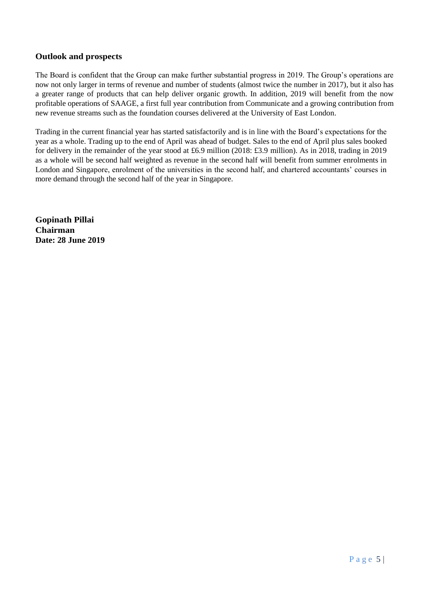### **Outlook and prospects**

The Board is confident that the Group can make further substantial progress in 2019. The Group's operations are now not only larger in terms of revenue and number of students (almost twice the number in 2017), but it also has a greater range of products that can help deliver organic growth. In addition, 2019 will benefit from the now profitable operations of SAAGE, a first full year contribution from Communicate and a growing contribution from new revenue streams such as the foundation courses delivered at the University of East London.

Trading in the current financial year has started satisfactorily and is in line with the Board's expectations for the year as a whole. Trading up to the end of April was ahead of budget. Sales to the end of April plus sales booked for delivery in the remainder of the year stood at £6.9 million (2018: £3.9 million). As in 2018, trading in 2019 as a whole will be second half weighted as revenue in the second half will benefit from summer enrolments in London and Singapore, enrolment of the universities in the second half, and chartered accountants' courses in more demand through the second half of the year in Singapore.

**Gopinath Pillai Chairman Date: 28 June 2019**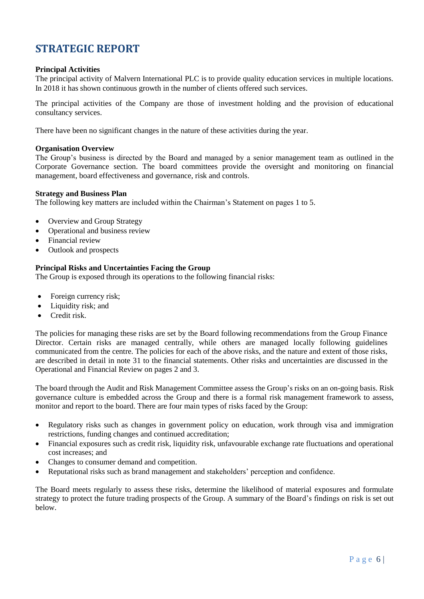### <span id="page-7-0"></span>**STRATEGIC REPORT**

### **Principal Activities**

The principal activity of Malvern International PLC is to provide quality education services in multiple locations. In 2018 it has shown continuous growth in the number of clients offered such services.

The principal activities of the Company are those of investment holding and the provision of educational consultancy services.

There have been no significant changes in the nature of these activities during the year.

### **Organisation Overview**

The Group's business is directed by the Board and managed by a senior management team as outlined in the Corporate Governance section. The board committees provide the oversight and monitoring on financial management, board effectiveness and governance, risk and controls.

### **Strategy and Business Plan**

The following key matters are included within the Chairman's Statement on pages 1 to 5.

- Overview and Group Strategy
- Operational and business review
- Financial review
- Outlook and prospects

### **Principal Risks and Uncertainties Facing the Group**

The Group is exposed through its operations to the following financial risks:

- Foreign currency risk;
- Liquidity risk; and
- Credit risk.

The policies for managing these risks are set by the Board following recommendations from the Group Finance Director. Certain risks are managed centrally, while others are managed locally following guidelines communicated from the centre. The policies for each of the above risks, and the nature and extent of those risks, are described in detail in note 31 to the financial statements. Other risks and uncertainties are discussed in the Operational and Financial Review on pages 2 and 3.

The board through the Audit and Risk Management Committee assess the Group's risks on an on-going basis. Risk governance culture is embedded across the Group and there is a formal risk management framework to assess, monitor and report to the board. There are four main types of risks faced by the Group:

- Regulatory risks such as changes in government policy on education, work through visa and immigration restrictions, funding changes and continued accreditation;
- Financial exposures such as credit risk, liquidity risk, unfavourable exchange rate fluctuations and operational cost increases; and
- Changes to consumer demand and competition.
- Reputational risks such as brand management and stakeholders' perception and confidence.

The Board meets regularly to assess these risks, determine the likelihood of material exposures and formulate strategy to protect the future trading prospects of the Group. A summary of the Board's findings on risk is set out below.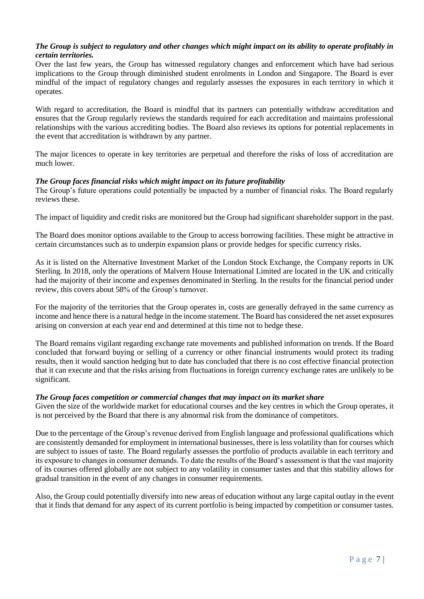### *The Group is subject to regulatory and other changes which might impact on its ability to operate profitably in certain territories.*

Over the last few years, the Group has witnessed regulatory changes and enforcement which have had serious implications to the Group through diminished student enrolments in London and Singapore. The Board is ever mindful of the impact of regulatory changes and regularly assesses the exposures in each territory in which it operates.

With regard to accreditation, the Board is mindful that its partners can potentially withdraw accreditation and ensures that the Group regularly reviews the standards required for each accreditation and maintains professional relationships with the various accrediting bodies. The Board also reviews its options for potential replacements in the event that accreditation is withdrawn by any partner.

The major licences to operate in key territories are perpetual and therefore the risks of loss of accreditation are much lower.

### *The Group faces financial risks which might impact on its future profitability*

The Group's future operations could potentially be impacted by a number of financial risks. The Board regularly reviews these.

The impact of liquidity and credit risks are monitored but the Group had significant shareholder support in the past.

The Board does monitor options available to the Group to access borrowing facilities. These might be attractive in certain circumstances such as to underpin expansion plans or provide hedges for specific currency risks.

As it is listed on the Alternative Investment Market of the London Stock Exchange, the Company reports in UK Sterling. In 2018, only the operations of Malvern House International Limited are located in the UK and critically had the majority of their income and expenses denominated in Sterling. In the results for the financial period under review, this covers about 58% of the Group's turnover.

For the majority of the territories that the Group operates in, costs are generally defrayed in the same currency as income and hence there is a natural hedge in the income statement. The Board has considered the net asset exposures arising on conversion at each year end and determined at this time not to hedge these.

The Board remains vigilant regarding exchange rate movements and published information on trends. If the Board concluded that forward buying or selling of a currency or other financial instruments would protect its trading results, then it would sanction hedging but to date has concluded that there is no cost effective financial protection that it can execute and that the risks arising from fluctuations in foreign currency exchange rates are unlikely to be significant.

### *The Group faces competition or commercial changes that may impact on its market share*

Given the size of the worldwide market for educational courses and the key centres in which the Group operates, it is not perceived by the Board that there is any abnormal risk from the dominance of competitors.

Due to the percentage of the Group's revenue derived from English language and professional qualifications which are consistently demanded for employment in international businesses, there is less volatility than for courses which are subject to issues of taste. The Board regularly assesses the portfolio of products available in each territory and its exposure to changes in consumer demands. To date the results of the Board's assessment is that the vast majority of its courses offered globally are not subject to any volatility in consumer tastes and that this stability allows for gradual transition in the event of any changes in consumer requirements.

Also, the Group could potentially diversify into new areas of education without any large capital outlay in the event that it finds that demand for any aspect of its current portfolio is being impacted by competition or consumer tastes.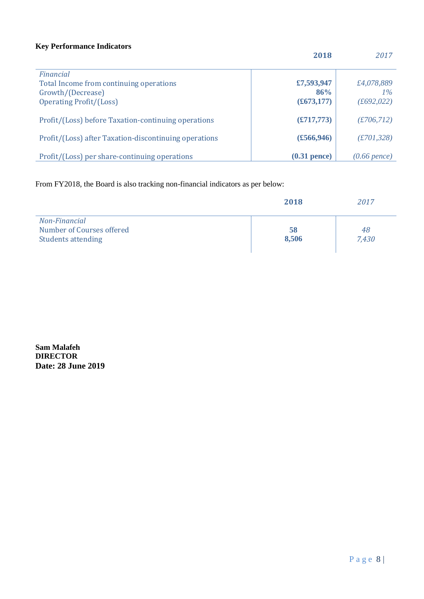### **Key Performance Indicators**

|                                                                                                             | 2018                                      | 2017                               |
|-------------------------------------------------------------------------------------------------------------|-------------------------------------------|------------------------------------|
| Financial<br>Total Income from continuing operations<br>Growth/(Decrease)<br><b>Operating Profit/(Loss)</b> | £7,593,947<br>86%<br>$(\pounds 673, 177)$ | £4,078,889<br>$1\%$<br>(f692, 022) |
| Profit/(Loss) before Taxation-continuing operations                                                         | (E717,773)                                | (E706, 712)                        |
| Profit/(Loss) after Taxation-discontinuing operations                                                       | $(\pounds 566, 946)$                      | (E701, 328)                        |
| Profit/(Loss) per share-continuing operations                                                               | $(0.31$ pence)                            | $(0.66$ pence)                     |

From FY2018, the Board is also tracking non-financial indicators as per below:

|                                                                         | 2018        | 2017        |
|-------------------------------------------------------------------------|-------------|-------------|
| Non-Financial<br>Number of Courses offered<br><b>Students attending</b> | 58<br>8,506 | 48<br>7,430 |

**Sam Malafeh DIRECTOR Date: 28 June 2019**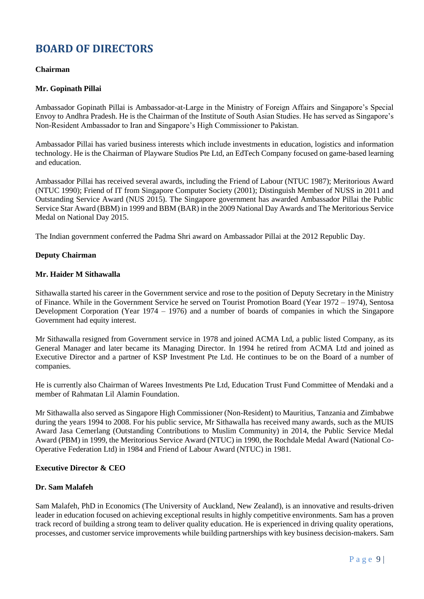### <span id="page-10-0"></span>**BOARD OF DIRECTORS**

### **Chairman**

### **Mr. Gopinath Pillai**

Ambassador Gopinath Pillai is Ambassador-at-Large in the Ministry of Foreign Affairs and Singapore's Special Envoy to Andhra Pradesh. He is the Chairman of the Institute of South Asian Studies. He has served as Singapore's Non-Resident Ambassador to Iran and Singapore's High Commissioner to Pakistan.

Ambassador Pillai has varied business interests which include investments in education, logistics and information technology. He is the Chairman of Playware Studios Pte Ltd, an EdTech Company focused on game-based learning and education.

Ambassador Pillai has received several awards, including the Friend of Labour (NTUC 1987); Meritorious Award (NTUC 1990); Friend of IT from Singapore Computer Society (2001); Distinguish Member of NUSS in 2011 and Outstanding Service Award (NUS 2015). The Singapore government has awarded Ambassador Pillai the Public Service Star Award (BBM) in 1999 and BBM (BAR) in the 2009 National Day Awards and The Meritorious Service Medal on National Day 2015.

The Indian government conferred the Padma Shri award on Ambassador Pillai at the 2012 Republic Day.

### **Deputy Chairman**

### **Mr. Haider M Sithawalla**

Sithawalla started his career in the Government service and rose to the position of Deputy Secretary in the Ministry of Finance. While in the Government Service he served on Tourist Promotion Board (Year 1972 – 1974), Sentosa Development Corporation (Year 1974 – 1976) and a number of boards of companies in which the Singapore Government had equity interest.

Mr Sithawalla resigned from Government service in 1978 and joined ACMA Ltd, a public listed Company, as its General Manager and later became its Managing Director. In 1994 he retired from ACMA Ltd and joined as Executive Director and a partner of KSP Investment Pte Ltd. He continues to be on the Board of a number of companies.

He is currently also Chairman of Warees Investments Pte Ltd, Education Trust Fund Committee of Mendaki and a member of Rahmatan Lil Alamin Foundation.

Mr Sithawalla also served as Singapore High Commissioner (Non-Resident) to Mauritius, Tanzania and Zimbabwe during the years 1994 to 2008. For his public service, Mr Sithawalla has received many awards, such as the MUIS Award Jasa Cemerlang (Outstanding Contributions to Muslim Community) in 2014, the Public Service Medal Award (PBM) in 1999, the Meritorious Service Award (NTUC) in 1990, the Rochdale Medal Award (National Co-Operative Federation Ltd) in 1984 and Friend of Labour Award (NTUC) in 1981.

### **Executive Director & CEO**

### **Dr. Sam Malafeh**

Sam Malafeh, PhD in Economics (The University of Auckland, New Zealand), is an innovative and results-driven leader in education focused on achieving exceptional results in highly competitive environments. Sam has a proven track record of building a strong team to deliver quality education. He is experienced in driving quality operations, processes, and customer service improvements while building partnerships with key business decision-makers. Sam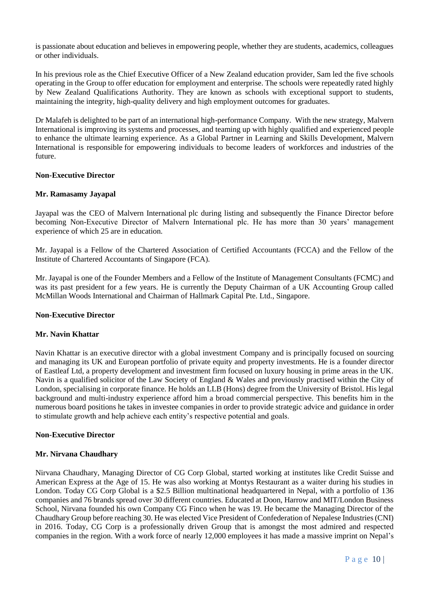is passionate about education and believes in empowering people, whether they are students, academics, colleagues or other individuals.

In his previous role as the Chief Executive Officer of a New Zealand education provider, Sam led the five schools operating in the Group to offer education for employment and enterprise. The schools were repeatedly rated highly by New Zealand Qualifications Authority. They are known as schools with exceptional support to students, maintaining the integrity, high-quality delivery and high employment outcomes for graduates.

Dr Malafeh is delighted to be part of an international high-performance Company. With the new strategy, Malvern International is improving its systems and processes, and teaming up with highly qualified and experienced people to enhance the ultimate learning experience. As a Global Partner in Learning and Skills Development, Malvern International is responsible for empowering individuals to become leaders of workforces and industries of the future.

### **Non-Executive Director**

### **Mr. Ramasamy Jayapal**

Jayapal was the CEO of Malvern International plc during listing and subsequently the Finance Director before becoming Non-Executive Director of Malvern International plc. He has more than 30 years' management experience of which 25 are in education.

Mr. Jayapal is a Fellow of the Chartered Association of Certified Accountants (FCCA) and the Fellow of the Institute of Chartered Accountants of Singapore (FCA).

Mr. Jayapal is one of the Founder Members and a Fellow of the Institute of Management Consultants (FCMC) and was its past president for a few years. He is currently the Deputy Chairman of a UK Accounting Group called McMillan Woods International and Chairman of Hallmark Capital Pte. Ltd., Singapore.

#### **Non-Executive Director**

### **Mr. Navin Khattar**

Navin Khattar is an executive director with a global investment Company and is principally focused on sourcing and managing its UK and European portfolio of private equity and property investments. He is a founder director of Eastleaf Ltd, a property development and investment firm focused on luxury housing in prime areas in the UK. Navin is a qualified solicitor of the Law Society of England & Wales and previously practised within the City of London, specialising in corporate finance. He holds an LLB (Hons) degree from the University of Bristol. His legal background and multi-industry experience afford him a broad commercial perspective. This benefits him in the numerous board positions he takes in investee companies in order to provide strategic advice and guidance in order to stimulate growth and help achieve each entity's respective potential and goals.

### **Non-Executive Director**

#### **Mr. Nirvana Chaudhary**

Nirvana Chaudhary, Managing Director of CG Corp Global, started working at institutes like Credit Suisse and American Express at the Age of 15. He was also working at Montys Restaurant as a waiter during his studies in London. Today CG Corp Global is a \$2.5 Billion multinational headquartered in Nepal, with a portfolio of 136 companies and 76 brands spread over 30 different countries. Educated at Doon, Harrow and MIT/London Business School, Nirvana founded his own Company CG Finco when he was 19. He became the Managing Director of the Chaudhary Group before reaching 30. He was elected Vice President of Confederation of Nepalese Industries (CNI) in 2016. Today, CG Corp is a professionally driven Group that is amongst the most admired and respected companies in the region. With a work force of nearly 12,000 employees it has made a massive imprint on Nepal's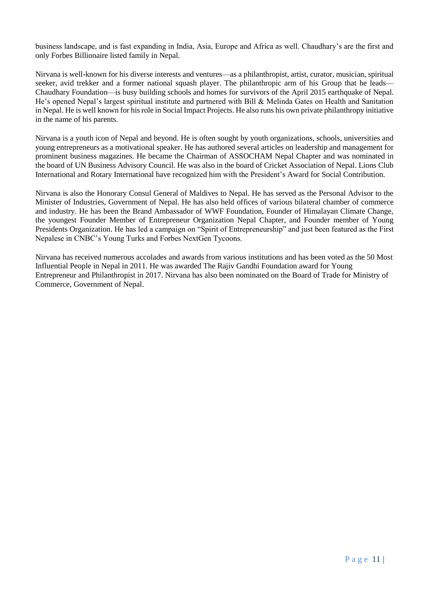business landscape, and is fast expanding in India, Asia, Europe and Africa as well. Chaudhary's are the first and only Forbes Billionaire listed family in Nepal.

Nirvana is well-known for his diverse interests and ventures—as a philanthropist, artist, curator, musician, spiritual seeker, avid trekker and a former national squash player. The philanthropic arm of his Group that he leads— Chaudhary Foundation—is busy building schools and homes for survivors of the April 2015 earthquake of Nepal. He's opened Nepal's largest spiritual institute and partnered with Bill & Melinda Gates on Health and Sanitation in Nepal. He is well known for his role in Social Impact Projects. He also runs his own private philanthropy initiative in the name of his parents.

Nirvana is a youth icon of Nepal and beyond. He is often sought by youth organizations, schools, universities and young entrepreneurs as a motivational speaker. He has authored several articles on leadership and management for prominent business magazines. He became the Chairman of ASSOCHAM Nepal Chapter and was nominated in the board of UN Business Advisory Council. He was also in the board of Cricket Association of Nepal. Lions Club International and Rotary International have recognized him with the President's Award for Social Contribution.

Nirvana is also the Honorary Consul General of Maldives to Nepal. He has served as the Personal Advisor to the Minister of Industries, Government of Nepal. He has also held offices of various bilateral chamber of commerce and industry. He has been the Brand Ambassador of WWF Foundation, Founder of Himalayan Climate Change, the youngest Founder Member of Entrepreneur Organization Nepal Chapter, and Founder member of Young Presidents Organization. He has led a campaign on "Spirit of Entrepreneurship" and just been featured as the First Nepalese in CNBC's Young Turks and Forbes NextGen Tycoons.

Nirvana has received numerous accolades and awards from various institutions and has been voted as the 50 Most Influential People in Nepal in 2011. He was awarded The Rajiv Gandhi Foundation award for Young Entrepreneur and Philanthropist in 2017. Nirvana has also been nominated on the Board of Trade for Ministry of Commerce, Government of Nepal.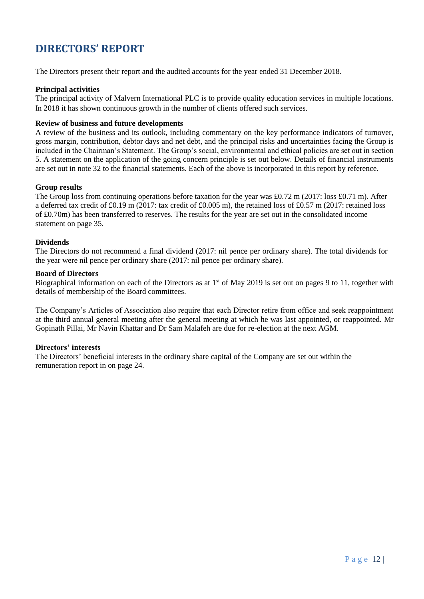### <span id="page-13-0"></span>**DIRECTORS' REPORT**

The Directors present their report and the audited accounts for the year ended 31 December 2018.

### **Principal activities**

The principal activity of Malvern International PLC is to provide quality education services in multiple locations. In 2018 it has shown continuous growth in the number of clients offered such services.

### **Review of business and future developments**

A review of the business and its outlook, including commentary on the key performance indicators of turnover, gross margin, contribution, debtor days and net debt, and the principal risks and uncertainties facing the Group is included in the Chairman's Statement. The Group's social, environmental and ethical policies are set out in section 5. A statement on the application of the going concern principle is set out below. Details of financial instruments are set out in note 32 to the financial statements. Each of the above is incorporated in this report by reference.

### **Group results**

The Group loss from continuing operations before taxation for the year was £0.72 m (2017: loss £0.71 m). After a deferred tax credit of £0.19 m (2017: tax credit of £0.005 m), the retained loss of £0.57 m (2017: retained loss of £0.70m) has been transferred to reserves. The results for the year are set out in the consolidated income statement on page 35.

### **Dividends**

The Directors do not recommend a final dividend (2017: nil pence per ordinary share). The total dividends for the year were nil pence per ordinary share (2017: nil pence per ordinary share).

### **Board of Directors**

Biographical information on each of the Directors as at 1<sup>st</sup> of May 2019 is set out on pages 9 to 11, together with details of membership of the Board committees.

The Company's Articles of Association also require that each Director retire from office and seek reappointment at the third annual general meeting after the general meeting at which he was last appointed, or reappointed. Mr Gopinath Pillai, Mr Navin Khattar and Dr Sam Malafeh are due for re-election at the next AGM.

### **Directors' interests**

The Directors' beneficial interests in the ordinary share capital of the Company are set out within the remuneration report in on page 24.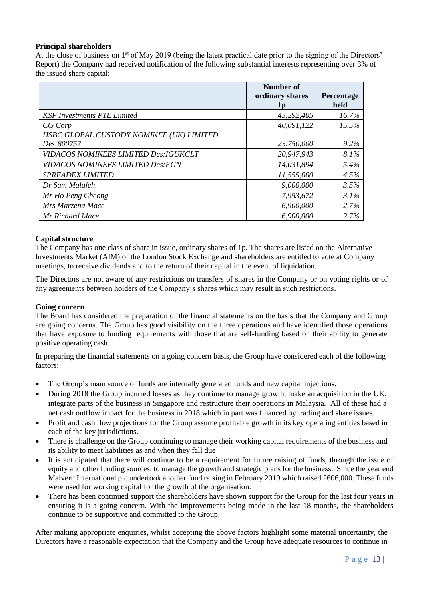### **Principal shareholders**

At the close of business on 1<sup>st</sup> of May 2019 (being the latest practical date prior to the signing of the Directors' Report) the Company had received notification of the following substantial interests representing over 3% of the issued share capital:

|                                          | Number of                      |                    |
|------------------------------------------|--------------------------------|--------------------|
|                                          | ordinary shares<br>$1\text{p}$ | Percentage<br>held |
| <b>KSP Investments PTE Limited</b>       | 43,292,405                     | 16.7%              |
| CG Corp                                  | 40,091,122                     | 15.5%              |
| HSBC GLOBAL CUSTODY NOMINEE (UK) LIMITED |                                |                    |
| Des:800757                               | 23,750,000                     | $9.2\%$            |
| VIDACOS NOMINEES LIMITED Des: IGUKCLT    | 20,947,943                     | 8.1%               |
| <b>VIDACOS NOMINEES LIMITED Des: FGN</b> | 14,031,894                     | 5.4%               |
| <b>SPREADEX LIMITED</b>                  | 11,555,000                     | 4.5%               |
| Dr Sam Malafeh                           | 9,000,000                      | 3.5%               |
| Mr Ho Peng Cheong                        | 7,953,672                      | 3.1%               |
| Mrs Marzena Mace                         | 6,900,000                      | 2.7%               |
| Mr Richard Mace                          | 6,900,000                      | 2.7%               |

### **Capital structure**

The Company has one class of share in issue, ordinary shares of 1p. The shares are listed on the Alternative Investments Market (AIM) of the London Stock Exchange and shareholders are entitled to vote at Company meetings, to receive dividends and to the return of their capital in the event of liquidation.

The Directors are not aware of any restrictions on transfers of shares in the Company or on voting rights or of any agreements between holders of the Company's shares which may result in such restrictions.

### **Going concern**

The Board has considered the preparation of the financial statements on the basis that the Company and Group are going concerns. The Group has good visibility on the three operations and have identified those operations that have exposure to funding requirements with those that are self-funding based on their ability to generate positive operating cash.

In preparing the financial statements on a going concern basis, the Group have considered each of the following factors:

- The Group's main source of funds are internally generated funds and new capital injections.
- During 2018 the Group incurred losses as they continue to manage growth, make an acquisition in the UK, integrate parts of the business in Singapore and restructure their operations in Malaysia. All of these had a net cash outflow impact for the business in 2018 which in part was financed by trading and share issues.
- Profit and cash flow projections for the Group assume profitable growth in its key operating entities based in each of the key jurisdictions.
- There is challenge on the Group continuing to manage their working capital requirements of the business and its ability to meet liabilities as and when they fall due
- It is anticipated that there will continue to be a requirement for future raising of funds, through the issue of equity and other funding sources, to manage the growth and strategic plans for the business. Since the year end Malvern International plc undertook another fund raising in February 2019 which raised £606,000. These funds were used for working capital for the growth of the organisation.
- There has been continued support the shareholders have shown support for the Group for the last four years in ensuring it is a going concern. With the improvements being made in the last 18 months, the shareholders continue to be supportive and committed to the Group.

After making appropriate enquiries, whilst accepting the above factors highlight some material uncertainty, the Directors have a reasonable expectation that the Company and the Group have adequate resources to continue in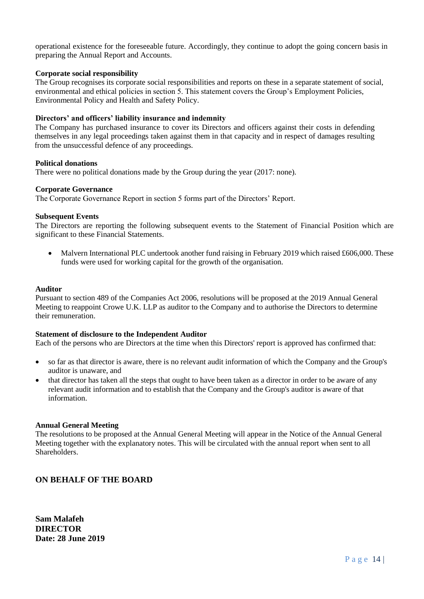operational existence for the foreseeable future. Accordingly, they continue to adopt the going concern basis in preparing the Annual Report and Accounts.

### **Corporate social responsibility**

The Group recognises its corporate social responsibilities and reports on these in a separate statement of social, environmental and ethical policies in section 5. This statement covers the Group's Employment Policies, Environmental Policy and Health and Safety Policy.

### **Directors' and officers' liability insurance and indemnity**

The Company has purchased insurance to cover its Directors and officers against their costs in defending themselves in any legal proceedings taken against them in that capacity and in respect of damages resulting from the unsuccessful defence of any proceedings.

### **Political donations**

There were no political donations made by the Group during the year (2017: none).

#### **Corporate Governance**

The Corporate Governance Report in section 5 forms part of the Directors' Report.

### **Subsequent Events**

The Directors are reporting the following subsequent events to the Statement of Financial Position which are significant to these Financial Statements.

• Malvern International PLC undertook another fund raising in February 2019 which raised £606,000. These funds were used for working capital for the growth of the organisation.

#### **Auditor**

Pursuant to section 489 of the Companies Act 2006, resolutions will be proposed at the 2019 Annual General Meeting to reappoint Crowe U.K. LLP as auditor to the Company and to authorise the Directors to determine their remuneration.

#### **Statement of disclosure to the Independent Auditor**

Each of the persons who are Directors at the time when this Directors' report is approved has confirmed that:

- so far as that director is aware, there is no relevant audit information of which the Company and the Group's auditor is unaware, and
- that director has taken all the steps that ought to have been taken as a director in order to be aware of any relevant audit information and to establish that the Company and the Group's auditor is aware of that information.

#### **Annual General Meeting**

The resolutions to be proposed at the Annual General Meeting will appear in the Notice of the Annual General Meeting together with the explanatory notes. This will be circulated with the annual report when sent to all Shareholders.

### **ON BEHALF OF THE BOARD**

**Sam Malafeh DIRECTOR Date: 28 June 2019**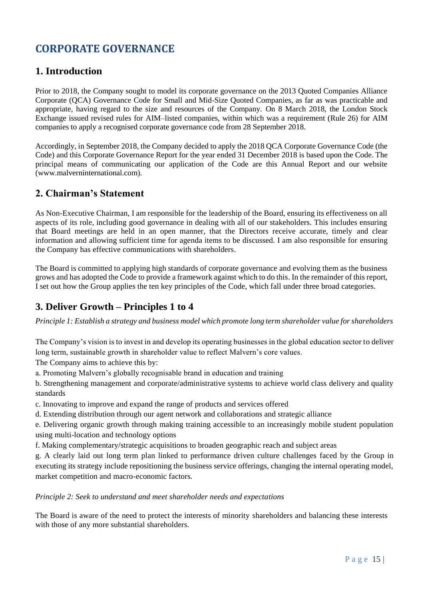## <span id="page-16-0"></span>**CORPORATE GOVERNANCE**

### **1. Introduction**

Prior to 2018, the Company sought to model its corporate governance on the 2013 Quoted Companies Alliance Corporate (QCA) Governance Code for Small and Mid-Size Quoted Companies, as far as was practicable and appropriate, having regard to the size and resources of the Company. On 8 March 2018, the London Stock Exchange issued revised rules for AIM–listed companies, within which was a requirement (Rule 26) for AIM companies to apply a recognised corporate governance code from 28 September 2018.

Accordingly, in September 2018, the Company decided to apply the 2018 QCA Corporate Governance Code (the Code) and this Corporate Governance Report for the year ended 31 December 2018 is based upon the Code. The principal means of communicating our application of the Code are this Annual Report and our website (www.malverninternational.com).

### **2. Chairman's Statement**

As Non-Executive Chairman, I am responsible for the leadership of the Board, ensuring its effectiveness on all aspects of its role, including good governance in dealing with all of our stakeholders. This includes ensuring that Board meetings are held in an open manner, that the Directors receive accurate, timely and clear information and allowing sufficient time for agenda items to be discussed. I am also responsible for ensuring the Company has effective communications with shareholders.

The Board is committed to applying high standards of corporate governance and evolving them as the business grows and has adopted the Code to provide a framework against which to do this. In the remainder of this report, I set out how the Group applies the ten key principles of the Code, which fall under three broad categories.

### **3. Deliver Growth – Principles 1 to 4**

*Principle 1: Establish a strategy and business model which promote long term shareholder value for shareholders*

The Company's vision is to invest in and develop its operating businesses in the global education sector to deliver long term, sustainable growth in shareholder value to reflect Malvern's core values.

The Company aims to achieve this by:

a. Promoting Malvern's globally recognisable brand in education and training

b. Strengthening management and corporate/administrative systems to achieve world class delivery and quality standards

c. Innovating to improve and expand the range of products and services offered

d. Extending distribution through our agent network and collaborations and strategic alliance

e. Delivering organic growth through making training accessible to an increasingly mobile student population using multi-location and technology options

f. Making complementary/strategic acquisitions to broaden geographic reach and subject areas

g. A clearly laid out long term plan linked to performance driven culture challenges faced by the Group in executing its strategy include repositioning the business service offerings, changing the internal operating model, market competition and macro-economic factors.

*Principle 2: Seek to understand and meet shareholder needs and expectations*

The Board is aware of the need to protect the interests of minority shareholders and balancing these interests with those of any more substantial shareholders.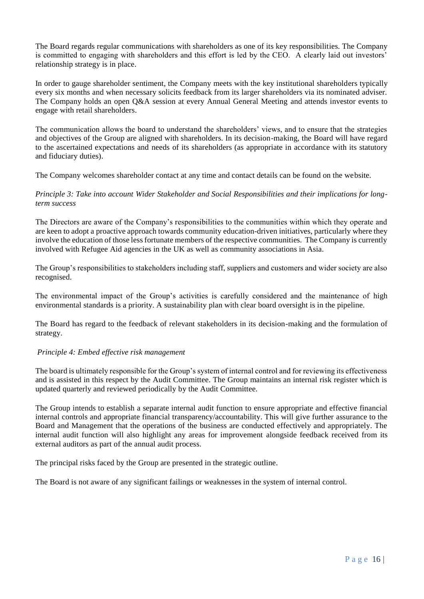The Board regards regular communications with shareholders as one of its key responsibilities. The Company is committed to engaging with shareholders and this effort is led by the CEO. A clearly laid out investors' relationship strategy is in place.

In order to gauge shareholder sentiment, the Company meets with the key institutional shareholders typically every six months and when necessary solicits feedback from its larger shareholders via its nominated adviser. The Company holds an open Q&A session at every Annual General Meeting and attends investor events to engage with retail shareholders.

The communication allows the board to understand the shareholders' views, and to ensure that the strategies and objectives of the Group are aligned with shareholders. In its decision-making, the Board will have regard to the ascertained expectations and needs of its shareholders (as appropriate in accordance with its statutory and fiduciary duties).

The Company welcomes shareholder contact at any time and contact details can be found on the website.

*Principle 3: Take into account Wider Stakeholder and Social Responsibilities and their implications for longterm success*

The Directors are aware of the Company's responsibilities to the communities within which they operate and are keen to adopt a proactive approach towards community education-driven initiatives, particularly where they involve the education of those less fortunate members of the respective communities. The Company is currently involved with Refugee Aid agencies in the UK as well as community associations in Asia.

The Group's responsibilities to stakeholders including staff, suppliers and customers and wider society are also recognised.

The environmental impact of the Group's activities is carefully considered and the maintenance of high environmental standards is a priority. A sustainability plan with clear board oversight is in the pipeline.

The Board has regard to the feedback of relevant stakeholders in its decision-making and the formulation of strategy.

### *Principle 4: Embed effective risk management*

The board is ultimately responsible for the Group's system of internal control and for reviewing its effectiveness and is assisted in this respect by the Audit Committee. The Group maintains an internal risk register which is updated quarterly and reviewed periodically by the Audit Committee.

The Group intends to establish a separate internal audit function to ensure appropriate and effective financial internal controls and appropriate financial transparency/accountability. This will give further assurance to the Board and Management that the operations of the business are conducted effectively and appropriately. The internal audit function will also highlight any areas for improvement alongside feedback received from its external auditors as part of the annual audit process.

The principal risks faced by the Group are presented in the strategic outline.

The Board is not aware of any significant failings or weaknesses in the system of internal control.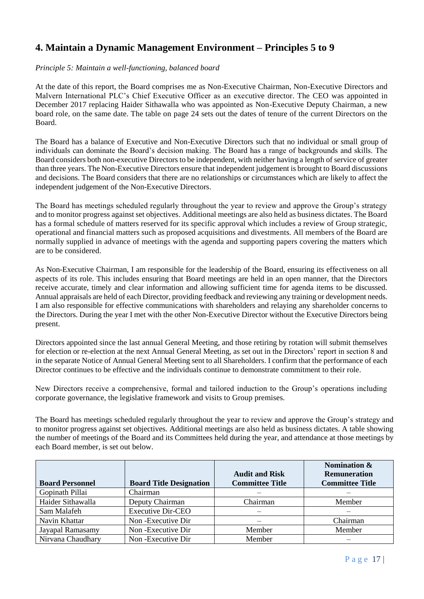### **4. Maintain a Dynamic Management Environment – Principles 5 to 9**

### *Principle 5: Maintain a well-functioning, balanced board*

At the date of this report, the Board comprises me as Non-Executive Chairman, Non-Executive Directors and Malvern International PLC's Chief Executive Officer as an executive director. The CEO was appointed in December 2017 replacing Haider Sithawalla who was appointed as Non-Executive Deputy Chairman, a new board role, on the same date. The table on page 24 sets out the dates of tenure of the current Directors on the Board.

The Board has a balance of Executive and Non-Executive Directors such that no individual or small group of individuals can dominate the Board's decision making. The Board has a range of backgrounds and skills. The Board considers both non-executive Directors to be independent, with neither having a length of service of greater than three years. The Non-Executive Directors ensure that independent judgement is brought to Board discussions and decisions. The Board considers that there are no relationships or circumstances which are likely to affect the independent judgement of the Non-Executive Directors.

The Board has meetings scheduled regularly throughout the year to review and approve the Group's strategy and to monitor progress against set objectives. Additional meetings are also held as business dictates. The Board has a formal schedule of matters reserved for its specific approval which includes a review of Group strategic, operational and financial matters such as proposed acquisitions and divestments. All members of the Board are normally supplied in advance of meetings with the agenda and supporting papers covering the matters which are to be considered.

As Non-Executive Chairman, I am responsible for the leadership of the Board, ensuring its effectiveness on all aspects of its role. This includes ensuring that Board meetings are held in an open manner, that the Directors receive accurate, timely and clear information and allowing sufficient time for agenda items to be discussed. Annual appraisals are held of each Director, providing feedback and reviewing any training or development needs. I am also responsible for effective communications with shareholders and relaying any shareholder concerns to the Directors. During the year I met with the other Non-Executive Director without the Executive Directors being present.

Directors appointed since the last annual General Meeting, and those retiring by rotation will submit themselves for election or re-election at the next Annual General Meeting, as set out in the Directors' report in section 8 and in the separate Notice of Annual General Meeting sent to all Shareholders. I confirm that the performance of each Director continues to be effective and the individuals continue to demonstrate commitment to their role.

New Directors receive a comprehensive, formal and tailored induction to the Group's operations including corporate governance, the legislative framework and visits to Group premises.

The Board has meetings scheduled regularly throughout the year to review and approve the Group's strategy and to monitor progress against set objectives. Additional meetings are also held as business dictates. A table showing the number of meetings of the Board and its Committees held during the year, and attendance at those meetings by each Board member, is set out below.

| <b>Board Personnel</b> | <b>Board Title Designation</b> | <b>Audit and Risk</b><br><b>Committee Title</b> | Nomination &<br><b>Remuneration</b><br><b>Committee Title</b> |
|------------------------|--------------------------------|-------------------------------------------------|---------------------------------------------------------------|
| Gopinath Pillai        | Chairman                       |                                                 |                                                               |
| Haider Sithawalla      | Deputy Chairman                | Chairman                                        | Member                                                        |
| Sam Malafeh            | <b>Executive Dir-CEO</b>       |                                                 |                                                               |
| Navin Khattar          | Non-Executive Dir              |                                                 | Chairman                                                      |
| Jayapal Ramasamy       | Non-Executive Dir              | Member                                          | Member                                                        |
| Nirvana Chaudhary      | Non-Executive Dir              | Member                                          |                                                               |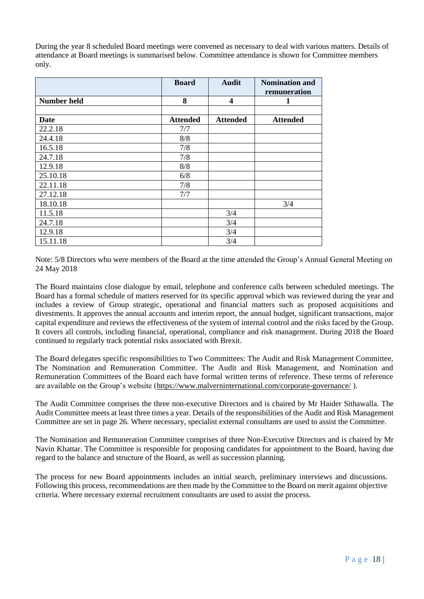During the year 8 scheduled Board meetings were convened as necessary to deal with various matters. Details of attendance at Board meetings is summarised below. Committee attendance is shown for Committee members only.

|                    | <b>Board</b>    | <b>Audit</b>    | <b>Nomination and</b> |
|--------------------|-----------------|-----------------|-----------------------|
|                    |                 |                 | remuneration          |
| <b>Number held</b> | 8               | 4               | 1                     |
|                    |                 |                 |                       |
| Date               | <b>Attended</b> | <b>Attended</b> | <b>Attended</b>       |
| 22.2.18            | 7/7             |                 |                       |
| 24.4.18            | 8/8             |                 |                       |
| 16.5.18            | 7/8             |                 |                       |
| 24.7.18            | 7/8             |                 |                       |
| 12.9.18            | 8/8             |                 |                       |
| 25.10.18           | 6/8             |                 |                       |
| 22.11.18           | 7/8             |                 |                       |
| 27.12.18           | 7/7             |                 |                       |
| 18.10.18           |                 |                 | 3/4                   |
| 11.5.18            |                 | 3/4             |                       |
| 24.7.18            |                 | 3/4             |                       |
| 12.9.18            |                 | 3/4             |                       |
| 15.11.18           |                 | 3/4             |                       |

Note: 5/8 Directors who were members of the Board at the time attended the Group's Annual General Meeting on 24 May 2018

The Board maintains close dialogue by email, telephone and conference calls between scheduled meetings. The Board has a formal schedule of matters reserved for its specific approval which was reviewed during the year and includes a review of Group strategic, operational and financial matters such as proposed acquisitions and divestments. It approves the annual accounts and interim report, the annual budget, significant transactions, major capital expenditure and reviews the effectiveness of the system of internal control and the risks faced by the Group. It covers all controls, including financial, operational, compliance and risk management. During 2018 the Board continued to regularly track potential risks associated with Brexit.

The Board delegates specific responsibilities to Two Committees: The Audit and Risk Management Committee, The Nomination and Remuneration Committee. The Audit and Risk Management, and Nomination and Remuneration Committees of the Board each have formal written terms of reference. These terms of reference are available on the Group's website (<https://www.malverninternational.com/corporate-governance/> ).

The Audit Committee comprises the three non-executive Directors and is chaired by Mr Haider Sithawalla. The Audit Committee meets at least three times a year. Details of the responsibilities of the Audit and Risk Management Committee are set in page 26. Where necessary, specialist external consultants are used to assist the Committee.

The Nomination and Remuneration Committee comprises of three Non-Executive Directors and is chaired by Mr Navin Khattar. The Committee is responsible for proposing candidates for appointment to the Board, having due regard to the balance and structure of the Board, as well as succession planning.

The process for new Board appointments includes an initial search, preliminary interviews and discussions. Following this process, recommendations are then made by the Committee to the Board on merit against objective criteria. Where necessary external recruitment consultants are used to assist the process.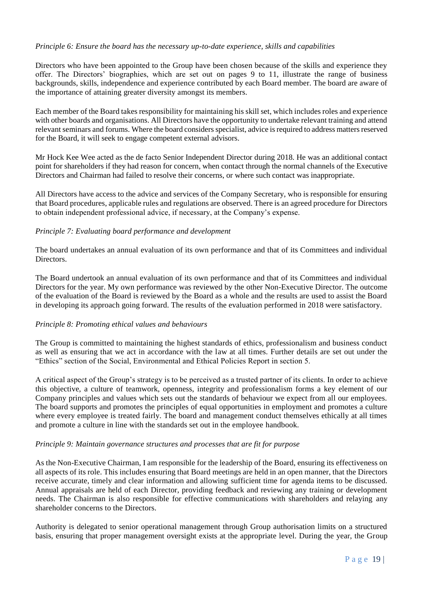### *Principle 6: Ensure the board has the necessary up-to-date experience, skills and capabilities*

Directors who have been appointed to the Group have been chosen because of the skills and experience they offer. The Directors' biographies, which are set out on pages 9 to 11, illustrate the range of business backgrounds, skills, independence and experience contributed by each Board member. The board are aware of the importance of attaining greater diversity amongst its members.

Each member of the Board takes responsibility for maintaining his skill set, which includes roles and experience with other boards and organisations. All Directors have the opportunity to undertake relevant training and attend relevant seminars and forums. Where the board considers specialist, advice is required to address matters reserved for the Board, it will seek to engage competent external advisors.

Mr Hock Kee Wee acted as the de facto Senior Independent Director during 2018. He was an additional contact point for shareholders if they had reason for concern, when contact through the normal channels of the Executive Directors and Chairman had failed to resolve their concerns, or where such contact was inappropriate.

All Directors have access to the advice and services of the Company Secretary, who is responsible for ensuring that Board procedures, applicable rules and regulations are observed. There is an agreed procedure for Directors to obtain independent professional advice, if necessary, at the Company's expense.

### *Principle 7: Evaluating board performance and development*

The board undertakes an annual evaluation of its own performance and that of its Committees and individual Directors.

The Board undertook an annual evaluation of its own performance and that of its Committees and individual Directors for the year. My own performance was reviewed by the other Non-Executive Director. The outcome of the evaluation of the Board is reviewed by the Board as a whole and the results are used to assist the Board in developing its approach going forward. The results of the evaluation performed in 2018 were satisfactory.

### *Principle 8: Promoting ethical values and behaviours*

The Group is committed to maintaining the highest standards of ethics, professionalism and business conduct as well as ensuring that we act in accordance with the law at all times. Further details are set out under the "Ethics" section of the Social, Environmental and Ethical Policies Report in section 5.

A critical aspect of the Group's strategy is to be perceived as a trusted partner of its clients. In order to achieve this objective, a culture of teamwork, openness, integrity and professionalism forms a key element of our Company principles and values which sets out the standards of behaviour we expect from all our employees. The board supports and promotes the principles of equal opportunities in employment and promotes a culture where every employee is treated fairly. The board and management conduct themselves ethically at all times and promote a culture in line with the standards set out in the employee handbook.

### *Principle 9: Maintain governance structures and processes that are fit for purpose*

As the Non-Executive Chairman, I am responsible for the leadership of the Board, ensuring its effectiveness on all aspects of its role. This includes ensuring that Board meetings are held in an open manner, that the Directors receive accurate, timely and clear information and allowing sufficient time for agenda items to be discussed. Annual appraisals are held of each Director, providing feedback and reviewing any training or development needs. The Chairman is also responsible for effective communications with shareholders and relaying any shareholder concerns to the Directors.

Authority is delegated to senior operational management through Group authorisation limits on a structured basis, ensuring that proper management oversight exists at the appropriate level. During the year, the Group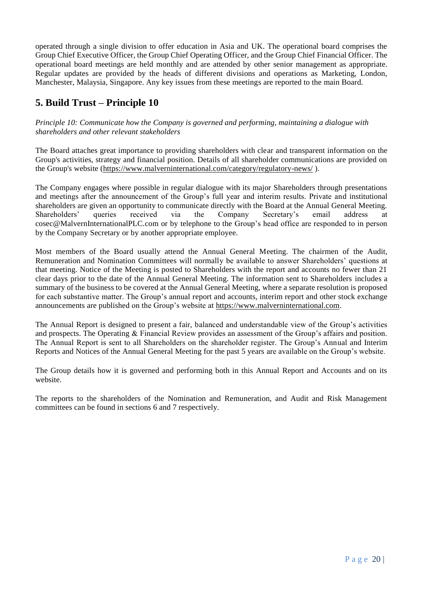operated through a single division to offer education in Asia and UK. The operational board comprises the Group Chief Executive Officer, the Group Chief Operating Officer, and the Group Chief Financial Officer. The operational board meetings are held monthly and are attended by other senior management as appropriate. Regular updates are provided by the heads of different divisions and operations as Marketing, London, Manchester, Malaysia, Singapore. Any key issues from these meetings are reported to the main Board.

### **5. Build Trust – Principle 10**

*Principle 10: Communicate how the Company is governed and performing, maintaining a dialogue with shareholders and other relevant stakeholders*

The Board attaches great importance to providing shareholders with clear and transparent information on the Group's activities, strategy and financial position. Details of all shareholder communications are provided on the Group's website [\(https://www.malverninternational.com/category/regulatory-news/](https://www.malverninternational.com/category/regulatory-news/) ).

The Company engages where possible in regular dialogue with its major Shareholders through presentations and meetings after the announcement of the Group's full year and interim results. Private and institutional shareholders are given an opportunity to communicate directly with the Board at the Annual General Meeting. Shareholders' queries received via the Company Secretary's email address at cosec@MalvernInternationalPLC.com or by telephone to the Group's head office are responded to in person by the Company Secretary or by another appropriate employee.

Most members of the Board usually attend the Annual General Meeting. The chairmen of the Audit, Remuneration and Nomination Committees will normally be available to answer Shareholders' questions at that meeting. Notice of the Meeting is posted to Shareholders with the report and accounts no fewer than 21 clear days prior to the date of the Annual General Meeting. The information sent to Shareholders includes a summary of the business to be covered at the Annual General Meeting, where a separate resolution is proposed for each substantive matter. The Group's annual report and accounts, interim report and other stock exchange announcements are published on the Group's website at [https://www.malverninternational.com.](https://www.malverninternational.com/)

The Annual Report is designed to present a fair, balanced and understandable view of the Group's activities and prospects. The Operating & Financial Review provides an assessment of the Group's affairs and position. The Annual Report is sent to all Shareholders on the shareholder register. The Group's Annual and Interim Reports and Notices of the Annual General Meeting for the past 5 years are available on the Group's website.

The Group details how it is governed and performing both in this Annual Report and Accounts and on its website.

The reports to the shareholders of the Nomination and Remuneration, and Audit and Risk Management committees can be found in sections 6 and 7 respectively.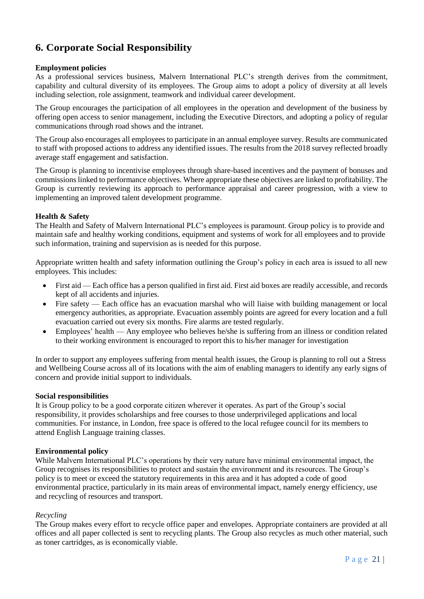### **6. Corporate Social Responsibility**

### **Employment policies**

As a professional services business, Malvern International PLC's strength derives from the commitment, capability and cultural diversity of its employees. The Group aims to adopt a policy of diversity at all levels including selection, role assignment, teamwork and individual career development.

The Group encourages the participation of all employees in the operation and development of the business by offering open access to senior management, including the Executive Directors, and adopting a policy of regular communications through road shows and the intranet.

The Group also encourages all employees to participate in an annual employee survey. Results are communicated to staff with proposed actions to address any identified issues. The results from the 2018 survey reflected broadly average staff engagement and satisfaction.

The Group is planning to incentivise employees through share-based incentives and the payment of bonuses and commissions linked to performance objectives. Where appropriate these objectives are linked to profitability. The Group is currently reviewing its approach to performance appraisal and career progression, with a view to implementing an improved talent development programme.

### **Health & Safety**

The Health and Safety of Malvern International PLC's employees is paramount. Group policy is to provide and maintain safe and healthy working conditions, equipment and systems of work for all employees and to provide such information, training and supervision as is needed for this purpose.

Appropriate written health and safety information outlining the Group's policy in each area is issued to all new employees. This includes:

- First aid Each office has a person qualified in first aid. First aid boxes are readily accessible, and records kept of all accidents and injuries.
- Fire safety Each office has an evacuation marshal who will liaise with building management or local emergency authorities, as appropriate. Evacuation assembly points are agreed for every location and a full evacuation carried out every six months. Fire alarms are tested regularly.
- Employees' health Any employee who believes he/she is suffering from an illness or condition related to their working environment is encouraged to report this to his/her manager for investigation

In order to support any employees suffering from mental health issues, the Group is planning to roll out a Stress and Wellbeing Course across all of its locations with the aim of enabling managers to identify any early signs of concern and provide initial support to individuals.

### **Social responsibilities**

It is Group policy to be a good corporate citizen wherever it operates. As part of the Group's social responsibility, it provides scholarships and free courses to those underprivileged applications and local communities. For instance, in London, free space is offered to the local refugee council for its members to attend English Language training classes.

### **Environmental policy**

While Malvern International PLC's operations by their very nature have minimal environmental impact, the Group recognises its responsibilities to protect and sustain the environment and its resources. The Group's policy is to meet or exceed the statutory requirements in this area and it has adopted a code of good environmental practice, particularly in its main areas of environmental impact, namely energy efficiency, use and recycling of resources and transport.

### *Recycling*

The Group makes every effort to recycle office paper and envelopes. Appropriate containers are provided at all offices and all paper collected is sent to recycling plants. The Group also recycles as much other material, such as toner cartridges, as is economically viable.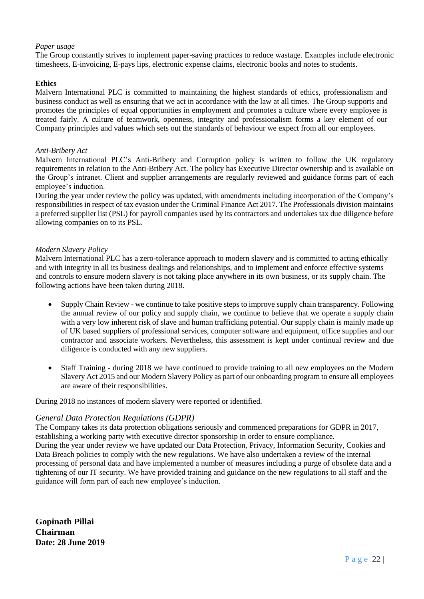### *Paper usage*

The Group constantly strives to implement paper-saving practices to reduce wastage. Examples include electronic timesheets, E-invoicing, E-pays lips, electronic expense claims, electronic books and notes to students.

### **Ethics**

Malvern International PLC is committed to maintaining the highest standards of ethics, professionalism and business conduct as well as ensuring that we act in accordance with the law at all times. The Group supports and promotes the principles of equal opportunities in employment and promotes a culture where every employee is treated fairly. A culture of teamwork, openness, integrity and professionalism forms a key element of our Company principles and values which sets out the standards of behaviour we expect from all our employees.

### *Anti-Bribery Act*

Malvern International PLC's Anti-Bribery and Corruption policy is written to follow the UK regulatory requirements in relation to the Anti-Bribery Act. The policy has Executive Director ownership and is available on the Group's intranet. Client and supplier arrangements are regularly reviewed and guidance forms part of each employee's induction.

During the year under review the policy was updated, with amendments including incorporation of the Company's responsibilities in respect of tax evasion under the Criminal Finance Act 2017. The Professionals division maintains a preferred supplier list (PSL) for payroll companies used by its contractors and undertakes tax due diligence before allowing companies on to its PSL.

### *Modern Slavery Policy*

Malvern International PLC has a zero-tolerance approach to modern slavery and is committed to acting ethically and with integrity in all its business dealings and relationships, and to implement and enforce effective systems and controls to ensure modern slavery is not taking place anywhere in its own business, or its supply chain. The following actions have been taken during 2018.

- Supply Chain Review we continue to take positive steps to improve supply chain transparency. Following the annual review of our policy and supply chain, we continue to believe that we operate a supply chain with a very low inherent risk of slave and human trafficking potential. Our supply chain is mainly made up of UK based suppliers of professional services, computer software and equipment, office supplies and our contractor and associate workers. Nevertheless, this assessment is kept under continual review and due diligence is conducted with any new suppliers.
- Staff Training during 2018 we have continued to provide training to all new employees on the Modern Slavery Act 2015 and our Modern Slavery Policy as part of our onboarding program to ensure all employees are aware of their responsibilities.

During 2018 no instances of modern slavery were reported or identified.

### *General Data Protection Regulations (GDPR)*

The Company takes its data protection obligations seriously and commenced preparations for GDPR in 2017, establishing a working party with executive director sponsorship in order to ensure compliance. During the year under review we have updated our Data Protection, Privacy, Information Security, Cookies and Data Breach policies to comply with the new regulations. We have also undertaken a review of the internal processing of personal data and have implemented a number of measures including a purge of obsolete data and a tightening of our IT security. We have provided training and guidance on the new regulations to all staff and the guidance will form part of each new employee's induction.

**Gopinath Pillai Chairman Date: 28 June 2019**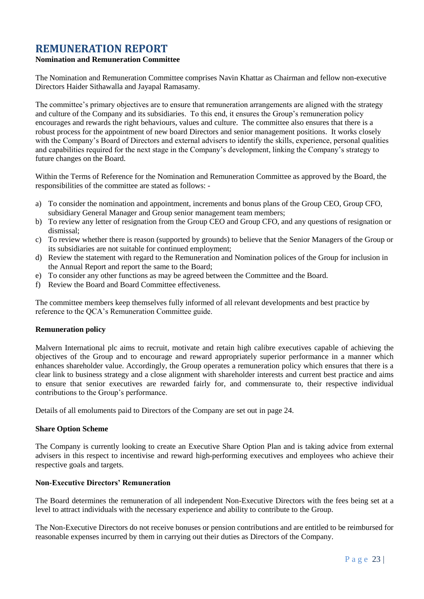### <span id="page-24-0"></span>**REMUNERATION REPORT**

### **Nomination and Remuneration Committee**

The Nomination and Remuneration Committee comprises Navin Khattar as Chairman and fellow non-executive Directors Haider Sithawalla and Jayapal Ramasamy.

The committee's primary objectives are to ensure that remuneration arrangements are aligned with the strategy and culture of the Company and its subsidiaries. To this end, it ensures the Group's remuneration policy encourages and rewards the right behaviours, values and culture. The committee also ensures that there is a robust process for the appointment of new board Directors and senior management positions. It works closely with the Company's Board of Directors and external advisers to identify the skills, experience, personal qualities and capabilities required for the next stage in the Company's development, linking the Company's strategy to future changes on the Board.

Within the Terms of Reference for the Nomination and Remuneration Committee as approved by the Board, the responsibilities of the committee are stated as follows: -

- a) To consider the nomination and appointment, increments and bonus plans of the Group CEO, Group CFO, subsidiary General Manager and Group senior management team members;
- b) To review any letter of resignation from the Group CEO and Group CFO, and any questions of resignation or dismissal;
- c) To review whether there is reason (supported by grounds) to believe that the Senior Managers of the Group or its subsidiaries are not suitable for continued employment;
- d) Review the statement with regard to the Remuneration and Nomination polices of the Group for inclusion in the Annual Report and report the same to the Board;
- e) To consider any other functions as may be agreed between the Committee and the Board.
- f) Review the Board and Board Committee effectiveness.

The committee members keep themselves fully informed of all relevant developments and best practice by reference to the QCA's Remuneration Committee guide.

### **Remuneration policy**

Malvern International plc aims to recruit, motivate and retain high calibre executives capable of achieving the objectives of the Group and to encourage and reward appropriately superior performance in a manner which enhances shareholder value. Accordingly, the Group operates a remuneration policy which ensures that there is a clear link to business strategy and a close alignment with shareholder interests and current best practice and aims to ensure that senior executives are rewarded fairly for, and commensurate to, their respective individual contributions to the Group's performance.

Details of all emoluments paid to Directors of the Company are set out in page 24.

#### **Share Option Scheme**

The Company is currently looking to create an Executive Share Option Plan and is taking advice from external advisers in this respect to incentivise and reward high-performing executives and employees who achieve their respective goals and targets.

### **Non-Executive Directors' Remuneration**

The Board determines the remuneration of all independent Non-Executive Directors with the fees being set at a level to attract individuals with the necessary experience and ability to contribute to the Group.

The Non-Executive Directors do not receive bonuses or pension contributions and are entitled to be reimbursed for reasonable expenses incurred by them in carrying out their duties as Directors of the Company.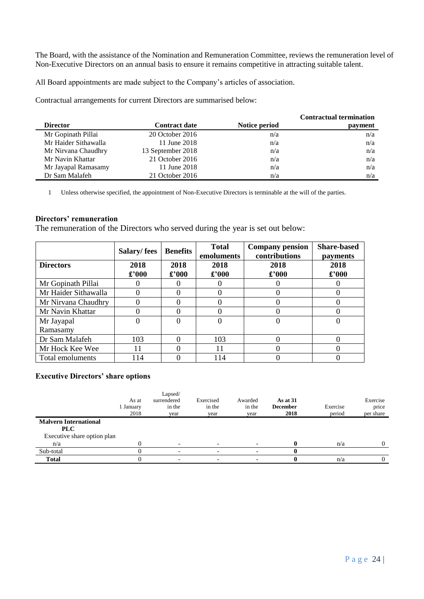The Board, with the assistance of the Nomination and Remuneration Committee, reviews the remuneration level of Non-Executive Directors on an annual basis to ensure it remains competitive in attracting suitable talent.

All Board appointments are made subject to the Company's articles of association.

Contractual arrangements for current Directors are summarised below:

|                      |                      |               | <b>Contractual termination</b> |
|----------------------|----------------------|---------------|--------------------------------|
| <b>Director</b>      | <b>Contract date</b> | Notice period | payment                        |
| Mr Gopinath Pillai   | 20 October 2016      | n/a           | n/a                            |
| Mr Haider Sithawalla | 11 June 2018         | n/a           | n/a                            |
| Mr Nirvana Chaudhry  | 13 September 2018    | n/a           | n/a                            |
| Mr Navin Khattar     | 21 October 2016      | n/a           | n/a                            |
| Mr Jayapal Ramasamy  | 11 June 2018         | n/a           | n/a                            |
| Dr Sam Malafeh       | 21 October 2016      | n/a           | n/a                            |

1 Unless otherwise specified, the appointment of Non-Executive Directors is terminable at the will of the parties.

### **Directors' remuneration**

The remuneration of the Directors who served during the year is set out below:

|                      | Salary/fees    | <b>Benefits</b> | <b>Total</b><br>emoluments | <b>Company pension</b><br>contributions | <b>Share-based</b><br><b>payments</b> |
|----------------------|----------------|-----------------|----------------------------|-----------------------------------------|---------------------------------------|
| <b>Directors</b>     | 2018           | 2018            | 2018                       | 2018                                    | 2018                                  |
|                      | $\pounds$ '000 | £'000           | $\pounds$ '000             | $\pounds$ '000                          | £'000                                 |
| Mr Gopinath Pillai   |                |                 |                            |                                         |                                       |
| Mr Haider Sithawalla |                |                 |                            |                                         |                                       |
| Mr Nirvana Chaudhry  |                | 0               |                            |                                         |                                       |
| Mr Navin Khattar     |                | 0               |                            |                                         |                                       |
| Mr Jayapal           |                | $\Omega$        |                            |                                         |                                       |
| Ramasamy             |                |                 |                            |                                         |                                       |
| Dr Sam Malafeh       | 103            | 0               | 103                        |                                         |                                       |
| Mr Hock Kee Wee      |                | ∩               | 11                         |                                         |                                       |
| Total emoluments     | 114            |                 | 114                        |                                         |                                       |

### **Executive Directors' share options**

|                                            | As at<br>1 January<br>2018 | Lapsed/<br>surrendered<br>in the<br>vear | Exercised<br>in the<br>year | Awarded<br>in the<br>year | As at $31$<br><b>December</b><br>2018 | Exercise<br>period | Exercise<br>price<br>per share |
|--------------------------------------------|----------------------------|------------------------------------------|-----------------------------|---------------------------|---------------------------------------|--------------------|--------------------------------|
| <b>Malvern International</b><br><b>PLC</b> |                            |                                          |                             |                           |                                       |                    |                                |
| Executive share option plan                |                            |                                          |                             |                           |                                       |                    |                                |
| n/a                                        |                            | $\overline{\phantom{a}}$                 |                             |                           |                                       | n/a                |                                |
| Sub-total                                  |                            | $\overline{\phantom{0}}$                 |                             |                           |                                       |                    |                                |
| <b>Total</b>                               |                            | $\overline{\phantom{0}}$                 |                             |                           |                                       | n/a                |                                |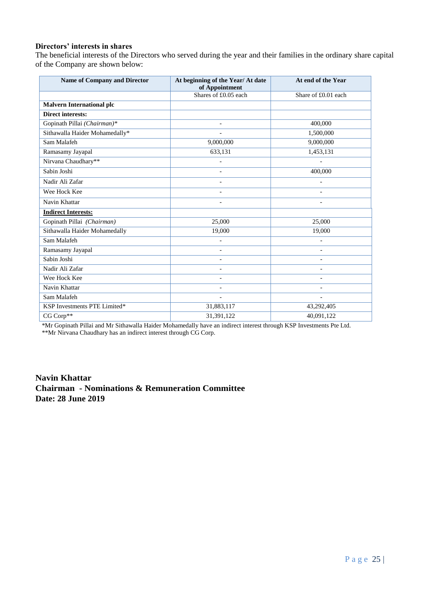### **Directors' interests in shares**

The beneficial interests of the Directors who served during the year and their families in the ordinary share capital of the Company are shown below:

| <b>Name of Company and Director</b> | At beginning of the Year/ At date<br>of Appointment | At end of the Year       |
|-------------------------------------|-----------------------------------------------------|--------------------------|
|                                     | Shares of £0.05 each                                | Share of £0.01 each      |
| <b>Malvern International plc</b>    |                                                     |                          |
| <b>Direct interests:</b>            |                                                     |                          |
| Gopinath Pillai (Chairman)*         | $\overline{\phantom{a}}$                            | 400,000                  |
| Sithawalla Haider Mohamedally*      | $\blacksquare$                                      | 1,500,000                |
| Sam Malafeh                         | 9,000,000                                           | 9,000,000                |
| Ramasamy Jayapal                    | 633,131                                             | 1,453,131                |
| Nirvana Chaudhary**                 |                                                     |                          |
| Sabin Joshi                         |                                                     | 400,000                  |
| Nadir Ali Zafar                     | $\blacksquare$                                      | $\overline{a}$           |
| Wee Hock Kee                        | $\blacksquare$                                      | $\overline{\phantom{a}}$ |
| Navin Khattar                       |                                                     |                          |
| <b>Indirect Interests:</b>          |                                                     |                          |
| Gopinath Pillai (Chairman)          | 25,000                                              | 25,000                   |
| Sithawalla Haider Mohamedally       | 19,000                                              | 19,000                   |
| Sam Malafeh                         | $\overline{a}$                                      | $\overline{\phantom{a}}$ |
| Ramasamy Jayapal                    | $\overline{\phantom{a}}$                            |                          |
| Sabin Joshi                         | $\overline{\phantom{a}}$                            | $\overline{\phantom{a}}$ |
| Nadir Ali Zafar                     |                                                     |                          |
| Wee Hock Kee                        |                                                     |                          |
| Navin Khattar                       | $\blacksquare$                                      | $\overline{a}$           |
| Sam Malafeh                         | $\overline{\phantom{a}}$                            | $\overline{\phantom{a}}$ |
| KSP Investments PTE Limited*        | 31,883,117                                          | 43,292,405               |
| CG Corp**                           | 31,391,122                                          | 40,091,122               |

\*Mr Gopinath Pillai and Mr Sithawalla Haider Mohamedally have an indirect interest through KSP Investments Pte Ltd.

\*\*Mr Nirvana Chaudhary has an indirect interest through CG Corp.

**Navin Khattar Chairman - Nominations & Remuneration Committee Date: 28 June 2019**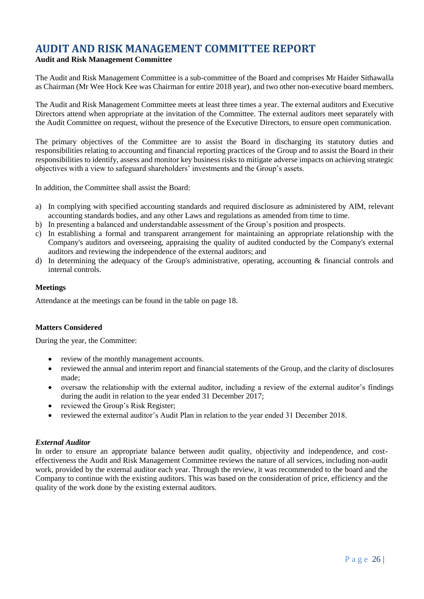### <span id="page-27-0"></span>**AUDIT AND RISK MANAGEMENT COMMITTEE REPORT**

### **Audit and Risk Management Committee**

The Audit and Risk Management Committee is a sub-committee of the Board and comprises Mr Haider Sithawalla as Chairman (Mr Wee Hock Kee was Chairman for entire 2018 year), and two other non-executive board members.

The Audit and Risk Management Committee meets at least three times a year. The external auditors and Executive Directors attend when appropriate at the invitation of the Committee. The external auditors meet separately with the Audit Committee on request, without the presence of the Executive Directors, to ensure open communication.

The primary objectives of the Committee are to assist the Board in discharging its statutory duties and responsibilities relating to accounting and financial reporting practices of the Group and to assist the Board in their responsibilities to identify, assess and monitor key business risks to mitigate adverse impacts on achieving strategic objectives with a view to safeguard shareholders' investments and the Group's assets.

In addition, the Committee shall assist the Board:

- a) In complying with specified accounting standards and required disclosure as administered by AIM, relevant accounting standards bodies, and any other Laws and regulations as amended from time to time.
- b) In presenting a balanced and understandable assessment of the Group's position and prospects.
- c) In establishing a formal and transparent arrangement for maintaining an appropriate relationship with the Company's auditors and overseeing, appraising the quality of audited conducted by the Company's external auditors and reviewing the independence of the external auditors; and
- d) In determining the adequacy of the Group's administrative, operating, accounting & financial controls and internal controls.

### **Meetings**

Attendance at the meetings can be found in the table on page 18.

### **Matters Considered**

During the year, the Committee:

- review of the monthly management accounts.
- reviewed the annual and interim report and financial statements of the Group, and the clarity of disclosures made;
- oversaw the relationship with the external auditor, including a review of the external auditor's findings during the audit in relation to the year ended 31 December 2017;
- reviewed the Group's Risk Register;
- reviewed the external auditor's Audit Plan in relation to the year ended 31 December 2018.

### *External Auditor*

In order to ensure an appropriate balance between audit quality, objectivity and independence, and costeffectiveness the Audit and Risk Management Committee reviews the nature of all services, including non-audit work, provided by the external auditor each year. Through the review, it was recommended to the board and the Company to continue with the existing auditors. This was based on the consideration of price, efficiency and the quality of the work done by the existing external auditors.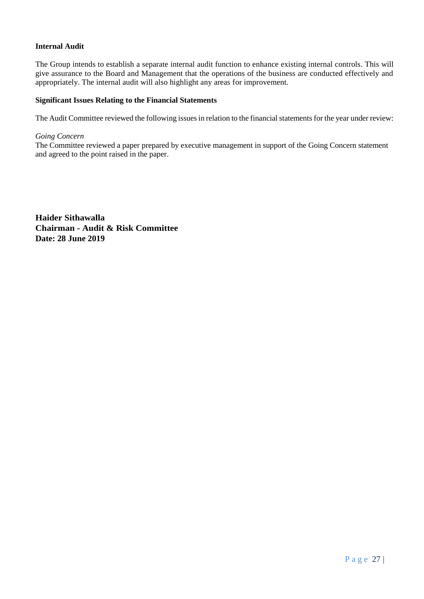### **Internal Audit**

The Group intends to establish a separate internal audit function to enhance existing internal controls. This will give assurance to the Board and Management that the operations of the business are conducted effectively and appropriately. The internal audit will also highlight any areas for improvement.

### **Significant Issues Relating to the Financial Statements**

The Audit Committee reviewed the following issues in relation to the financial statements for the year under review:

### *Going Concern*

The Committee reviewed a paper prepared by executive management in support of the Going Concern statement and agreed to the point raised in the paper.

**Haider Sithawalla Chairman - Audit & Risk Committee Date: 28 June 2019**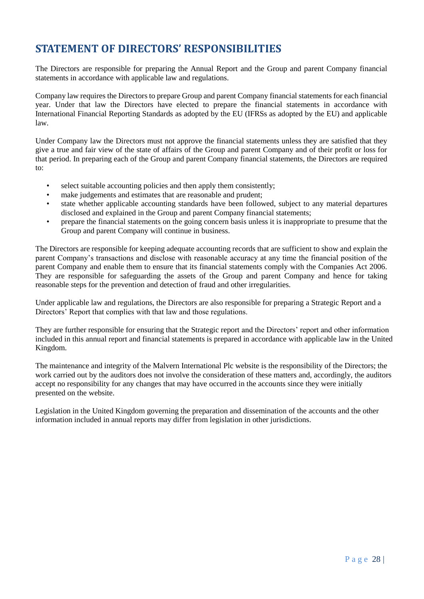### <span id="page-29-0"></span>**STATEMENT OF DIRECTORS' RESPONSIBILITIES**

The Directors are responsible for preparing the Annual Report and the Group and parent Company financial statements in accordance with applicable law and regulations.

Company law requires the Directors to prepare Group and parent Company financial statements for each financial year. Under that law the Directors have elected to prepare the financial statements in accordance with International Financial Reporting Standards as adopted by the EU (IFRSs as adopted by the EU) and applicable law.

Under Company law the Directors must not approve the financial statements unless they are satisfied that they give a true and fair view of the state of affairs of the Group and parent Company and of their profit or loss for that period. In preparing each of the Group and parent Company financial statements, the Directors are required to:

- select suitable accounting policies and then apply them consistently;
- make judgements and estimates that are reasonable and prudent;
- state whether applicable accounting standards have been followed, subject to any material departures disclosed and explained in the Group and parent Company financial statements;
- prepare the financial statements on the going concern basis unless it is inappropriate to presume that the Group and parent Company will continue in business.

The Directors are responsible for keeping adequate accounting records that are sufficient to show and explain the parent Company's transactions and disclose with reasonable accuracy at any time the financial position of the parent Company and enable them to ensure that its financial statements comply with the Companies Act 2006. They are responsible for safeguarding the assets of the Group and parent Company and hence for taking reasonable steps for the prevention and detection of fraud and other irregularities.

Under applicable law and regulations, the Directors are also responsible for preparing a Strategic Report and a Directors' Report that complies with that law and those regulations.

They are further responsible for ensuring that the Strategic report and the Directors' report and other information included in this annual report and financial statements is prepared in accordance with applicable law in the United Kingdom.

The maintenance and integrity of the Malvern International Plc website is the responsibility of the Directors; the work carried out by the auditors does not involve the consideration of these matters and, accordingly, the auditors accept no responsibility for any changes that may have occurred in the accounts since they were initially presented on the website.

Legislation in the United Kingdom governing the preparation and dissemination of the accounts and the other information included in annual reports may differ from legislation in other jurisdictions.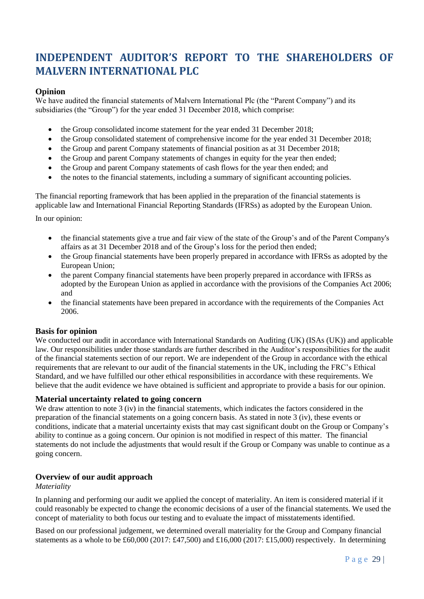## <span id="page-30-0"></span>**INDEPENDENT AUDITOR'S REPORT TO THE SHAREHOLDERS OF MALVERN INTERNATIONAL PLC**

### **Opinion**

We have audited the financial statements of Malvern International Plc (the "Parent Company") and its subsidiaries (the "Group") for the year ended 31 December 2018, which comprise:

- the Group consolidated income statement for the year ended 31 December 2018;
- the Group consolidated statement of comprehensive income for the year ended 31 December 2018;
- the Group and parent Company statements of financial position as at 31 December 2018;
- the Group and parent Company statements of changes in equity for the year then ended;
- the Group and parent Company statements of cash flows for the year then ended; and
- the notes to the financial statements, including a summary of significant accounting policies.

The financial reporting framework that has been applied in the preparation of the financial statements is applicable law and International Financial Reporting Standards (IFRSs) as adopted by the European Union.

In our opinion:

- the financial statements give a true and fair view of the state of the Group's and of the Parent Company's affairs as at 31 December 2018 and of the Group's loss for the period then ended;
- the Group financial statements have been properly prepared in accordance with IFRSs as adopted by the European Union;
- the parent Company financial statements have been properly prepared in accordance with IFRSs as adopted by the European Union as applied in accordance with the provisions of the Companies Act 2006; and
- the financial statements have been prepared in accordance with the requirements of the Companies Act 2006.

### **Basis for opinion**

We conducted our audit in accordance with International Standards on Auditing (UK) (ISAs (UK)) and applicable law. Our responsibilities under those standards are further described in the Auditor's responsibilities for the audit of the financial statements section of our report. We are independent of the Group in accordance with the ethical requirements that are relevant to our audit of the financial statements in the UK, including the FRC's Ethical Standard, and we have fulfilled our other ethical responsibilities in accordance with these requirements. We believe that the audit evidence we have obtained is sufficient and appropriate to provide a basis for our opinion.

### **Material uncertainty related to going concern**

We draw attention to note 3 (iv) in the financial statements, which indicates the factors considered in the preparation of the financial statements on a going concern basis. As stated in note 3 (iv), these events or conditions, indicate that a material uncertainty exists that may cast significant doubt on the Group or Company's ability to continue as a going concern. Our opinion is not modified in respect of this matter. The financial statements do not include the adjustments that would result if the Group or Company was unable to continue as a going concern.

### **Overview of our audit approach**

### *Materiality*

In planning and performing our audit we applied the concept of materiality. An item is considered material if it could reasonably be expected to change the economic decisions of a user of the financial statements. We used the concept of materiality to both focus our testing and to evaluate the impact of misstatements identified.

Based on our professional judgement, we determined overall materiality for the Group and Company financial statements as a whole to be £60,000 (2017: £47,500) and £16,000 (2017: £15,000) respectively. In determining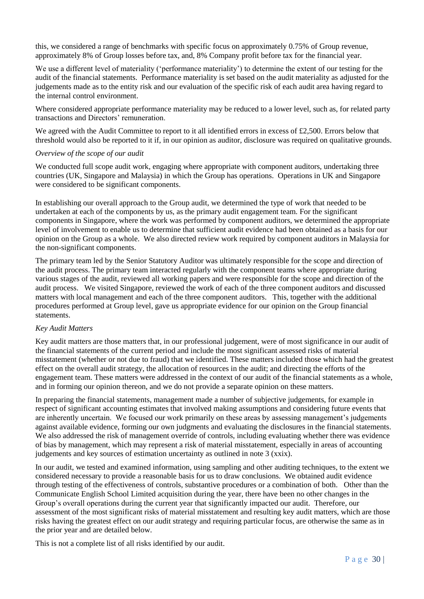this, we considered a range of benchmarks with specific focus on approximately 0.75% of Group revenue, approximately 8% of Group losses before tax, and, 8% Company profit before tax for the financial year.

We use a different level of materiality ('performance materiality') to determine the extent of our testing for the audit of the financial statements. Performance materiality is set based on the audit materiality as adjusted for the judgements made as to the entity risk and our evaluation of the specific risk of each audit area having regard to the internal control environment.

Where considered appropriate performance materiality may be reduced to a lower level, such as, for related party transactions and Directors' remuneration.

We agreed with the Audit Committee to report to it all identified errors in excess of £2,500. Errors below that threshold would also be reported to it if, in our opinion as auditor, disclosure was required on qualitative grounds.

### *Overview of the scope of our audit*

We conducted full scope audit work, engaging where appropriate with component auditors, undertaking three countries (UK, Singapore and Malaysia) in which the Group has operations. Operations in UK and Singapore were considered to be significant components.

In establishing our overall approach to the Group audit, we determined the type of work that needed to be undertaken at each of the components by us, as the primary audit engagement team. For the significant components in Singapore, where the work was performed by component auditors, we determined the appropriate level of involvement to enable us to determine that sufficient audit evidence had been obtained as a basis for our opinion on the Group as a whole. We also directed review work required by component auditors in Malaysia for the non-significant components.

The primary team led by the Senior Statutory Auditor was ultimately responsible for the scope and direction of the audit process. The primary team interacted regularly with the component teams where appropriate during various stages of the audit, reviewed all working papers and were responsible for the scope and direction of the audit process. We visited Singapore, reviewed the work of each of the three component auditors and discussed matters with local management and each of the three component auditors. This, together with the additional procedures performed at Group level, gave us appropriate evidence for our opinion on the Group financial statements.

### *Key Audit Matters*

Key audit matters are those matters that, in our professional judgement, were of most significance in our audit of the financial statements of the current period and include the most significant assessed risks of material misstatement (whether or not due to fraud) that we identified. These matters included those which had the greatest effect on the overall audit strategy, the allocation of resources in the audit; and directing the efforts of the engagement team. These matters were addressed in the context of our audit of the financial statements as a whole, and in forming our opinion thereon, and we do not provide a separate opinion on these matters.

In preparing the financial statements, management made a number of subjective judgements, for example in respect of significant accounting estimates that involved making assumptions and considering future events that are inherently uncertain. We focused our work primarily on these areas by assessing management's judgements against available evidence, forming our own judgments and evaluating the disclosures in the financial statements. We also addressed the risk of management override of controls, including evaluating whether there was evidence of bias by management, which may represent a risk of material misstatement, especially in areas of accounting judgements and key sources of estimation uncertainty as outlined in note 3 (xxix).

In our audit, we tested and examined information, using sampling and other auditing techniques, to the extent we considered necessary to provide a reasonable basis for us to draw conclusions. We obtained audit evidence through testing of the effectiveness of controls, substantive procedures or a combination of both. Other than the Communicate English School Limited acquisition during the year, there have been no other changes in the Group's overall operations during the current year that significantly impacted our audit. Therefore, our assessment of the most significant risks of material misstatement and resulting key audit matters, which are those risks having the greatest effect on our audit strategy and requiring particular focus, are otherwise the same as in the prior year and are detailed below.

This is not a complete list of all risks identified by our audit.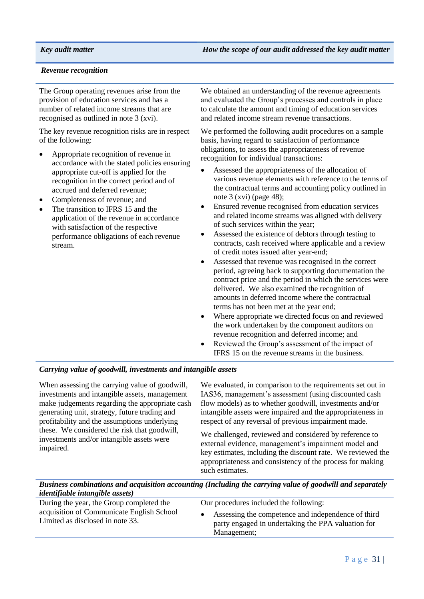### *Revenue recognition*

The Group operating revenues arise from the provision of education services and has a number of related income streams that are recognised as outlined in note 3 (xvi).

The key revenue recognition risks are in respect of the following:

- Appropriate recognition of revenue in accordance with the stated policies ensuring appropriate cut-off is applied for the recognition in the correct period and of accrued and deferred revenue;
- Completeness of revenue; and
- The transition to IFRS 15 and the application of the revenue in accordance with satisfaction of the respective performance obligations of each revenue stream.

We obtained an understanding of the revenue agreements and evaluated the Group's processes and controls in place to calculate the amount and timing of education services and related income stream revenue transactions.

We performed the following audit procedures on a sample basis, having regard to satisfaction of performance obligations, to assess the appropriateness of revenue recognition for individual transactions:

- Assessed the appropriateness of the allocation of various revenue elements with reference to the terms of the contractual terms and accounting policy outlined in note 3 (xvi) (page 48);
- Ensured revenue recognised from education services and related income streams was aligned with delivery of such services within the year;
- Assessed the existence of debtors through testing to contracts, cash received where applicable and a review of credit notes issued after year-end;
- Assessed that revenue was recognised in the correct period, agreeing back to supporting documentation the contract price and the period in which the services were delivered. We also examined the recognition of amounts in deferred income where the contractual terms has not been met at the year end;
- Where appropriate we directed focus on and reviewed the work undertaken by the component auditors on revenue recognition and deferred income; and
- Reviewed the Group's assessment of the impact of IFRS 15 on the revenue streams in the business.

### *Carrying value of goodwill, investments and intangible assets*

When assessing the carrying value of goodwill, investments and intangible assets, management make judgements regarding the appropriate cash generating unit, strategy, future trading and profitability and the assumptions underlying these. We considered the risk that goodwill, investments and/or intangible assets were impaired.

We evaluated, in comparison to the requirements set out in IAS36, management's assessment (using discounted cash flow models) as to whether goodwill, investments and/or intangible assets were impaired and the appropriateness in respect of any reversal of previous impairment made.

We challenged, reviewed and considered by reference to external evidence, management's impairment model and key estimates, including the discount rate. We reviewed the appropriateness and consistency of the process for making such estimates.

*Business combinations and acquisition accounting (Including the carrying value of goodwill and separately identifiable intangible assets)*

| During the year, the Group completed the                                      | Our procedures included the following:                                                                                  |
|-------------------------------------------------------------------------------|-------------------------------------------------------------------------------------------------------------------------|
| acquisition of Communicate English School<br>Limited as disclosed in note 33. | Assessing the competence and independence of third<br>party engaged in undertaking the PPA valuation for<br>Management; |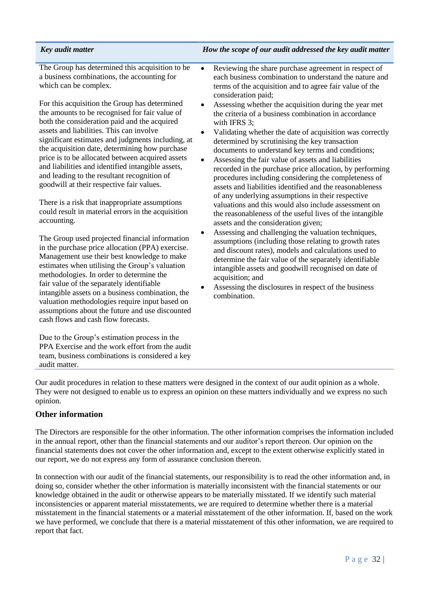### *Key audit matter How the scope of our audit addressed the key audit matter*

The Group has determined this acquisition to be a business combinations, the accounting for which can be complex.

For this acquisition the Group has determined the amounts to be recognised for fair value of both the consideration paid and the acquired assets and liabilities. This can involve significant estimates and judgments including, at the acquisition date, determining how purchase price is to be allocated between acquired assets and liabilities and identified intangible assets, and leading to the resultant recognition of goodwill at their respective fair values.

There is a risk that inappropriate assumptions could result in material errors in the acquisition accounting.

The Group used projected financial information in the purchase price allocation (PPA) exercise. Management use their best knowledge to make estimates when utilising the Group's valuation methodologies. In order to determine the fair value of the separately identifiable intangible assets on a business combination, the valuation methodologies require input based on assumptions about the future and use discounted cash flows and cash flow forecasts.

Due to the Group's estimation process in the PPA Exercise and the work effort from the audit team, business combinations is considered a key audit matter.

- Reviewing the share purchase agreement in respect of each business combination to understand the nature and terms of the acquisition and to agree fair value of the consideration paid;
- Assessing whether the acquisition during the year met the criteria of a business combination in accordance with IFRS 3:
- Validating whether the date of acquisition was correctly determined by scrutinising the key transaction documents to understand key terms and conditions;
- Assessing the fair value of assets and liabilities recorded in the purchase price allocation, by performing procedures including considering the completeness of assets and liabilities identified and the reasonableness of any underlying assumptions in their respective valuations and this would also include assessment on the reasonableness of the useful lives of the intangible assets and the consideration given;
- Assessing and challenging the valuation techniques, assumptions (including those relating to growth rates and discount rates), models and calculations used to determine the fair value of the separately identifiable intangible assets and goodwill recognised on date of acquisition; and
- Assessing the disclosures in respect of the business combination.

Our audit procedures in relation to these matters were designed in the context of our audit opinion as a whole. They were not designed to enable us to express an opinion on these matters individually and we express no such opinion.

### **Other information**

The Directors are responsible for the other information. The other information comprises the information included in the annual report, other than the financial statements and our auditor's report thereon. Our opinion on the financial statements does not cover the other information and, except to the extent otherwise explicitly stated in our report, we do not express any form of assurance conclusion thereon.

In connection with our audit of the financial statements, our responsibility is to read the other information and, in doing so, consider whether the other information is materially inconsistent with the financial statements or our knowledge obtained in the audit or otherwise appears to be materially misstated. If we identify such material inconsistencies or apparent material misstatements, we are required to determine whether there is a material misstatement in the financial statements or a material misstatement of the other information. If, based on the work we have performed, we conclude that there is a material misstatement of this other information, we are required to report that fact.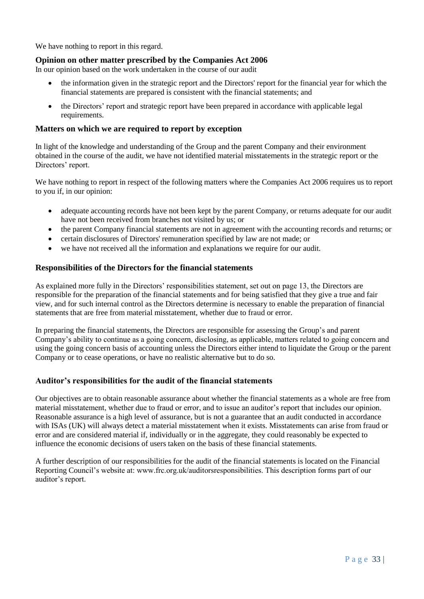We have nothing to report in this regard.

### **Opinion on other matter prescribed by the Companies Act 2006**

In our opinion based on the work undertaken in the course of our audit

- the information given in the strategic report and the Directors' report for the financial year for which the financial statements are prepared is consistent with the financial statements; and
- the Directors' report and strategic report have been prepared in accordance with applicable legal requirements.

### **Matters on which we are required to report by exception**

In light of the knowledge and understanding of the Group and the parent Company and their environment obtained in the course of the audit, we have not identified material misstatements in the strategic report or the Directors' report.

We have nothing to report in respect of the following matters where the Companies Act 2006 requires us to report to you if, in our opinion:

- adequate accounting records have not been kept by the parent Company, or returns adequate for our audit have not been received from branches not visited by us; or
- the parent Company financial statements are not in agreement with the accounting records and returns; or
- certain disclosures of Directors' remuneration specified by law are not made; or
- we have not received all the information and explanations we require for our audit.

### **Responsibilities of the Directors for the financial statements**

As explained more fully in the Directors' responsibilities statement, set out on page 13, the Directors are responsible for the preparation of the financial statements and for being satisfied that they give a true and fair view, and for such internal control as the Directors determine is necessary to enable the preparation of financial statements that are free from material misstatement, whether due to fraud or error.

In preparing the financial statements, the Directors are responsible for assessing the Group's and parent Company's ability to continue as a going concern, disclosing, as applicable, matters related to going concern and using the going concern basis of accounting unless the Directors either intend to liquidate the Group or the parent Company or to cease operations, or have no realistic alternative but to do so.

### **Auditor's responsibilities for the audit of the financial statements**

Our objectives are to obtain reasonable assurance about whether the financial statements as a whole are free from material misstatement, whether due to fraud or error, and to issue an auditor's report that includes our opinion. Reasonable assurance is a high level of assurance, but is not a guarantee that an audit conducted in accordance with ISAs (UK) will always detect a material misstatement when it exists. Misstatements can arise from fraud or error and are considered material if, individually or in the aggregate, they could reasonably be expected to influence the economic decisions of users taken on the basis of these financial statements.

A further description of our responsibilities for the audit of the financial statements is located on the Financial Reporting Council's website at: www.frc.org.uk/auditorsresponsibilities. This description forms part of our auditor's report.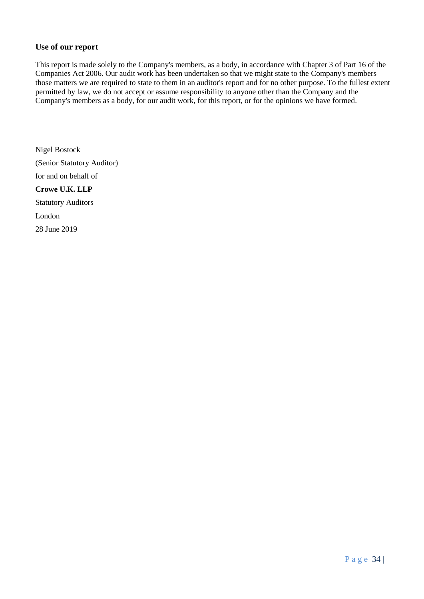### **Use of our report**

This report is made solely to the Company's members, as a body, in accordance with Chapter 3 of Part 16 of the Companies Act 2006. Our audit work has been undertaken so that we might state to the Company's members those matters we are required to state to them in an auditor's report and for no other purpose. To the fullest extent permitted by law, we do not accept or assume responsibility to anyone other than the Company and the Company's members as a body, for our audit work, for this report, or for the opinions we have formed.

Nigel Bostock (Senior Statutory Auditor) for and on behalf of **Crowe U.K. LLP** Statutory Auditors London 28 June 2019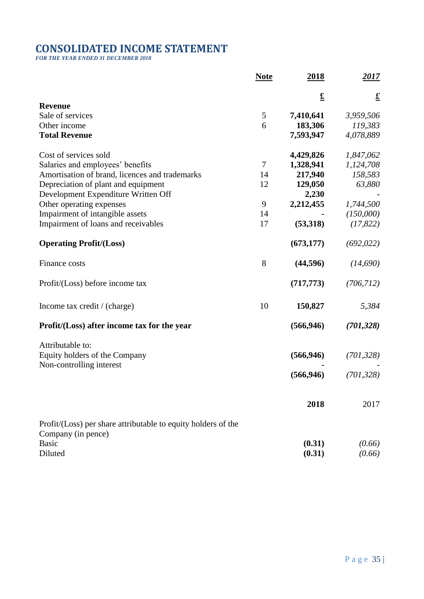# **CONSOLIDATED INCOME STATEMENT**

*FOR THE YEAR ENDED 31 DECEMBER 2018*

|                                                               | <b>Note</b>    | <u> 2018 </u>         | <u> 2017 </u>         |
|---------------------------------------------------------------|----------------|-----------------------|-----------------------|
|                                                               |                | $\underline{\pounds}$ | $\underline{\pounds}$ |
| <b>Revenue</b>                                                |                |                       |                       |
| Sale of services                                              | 5              | 7,410,641             | 3,959,506             |
| Other income                                                  | 6              | 183,306               | 119,383               |
| <b>Total Revenue</b>                                          |                | 7,593,947             | 4,078,889             |
| Cost of services sold                                         |                | 4,429,826             | 1,847,062             |
| Salaries and employees' benefits                              | $\overline{7}$ | 1,328,941             | 1,124,708             |
| Amortisation of brand, licences and trademarks                | 14             | 217,940               | 158,583               |
| Depreciation of plant and equipment                           | 12             | 129,050               | 63,880                |
| Development Expenditure Written Off                           |                | 2,230                 |                       |
| Other operating expenses                                      | 9              | 2,212,455             | 1,744,500             |
| Impairment of intangible assets                               | 14             |                       | (150,000)             |
| Impairment of loans and receivables                           | 17             | (53,318)              | (17, 822)             |
| <b>Operating Profit/(Loss)</b>                                |                | (673, 177)            | (692, 022)            |
| Finance costs                                                 | 8              | (44, 596)             | (14,690)              |
| Profit/(Loss) before income tax                               |                | (717, 773)            | (706, 712)            |
| Income tax credit / (charge)                                  | 10             | 150,827               | 5,384                 |
| Profit/(Loss) after income tax for the year                   |                | (566, 946)            | (701, 328)            |
| Attributable to:                                              |                |                       |                       |
| Equity holders of the Company<br>Non-controlling interest     |                | (566, 946)            | (701, 328)            |
|                                                               |                | (566, 946)            | (701, 328)            |
|                                                               |                | 2018                  | 2017                  |
| Profit/(Loss) per share attributable to equity holders of the |                |                       |                       |
| Company (in pence)                                            |                |                       |                       |
| <b>Basic</b>                                                  |                | (0.31)                | (0.66)                |
| Diluted                                                       |                | (0.31)                | (0.66)                |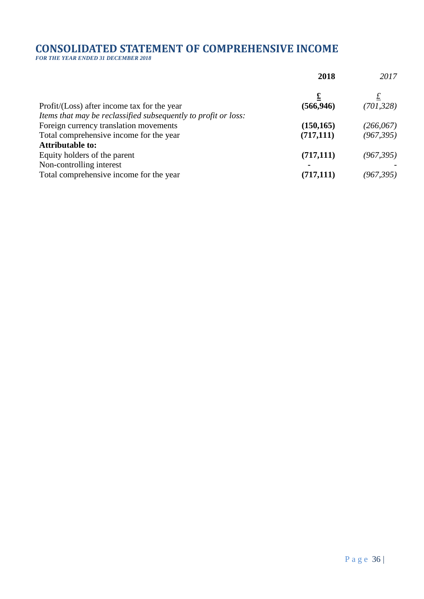# **CONSOLIDATED STATEMENT OF COMPREHENSIVE INCOME**

*FOR THE YEAR ENDED 31 DECEMBER 2018*

|                                                                | 2018           | 2017           |
|----------------------------------------------------------------|----------------|----------------|
|                                                                |                | $\overline{t}$ |
| Profit/(Loss) after income tax for the year                    | (566, 946)     | (701, 328)     |
| Items that may be reclassified subsequently to profit or loss: |                |                |
| Foreign currency translation movements                         | (150, 165)     | (266, 067)     |
| Total comprehensive income for the year                        | (717, 111)     | (967, 395)     |
| <b>Attributable to:</b>                                        |                |                |
| Equity holders of the parent                                   | (717, 111)     | (967, 395)     |
| Non-controlling interest                                       | $\blacksquare$ |                |
| Total comprehensive income for the year                        | (717, 111)     | (967, 395)     |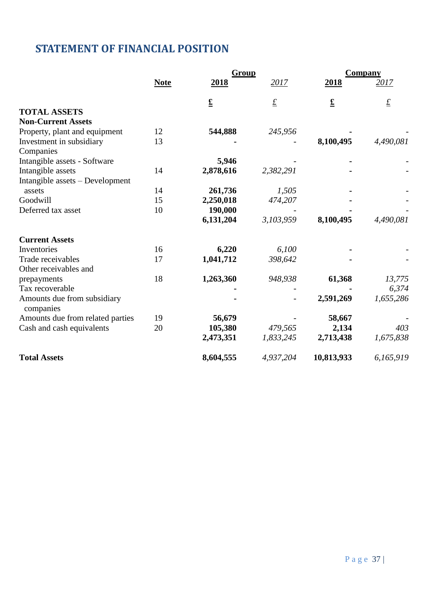# **STATEMENT OF FINANCIAL POSITION**

|                                          |             | Group                 |                 | <b>Company</b>           |                 |
|------------------------------------------|-------------|-----------------------|-----------------|--------------------------|-----------------|
|                                          | <b>Note</b> | 2018                  | 2017            | 2018                     | <u> 2017 </u>   |
|                                          |             | $\underline{\pounds}$ | $\underline{f}$ | $\underline{\mathbf{f}}$ | $\underline{f}$ |
| <b>TOTAL ASSETS</b>                      |             |                       |                 |                          |                 |
| <b>Non-Current Assets</b>                |             |                       |                 |                          |                 |
| Property, plant and equipment            | 12          | 544,888               | 245,956         |                          |                 |
| Investment in subsidiary<br>Companies    | 13          |                       |                 | 8,100,495                | 4,490,081       |
| Intangible assets - Software             |             | 5,946                 |                 |                          |                 |
| Intangible assets                        | 14          | 2,878,616             | 2,382,291       |                          |                 |
| Intangible assets – Development          |             |                       |                 |                          |                 |
| assets                                   | 14          | 261,736               | 1,505           |                          |                 |
| Goodwill                                 | 15          | 2,250,018             | 474,207         |                          |                 |
| Deferred tax asset                       | 10          | 190,000               |                 |                          |                 |
|                                          |             | 6,131,204             | 3,103,959       | 8,100,495                | 4,490,081       |
| <b>Current Assets</b>                    |             |                       |                 |                          |                 |
| Inventories                              | 16          | 6,220                 | 6,100           |                          |                 |
| Trade receivables                        | 17          | 1,041,712             | 398,642         |                          |                 |
| Other receivables and                    |             |                       |                 |                          |                 |
| prepayments                              | 18          | 1,263,360             | 948,938         | 61,368                   | 13,775          |
| Tax recoverable                          |             |                       |                 |                          | 6,374           |
| Amounts due from subsidiary<br>companies |             |                       |                 | 2,591,269                | 1,655,286       |
| Amounts due from related parties         | 19          | 56,679                |                 | 58,667                   |                 |
| Cash and cash equivalents                | 20          | 105,380               | 479,565         | 2,134                    | 403             |
|                                          |             | 2,473,351             | 1,833,245       | 2,713,438                | 1,675,838       |
| <b>Total Assets</b>                      |             | 8,604,555             | 4,937,204       | 10,813,933               | 6,165,919       |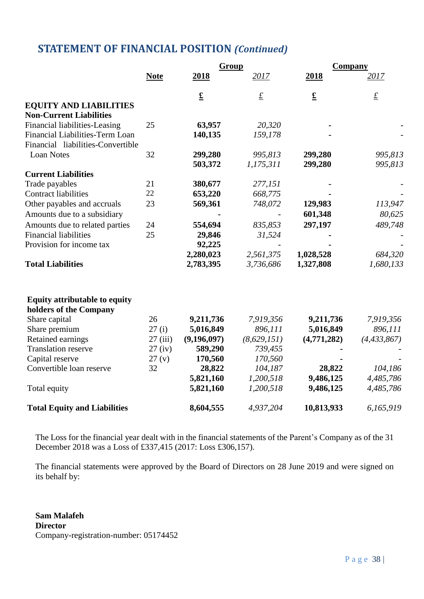# **STATEMENT OF FINANCIAL POSITION** *(Continued)*

|                                                                |             | Group                    |                 | <b>Company</b>           |                 |
|----------------------------------------------------------------|-------------|--------------------------|-----------------|--------------------------|-----------------|
|                                                                | <b>Note</b> | 2018                     | 2017            | 2018                     | 2017            |
|                                                                |             | $\underline{\mathbf{f}}$ | $\underline{f}$ | $\underline{\mathbf{f}}$ | $\underline{f}$ |
| <b>EQUITY AND LIABILITIES</b>                                  |             |                          |                 |                          |                 |
| <b>Non-Current Liabilities</b>                                 |             |                          |                 |                          |                 |
| Financial liabilities-Leasing                                  | 25          | 63,957                   | 20,320          |                          |                 |
| Financial Liabilities-Term Loan                                |             | 140,135                  | 159,178         |                          |                 |
| Financial liabilities-Convertible                              |             |                          |                 |                          |                 |
| <b>Loan Notes</b>                                              | 32          | 299,280                  | 995,813         | 299,280                  | 995,813         |
|                                                                |             | 503,372                  | 1,175,311       | 299,280                  | 995,813         |
| <b>Current Liabilities</b>                                     |             |                          |                 |                          |                 |
| Trade payables                                                 | 21          | 380,677                  | 277,151         |                          |                 |
| <b>Contract liabilities</b>                                    | 22          | 653,220                  | 668,775         |                          |                 |
| Other payables and accruals                                    | 23          | 569,361                  | 748,072         | 129,983                  | 113,947         |
| Amounts due to a subsidiary                                    |             |                          |                 | 601,348                  | 80,625          |
| Amounts due to related parties                                 | 24          | 554,694                  | 835,853         | 297,197                  | 489,748         |
| <b>Financial liabilities</b>                                   | 25          | 29,846                   | 31,524          |                          |                 |
| Provision for income tax                                       |             | 92,225                   |                 |                          |                 |
|                                                                |             | 2,280,023                | 2,561,375       | 1,028,528                | 684,320         |
| <b>Total Liabilities</b>                                       |             | 2,783,395                | 3,736,686       | 1,327,808                | 1,680,133       |
| <b>Equity attributable to equity</b><br>holders of the Company |             |                          |                 |                          |                 |
| Share capital                                                  | 26          | 9,211,736                | 7,919,356       | 9,211,736                | 7,919,356       |
| Share premium                                                  | 27(i)       | 5,016,849                | 896,111         | 5,016,849                | 896,111         |
| Retained earnings                                              | 27(iii)     | (9,196,097)              | (8, 629, 151)   | (4,771,282)              | (4, 433, 867)   |
| <b>Translation reserve</b>                                     | $27$ (iv)   | 589,290                  | 739,455         |                          |                 |
| Capital reserve                                                | 27(y)       | 170,560                  | 170,560         |                          |                 |
| Convertible loan reserve                                       | 32          | 28,822                   | 104,187         | 28,822                   | 104,186         |
|                                                                |             | 5,821,160                | 1,200,518       | 9,486,125                | 4,485,786       |
| Total equity                                                   |             | 5,821,160                | 1,200,518       | 9,486,125                | 4,485,786       |
| <b>Total Equity and Liabilities</b>                            |             | 8,604,555                | 4,937,204       | 10,813,933               | 6,165,919       |

The Loss for the financial year dealt with in the financial statements of the Parent's Company as of the 31 December 2018 was a Loss of £337,415 (2017: Loss £306,157).

The financial statements were approved by the Board of Directors on 28 June 2019 and were signed on its behalf by:

**Sam Malafeh Director** Company-registration-number: 05174452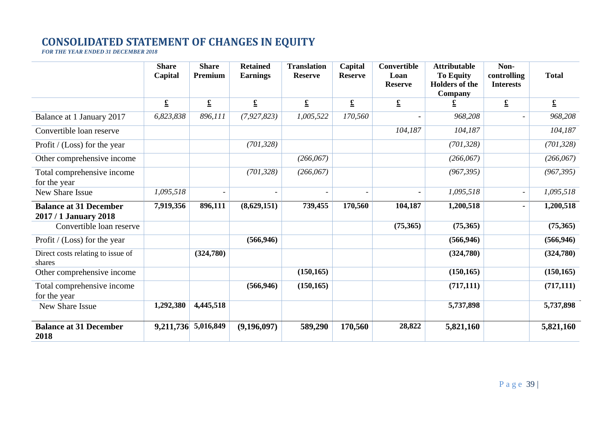# **CONSOLIDATED STATEMENT OF CHANGES IN EQUITY**

*FOR THE YEAR ENDED 31 DECEMBER 2018*

|                                                        | <b>Share</b><br>Capital | <b>Share</b><br>Premium | <b>Retained</b><br><b>Earnings</b> | <b>Translation</b><br><b>Reserve</b> | Capital<br><b>Reserve</b> | <b>Convertible</b><br>Loan<br><b>Reserve</b> | <b>Attributable</b><br><b>To Equity</b><br><b>Holders of the</b><br>Company | Non-<br>controlling<br><b>Interests</b> | <b>Total</b>          |
|--------------------------------------------------------|-------------------------|-------------------------|------------------------------------|--------------------------------------|---------------------------|----------------------------------------------|-----------------------------------------------------------------------------|-----------------------------------------|-----------------------|
|                                                        | $\underline{\pounds}$   | $\underline{\pounds}$   | $\underline{\pounds}$              | $\underline{\pounds}$                | $\underline{\pounds}$     | $\underline{\pounds}$                        | $\overline{\mathbf{r}}$                                                     | $\underline{\pounds}$                   | $\underline{\pounds}$ |
| Balance at 1 January 2017                              | 6,823,838               | 896,111                 | (7, 927, 823)                      | 1,005,522                            | 170,560                   |                                              | 968,208                                                                     |                                         | 968,208               |
| Convertible loan reserve                               |                         |                         |                                    |                                      |                           | 104,187                                      | 104,187                                                                     |                                         | 104,187               |
| Profit / (Loss) for the year                           |                         |                         | (701, 328)                         |                                      |                           |                                              | (701, 328)                                                                  |                                         | (701, 328)            |
| Other comprehensive income                             |                         |                         |                                    | (266, 067)                           |                           |                                              | (266,067)                                                                   |                                         | (266,067)             |
| Total comprehensive income<br>for the year             |                         |                         | (701, 328)                         | (266, 067)                           |                           |                                              | (967, 395)                                                                  |                                         | (967, 395)            |
| New Share Issue                                        | 1,095,518               |                         |                                    |                                      |                           |                                              | 1,095,518                                                                   |                                         | 1,095,518             |
| <b>Balance at 31 December</b><br>2017 / 1 January 2018 | 7,919,356               | 896,111                 | (8,629,151)                        | 739,455                              | 170,560                   | 104,187                                      | 1,200,518                                                                   |                                         | 1,200,518             |
| Convertible loan reserve                               |                         |                         |                                    |                                      |                           | (75,365)                                     | (75,365)                                                                    |                                         | (75,365)              |
| Profit / (Loss) for the year                           |                         |                         | (566, 946)                         |                                      |                           |                                              | (566, 946)                                                                  |                                         | (566, 946)            |
| Direct costs relating to issue of<br>shares            |                         | (324,780)               |                                    |                                      |                           |                                              | (324,780)                                                                   |                                         | (324,780)             |
| Other comprehensive income                             |                         |                         |                                    | (150, 165)                           |                           |                                              | (150, 165)                                                                  |                                         | (150, 165)            |
| Total comprehensive income<br>for the year             |                         |                         | (566, 946)                         | (150, 165)                           |                           |                                              | (717, 111)                                                                  |                                         | (717, 111)            |
| New Share Issue                                        | 1,292,380               | 4,445,518               |                                    |                                      |                           |                                              | 5,737,898                                                                   |                                         | 5,737,898             |
| <b>Balance at 31 December</b><br>2018                  |                         | 9,211,736 5,016,849     | (9,196,097)                        | 589,290                              | 170,560                   | 28,822                                       | 5,821,160                                                                   |                                         | 5,821,160             |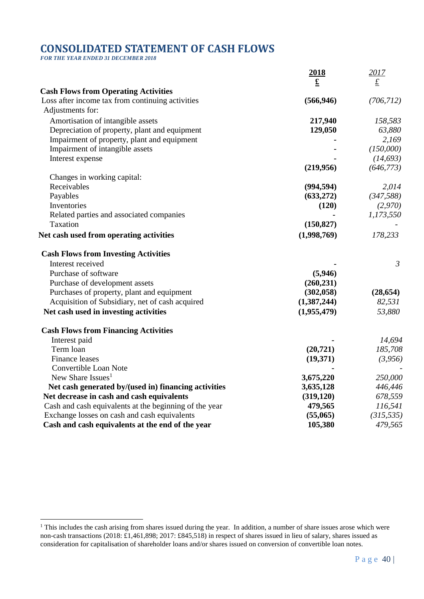# **CONSOLIDATED STATEMENT OF CASH FLOWS**

*FOR THE YEAR ENDED 31 DECEMBER 2018*

<u>.</u>

|                                                        | 2018               | 2017            |
|--------------------------------------------------------|--------------------|-----------------|
|                                                        | $\pmb{\mathbf{f}}$ | $\underline{f}$ |
| <b>Cash Flows from Operating Activities</b>            |                    |                 |
| Loss after income tax from continuing activities       | (566, 946)         | (706, 712)      |
| Adjustments for:                                       |                    |                 |
| Amortisation of intangible assets                      | 217,940            | 158,583         |
| Depreciation of property, plant and equipment          | 129,050            | 63,880          |
| Impairment of property, plant and equipment            |                    | 2,169           |
| Impairment of intangible assets                        |                    | (150,000)       |
| Interest expense                                       |                    | (14, 693)       |
|                                                        | (219,956)          | (646, 773)      |
| Changes in working capital:                            |                    |                 |
| Receivables                                            | (994, 594)         | 2,014           |
| Payables                                               | (633, 272)         | (347,588)       |
| Inventories                                            | (120)              | (2,970)         |
| Related parties and associated companies               |                    | 1,173,550       |
| Taxation                                               | (150, 827)         |                 |
| Net cash used from operating activities                | (1,998,769)        | 178,233         |
| <b>Cash Flows from Investing Activities</b>            |                    |                 |
| Interest received                                      |                    | 3               |
| Purchase of software                                   | (5,946)            |                 |
| Purchase of development assets                         | (260, 231)         |                 |
| Purchases of property, plant and equipment             | (302, 058)         | (28, 654)       |
| Acquisition of Subsidiary, net of cash acquired        | (1,387,244)        | 82,531          |
| Net cash used in investing activities                  | (1,955,479)        | 53,880          |
| <b>Cash Flows from Financing Activities</b>            |                    |                 |
| Interest paid                                          |                    | 14,694          |
| Term loan                                              | (20, 721)          | 185,708         |
| Finance leases                                         | (19,371)           | (3,956)         |
| Convertible Loan Note                                  |                    |                 |
| New Share Issues <sup>1</sup>                          | 3,675,220          | 250,000         |
| Net cash generated by/(used in) financing activities   | 3,635,128          | 446,446         |
| Net decrease in cash and cash equivalents              | (319, 120)         | 678,559         |
| Cash and cash equivalents at the beginning of the year | 479,565            | 116,541         |
| Exchange losses on cash and cash equivalents           | (55,065)           | (315, 535)      |
| Cash and cash equivalents at the end of the year       | 105,380            | 479,565         |

<sup>&</sup>lt;sup>1</sup> This includes the cash arising from shares issued during the year. In addition, a number of share issues arose which were non-cash transactions (2018: £1,461,898; 2017: £845,518) in respect of shares issued in lieu of salary, shares issued as consideration for capitalisation of shareholder loans and/or shares issued on conversion of convertible loan notes.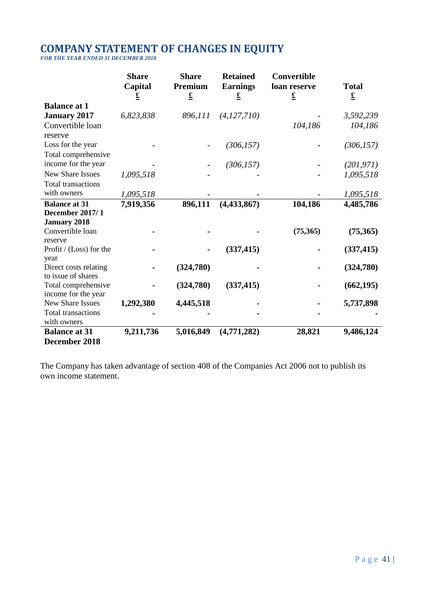## **COMPANY STATEMENT OF CHANGES IN EQUITY**

*FOR THE YEAR ENDED 31 DECEMBER 2018*

|                                             | <b>Share</b><br>Capital<br>$\overline{\mathbf{r}}$ | <b>Share</b><br>Premium<br>$\underline{\mathbf{f}}$ | <b>Retained</b><br><b>Earnings</b><br>$\underline{\pounds}$ | Convertible<br>loan reserve<br>$\underline{\pounds}$ | <b>Total</b><br>$\underline{\pounds}$ |
|---------------------------------------------|----------------------------------------------------|-----------------------------------------------------|-------------------------------------------------------------|------------------------------------------------------|---------------------------------------|
| <b>Balance at 1</b>                         |                                                    |                                                     |                                                             |                                                      |                                       |
| <b>January 2017</b>                         | 6,823,838                                          | 896,111                                             | (4, 127, 710)                                               |                                                      | 3,592,239                             |
| Convertible loan                            |                                                    |                                                     |                                                             | 104,186                                              | 104,186                               |
| reserve                                     |                                                    |                                                     |                                                             |                                                      |                                       |
| Loss for the year                           |                                                    |                                                     | (306, 157)                                                  |                                                      | (306, 157)                            |
| Total comprehensive                         |                                                    |                                                     |                                                             |                                                      |                                       |
| income for the year                         |                                                    |                                                     | (306, 157)                                                  |                                                      | (201, 971)                            |
| <b>New Share Issues</b>                     | 1,095,518                                          |                                                     |                                                             |                                                      | 1,095,518                             |
| <b>Total transactions</b>                   |                                                    |                                                     |                                                             |                                                      |                                       |
| with owners                                 | 1,095,518                                          |                                                     |                                                             |                                                      | 1,095,518                             |
| <b>Balance at 31</b>                        | 7,919,356                                          | 896,111                                             | (4, 433, 867)                                               | 104,186                                              | 4,485,786                             |
| <b>December 2017/1</b>                      |                                                    |                                                     |                                                             |                                                      |                                       |
| <b>January 2018</b>                         |                                                    |                                                     |                                                             |                                                      |                                       |
| Convertible loan<br>reserve                 |                                                    |                                                     |                                                             | (75, 365)                                            | (75,365)                              |
| Profit / (Loss) for the                     |                                                    |                                                     | (337, 415)                                                  |                                                      | (337, 415)                            |
| year                                        |                                                    |                                                     |                                                             |                                                      |                                       |
| Direct costs relating<br>to issue of shares |                                                    | (324,780)                                           |                                                             |                                                      | (324,780)                             |
| Total comprehensive                         |                                                    | (324,780)                                           | (337, 415)                                                  |                                                      | (662, 195)                            |
| income for the year                         |                                                    |                                                     |                                                             |                                                      |                                       |
| <b>New Share Issues</b>                     | 1,292,380                                          | 4,445,518                                           |                                                             |                                                      | 5,737,898                             |
| <b>Total transactions</b>                   |                                                    |                                                     |                                                             |                                                      |                                       |
| with owners                                 |                                                    |                                                     |                                                             |                                                      |                                       |
| <b>Balance at 31</b>                        | 9,211,736                                          | 5,016,849                                           | (4,771,282)                                                 | 28,821                                               | 9,486,124                             |
| December 2018                               |                                                    |                                                     |                                                             |                                                      |                                       |

The Company has taken advantage of section 408 of the Companies Act 2006 not to publish its own income statement.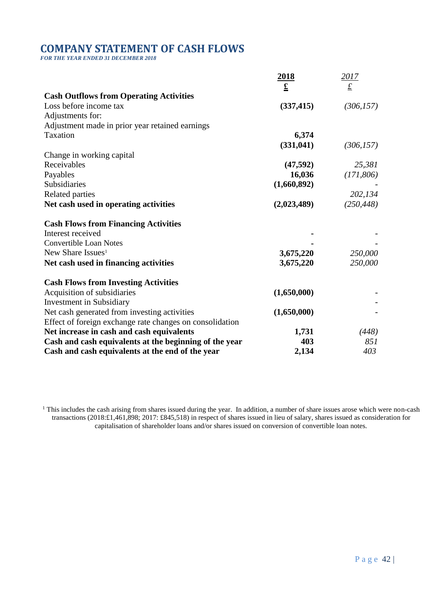## **COMPANY STATEMENT OF CASH FLOWS**

*FOR THE YEAR ENDED 31 DECEMBER 2018*

|                                                          | <u>2018</u>           | 2017            |
|----------------------------------------------------------|-----------------------|-----------------|
|                                                          | $\underline{\pounds}$ | $\underline{f}$ |
| <b>Cash Outflows from Operating Activities</b>           |                       |                 |
| Loss before income tax                                   | (337, 415)            | (306, 157)      |
| Adjustments for:                                         |                       |                 |
| Adjustment made in prior year retained earnings          |                       |                 |
| Taxation                                                 | 6,374                 |                 |
|                                                          | (331, 041)            | (306, 157)      |
| Change in working capital                                |                       |                 |
| Receivables                                              | (47, 592)             | 25,381          |
| Payables                                                 | 16,036                | (171,806)       |
| Subsidiaries                                             | (1,660,892)           |                 |
| <b>Related parties</b>                                   |                       | 202,134         |
| Net cash used in operating activities                    | (2,023,489)           | (250, 448)      |
| <b>Cash Flows from Financing Activities</b>              |                       |                 |
| Interest received                                        |                       |                 |
| <b>Convertible Loan Notes</b>                            |                       |                 |
| New Share Issues <sup>1</sup>                            | 3,675,220             | 250,000         |
| Net cash used in financing activities                    | 3,675,220             | 250,000         |
| <b>Cash Flows from Investing Activities</b>              |                       |                 |
| Acquisition of subsidiaries                              | (1,650,000)           |                 |
| <b>Investment</b> in Subsidiary                          |                       |                 |
| Net cash generated from investing activities             | (1,650,000)           |                 |
| Effect of foreign exchange rate changes on consolidation |                       |                 |
| Net increase in cash and cash equivalents                | 1,731                 | (448)           |
| Cash and cash equivalents at the beginning of the year   | 403                   | 851             |
| Cash and cash equivalents at the end of the year         | 2,134                 | 403             |

 $<sup>1</sup>$  This includes the cash arising from shares issued during the year. In addition, a number of share issues arose which were non-cash</sup> transactions (2018:£1,461,898; 2017: £845,518) in respect of shares issued in lieu of salary, shares issued as consideration for capitalisation of shareholder loans and/or shares issued on conversion of convertible loan notes.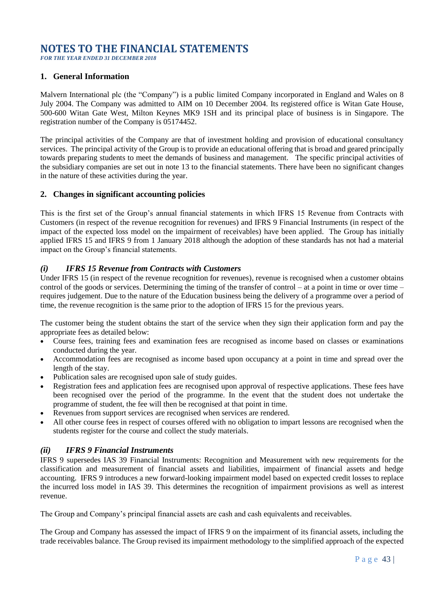## **NOTES TO THE FINANCIAL STATEMENTS**

*FOR THE YEAR ENDED 31 DECEMBER 2018*

## **1. General Information**

Malvern International plc (the "Company") is a public limited Company incorporated in England and Wales on 8 July 2004. The Company was admitted to AIM on 10 December 2004. Its registered office is Witan Gate House, 500-600 Witan Gate West, Milton Keynes MK9 1SH and its principal place of business is in Singapore. The registration number of the Company is 05174452.

The principal activities of the Company are that of investment holding and provision of educational consultancy services. The principal activity of the Group is to provide an educational offering that is broad and geared principally towards preparing students to meet the demands of business and management. The specific principal activities of the subsidiary companies are set out in note 13 to the financial statements. There have been no significant changes in the nature of these activities during the year.

### **2. Changes in significant accounting policies**

This is the first set of the Group's annual financial statements in which IFRS 15 Revenue from Contracts with Customers (in respect of the revenue recognition for revenues) and IFRS 9 Financial Instruments (in respect of the impact of the expected loss model on the impairment of receivables) have been applied. The Group has initially applied IFRS 15 and IFRS 9 from 1 January 2018 although the adoption of these standards has not had a material impact on the Group's financial statements.

### *(i) IFRS 15 Revenue from Contracts with Customers*

Under IFRS 15 (in respect of the revenue recognition for revenues), revenue is recognised when a customer obtains control of the goods or services. Determining the timing of the transfer of control – at a point in time or over time – requires judgement. Due to the nature of the Education business being the delivery of a programme over a period of time, the revenue recognition is the same prior to the adoption of IFRS 15 for the previous years.

The customer being the student obtains the start of the service when they sign their application form and pay the appropriate fees as detailed below:

- Course fees, training fees and examination fees are recognised as income based on classes or examinations conducted during the year.
- Accommodation fees are recognised as income based upon occupancy at a point in time and spread over the length of the stay.
- Publication sales are recognised upon sale of study guides.
- Registration fees and application fees are recognised upon approval of respective applications. These fees have been recognised over the period of the programme. In the event that the student does not undertake the programme of student, the fee will then be recognised at that point in time.
- Revenues from support services are recognised when services are rendered.
- All other course fees in respect of courses offered with no obligation to impart lessons are recognised when the students register for the course and collect the study materials.

### *(ii) IFRS 9 Financial Instruments*

IFRS 9 supersedes IAS 39 Financial Instruments: Recognition and Measurement with new requirements for the classification and measurement of financial assets and liabilities, impairment of financial assets and hedge accounting. IFRS 9 introduces a new forward-looking impairment model based on expected credit losses to replace the incurred loss model in IAS 39. This determines the recognition of impairment provisions as well as interest revenue.

The Group and Company's principal financial assets are cash and cash equivalents and receivables.

The Group and Company has assessed the impact of IFRS 9 on the impairment of its financial assets, including the trade receivables balance. The Group revised its impairment methodology to the simplified approach of the expected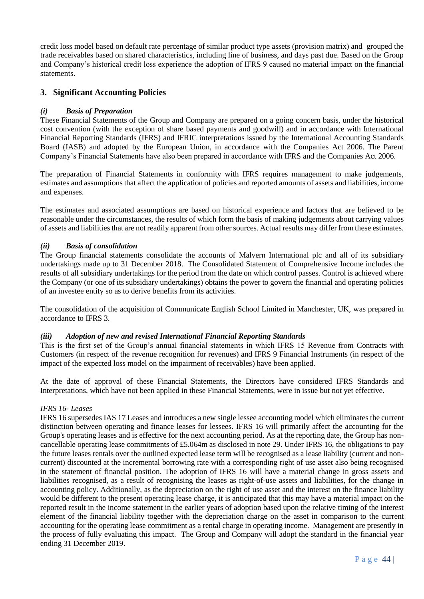credit loss model based on default rate percentage of similar product type assets (provision matrix) and grouped the trade receivables based on shared characteristics, including line of business, and days past due. Based on the Group and Company's historical credit loss experience the adoption of IFRS 9 caused no material impact on the financial statements.

## **3. Significant Accounting Policies**

### *(i) Basis of Preparation*

These Financial Statements of the Group and Company are prepared on a going concern basis, under the historical cost convention (with the exception of share based payments and goodwill) and in accordance with International Financial Reporting Standards (IFRS) and IFRIC interpretations issued by the International Accounting Standards Board (IASB) and adopted by the European Union, in accordance with the Companies Act 2006. The Parent Company's Financial Statements have also been prepared in accordance with IFRS and the Companies Act 2006.

The preparation of Financial Statements in conformity with IFRS requires management to make judgements, estimates and assumptions that affect the application of policies and reported amounts of assets and liabilities, income and expenses.

The estimates and associated assumptions are based on historical experience and factors that are believed to be reasonable under the circumstances, the results of which form the basis of making judgements about carrying values of assets and liabilities that are not readily apparent from other sources. Actual results may differ from these estimates.

#### *(ii) Basis of consolidation*

The Group financial statements consolidate the accounts of Malvern International plc and all of its subsidiary undertakings made up to 31 December 2018. The Consolidated Statement of Comprehensive Income includes the results of all subsidiary undertakings for the period from the date on which control passes. Control is achieved where the Company (or one of its subsidiary undertakings) obtains the power to govern the financial and operating policies of an investee entity so as to derive benefits from its activities.

The consolidation of the acquisition of Communicate English School Limited in Manchester, UK, was prepared in accordance to IFRS 3.

#### *(iii) Adoption of new and revised International Financial Reporting Standards*

This is the first set of the Group's annual financial statements in which IFRS 15 Revenue from Contracts with Customers (in respect of the revenue recognition for revenues) and IFRS 9 Financial Instruments (in respect of the impact of the expected loss model on the impairment of receivables) have been applied.

At the date of approval of these Financial Statements, the Directors have considered IFRS Standards and Interpretations, which have not been applied in these Financial Statements, were in issue but not yet effective.

#### *IFRS 16- Leases*

IFRS 16 supersedes IAS 17 Leases and introduces a new single lessee accounting model which eliminates the current distinction between operating and finance leases for lessees. IFRS 16 will primarily affect the accounting for the Group's operating leases and is effective for the next accounting period. As at the reporting date, the Group has noncancellable operating lease commitments of £5.064m as disclosed in note 29. Under IFRS 16, the obligations to pay the future leases rentals over the outlined expected lease term will be recognised as a lease liability (current and noncurrent) discounted at the incremental borrowing rate with a corresponding right of use asset also being recognised in the statement of financial position. The adoption of IFRS 16 will have a material change in gross assets and liabilities recognised, as a result of recognising the leases as right-of-use assets and liabilities, for the change in accounting policy. Additionally, as the depreciation on the right of use asset and the interest on the finance liability would be different to the present operating lease charge, it is anticipated that this may have a material impact on the reported result in the income statement in the earlier years of adoption based upon the relative timing of the interest element of the financial liability together with the depreciation charge on the asset in comparison to the current accounting for the operating lease commitment as a rental charge in operating income. Management are presently in the process of fully evaluating this impact. The Group and Company will adopt the standard in the financial year ending 31 December 2019.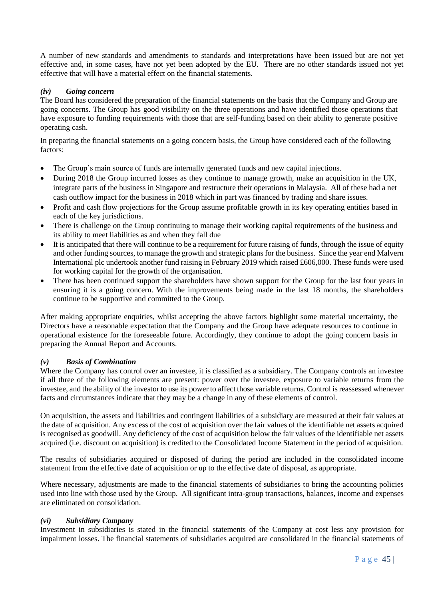A number of new standards and amendments to standards and interpretations have been issued but are not yet effective and, in some cases, have not yet been adopted by the EU. There are no other standards issued not yet effective that will have a material effect on the financial statements.

#### *(iv) Going concern*

The Board has considered the preparation of the financial statements on the basis that the Company and Group are going concerns. The Group has good visibility on the three operations and have identified those operations that have exposure to funding requirements with those that are self-funding based on their ability to generate positive operating cash.

In preparing the financial statements on a going concern basis, the Group have considered each of the following factors:

- The Group's main source of funds are internally generated funds and new capital injections.
- During 2018 the Group incurred losses as they continue to manage growth, make an acquisition in the UK, integrate parts of the business in Singapore and restructure their operations in Malaysia. All of these had a net cash outflow impact for the business in 2018 which in part was financed by trading and share issues.
- Profit and cash flow projections for the Group assume profitable growth in its key operating entities based in each of the key jurisdictions.
- There is challenge on the Group continuing to manage their working capital requirements of the business and its ability to meet liabilities as and when they fall due
- It is anticipated that there will continue to be a requirement for future raising of funds, through the issue of equity and other funding sources, to manage the growth and strategic plans for the business. Since the year end Malvern International plc undertook another fund raising in February 2019 which raised £606,000. These funds were used for working capital for the growth of the organisation.
- There has been continued support the shareholders have shown support for the Group for the last four years in ensuring it is a going concern. With the improvements being made in the last 18 months, the shareholders continue to be supportive and committed to the Group.

After making appropriate enquiries, whilst accepting the above factors highlight some material uncertainty, the Directors have a reasonable expectation that the Company and the Group have adequate resources to continue in operational existence for the foreseeable future. Accordingly, they continue to adopt the going concern basis in preparing the Annual Report and Accounts.

#### *(v) Basis of Combination*

Where the Company has control over an investee, it is classified as a subsidiary. The Company controls an investee if all three of the following elements are present: power over the investee, exposure to variable returns from the investee, and the ability of the investor to use its power to affect those variable returns. Control is reassessed whenever facts and circumstances indicate that they may be a change in any of these elements of control.

On acquisition, the assets and liabilities and contingent liabilities of a subsidiary are measured at their fair values at the date of acquisition. Any excess of the cost of acquisition over the fair values of the identifiable net assets acquired is recognised as goodwill. Any deficiency of the cost of acquisition below the fair values of the identifiable net assets acquired (i.e. discount on acquisition) is credited to the Consolidated Income Statement in the period of acquisition.

The results of subsidiaries acquired or disposed of during the period are included in the consolidated income statement from the effective date of acquisition or up to the effective date of disposal, as appropriate.

Where necessary, adjustments are made to the financial statements of subsidiaries to bring the accounting policies used into line with those used by the Group. All significant intra-group transactions, balances, income and expenses are eliminated on consolidation.

#### *(vi) Subsidiary Company*

Investment in subsidiaries is stated in the financial statements of the Company at cost less any provision for impairment losses. The financial statements of subsidiaries acquired are consolidated in the financial statements of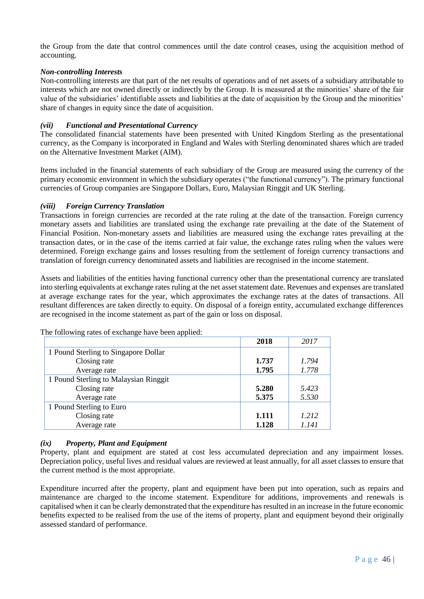the Group from the date that control commences until the date control ceases, using the acquisition method of accounting.

#### *Non-controlling Interests*

Non-controlling interests are that part of the net results of operations and of net assets of a subsidiary attributable to interests which are not owned directly or indirectly by the Group. It is measured at the minorities' share of the fair value of the subsidiaries' identifiable assets and liabilities at the date of acquisition by the Group and the minorities' share of changes in equity since the date of acquisition.

#### *(vii) Functional and Presentational Currency*

The consolidated financial statements have been presented with United Kingdom Sterling as the presentational currency, as the Company is incorporated in England and Wales with Sterling denominated shares which are traded on the Alternative Investment Market (AIM).

Items included in the financial statements of each subsidiary of the Group are measured using the currency of the primary economic environment in which the subsidiary operates ("the functional currency"). The primary functional currencies of Group companies are Singapore Dollars, Euro, Malaysian Ringgit and UK Sterling.

#### *(viii) Foreign Currency Translation*

Transactions in foreign currencies are recorded at the rate ruling at the date of the transaction. Foreign currency monetary assets and liabilities are translated using the exchange rate prevailing at the date of the Statement of Financial Position. Non-monetary assets and liabilities are measured using the exchange rates prevailing at the transaction dates, or in the case of the items carried at fair value, the exchange rates ruling when the values were determined. Foreign exchange gains and losses resulting from the settlement of foreign currency transactions and translation of foreign currency denominated assets and liabilities are recognised in the income statement.

Assets and liabilities of the entities having functional currency other than the presentational currency are translated into sterling equivalents at exchange rates ruling at the net asset statement date. Revenues and expenses are translated at average exchange rates for the year, which approximates the exchange rates at the dates of transactions. All resultant differences are taken directly to equity. On disposal of a foreign entity, accumulated exchange differences are recognised in the income statement as part of the gain or loss on disposal.

|                                       | 2018  | 2017  |
|---------------------------------------|-------|-------|
| 1 Pound Sterling to Singapore Dollar  |       |       |
| Closing rate                          | 1.737 | 1.794 |
| Average rate                          | 1.795 | 1.778 |
| 1 Pound Sterling to Malaysian Ringgit |       |       |
| Closing rate                          | 5.280 | 5.423 |
| Average rate                          | 5.375 | 5.530 |
| 1 Pound Sterling to Euro              |       |       |
| Closing rate                          | 1.111 | 1.212 |
| Average rate                          | 1.128 | 1.141 |

The following rates of exchange have been applied:

### *(ix) Property, Plant and Equipment*

Property, plant and equipment are stated at cost less accumulated depreciation and any impairment losses. Depreciation policy, useful lives and residual values are reviewed at least annually, for all asset classes to ensure that the current method is the most appropriate.

Expenditure incurred after the property, plant and equipment have been put into operation, such as repairs and maintenance are charged to the income statement. Expenditure for additions, improvements and renewals is capitalised when it can be clearly demonstrated that the expenditure has resulted in an increase in the future economic benefits expected to be realised from the use of the items of property, plant and equipment beyond their originally assessed standard of performance.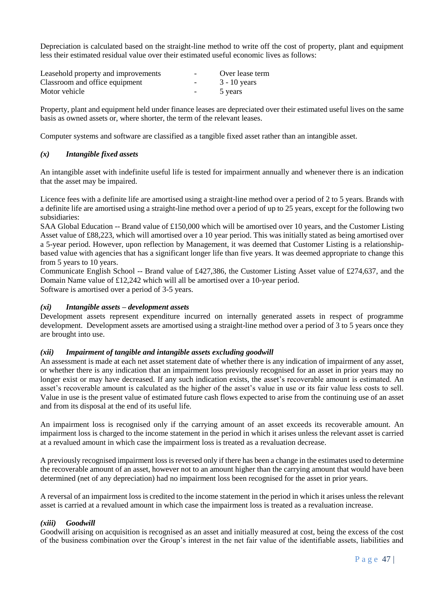Depreciation is calculated based on the straight-line method to write off the cost of property, plant and equipment less their estimated residual value over their estimated useful economic lives as follows:

| Leasehold property and improvements | $\overline{\phantom{0}}$ | Over lease term |
|-------------------------------------|--------------------------|-----------------|
| Classroom and office equipment      | $\overline{\phantom{0}}$ | $3 - 10$ years  |
| Motor vehicle                       | $\overline{\phantom{0}}$ | 5 years         |

Property, plant and equipment held under finance leases are depreciated over their estimated useful lives on the same basis as owned assets or, where shorter, the term of the relevant leases.

Computer systems and software are classified as a tangible fixed asset rather than an intangible asset.

#### *(x) Intangible fixed assets*

An intangible asset with indefinite useful life is tested for impairment annually and whenever there is an indication that the asset may be impaired.

Licence fees with a definite life are amortised using a straight-line method over a period of 2 to 5 years. Brands with a definite life are amortised using a straight-line method over a period of up to 25 years, except for the following two subsidiaries:

SAA Global Education -- Brand value of £150,000 which will be amortised over 10 years, and the Customer Listing Asset value of £88,223, which will amortised over a 10 year period. This was initially stated as being amortised over a 5-year period. However, upon reflection by Management, it was deemed that Customer Listing is a relationshipbased value with agencies that has a significant longer life than five years. It was deemed appropriate to change this from 5 years to 10 years.

Communicate English School -- Brand value of £427,386, the Customer Listing Asset value of £274,637, and the Domain Name value of £12,242 which will all be amortised over a 10-year period. Software is amortised over a period of 3-5 years.

#### *(xi) Intangible assets – development assets*

Development assets represent expenditure incurred on internally generated assets in respect of programme development. Development assets are amortised using a straight-line method over a period of 3 to 5 years once they are brought into use.

#### *(xii) Impairment of tangible and intangible assets excluding goodwill*

An assessment is made at each net asset statement date of whether there is any indication of impairment of any asset, or whether there is any indication that an impairment loss previously recognised for an asset in prior years may no longer exist or may have decreased. If any such indication exists, the asset's recoverable amount is estimated. An asset's recoverable amount is calculated as the higher of the asset's value in use or its fair value less costs to sell. Value in use is the present value of estimated future cash flows expected to arise from the continuing use of an asset and from its disposal at the end of its useful life.

An impairment loss is recognised only if the carrying amount of an asset exceeds its recoverable amount. An impairment loss is charged to the income statement in the period in which it arises unless the relevant asset is carried at a revalued amount in which case the impairment loss is treated as a revaluation decrease.

A previously recognised impairment loss is reversed only if there has been a change in the estimates used to determine the recoverable amount of an asset, however not to an amount higher than the carrying amount that would have been determined (net of any depreciation) had no impairment loss been recognised for the asset in prior years.

A reversal of an impairment loss is credited to the income statement in the period in which it arises unless the relevant asset is carried at a revalued amount in which case the impairment loss is treated as a revaluation increase.

#### *(xiii) Goodwill*

Goodwill arising on acquisition is recognised as an asset and initially measured at cost, being the excess of the cost of the business combination over the Group's interest in the net fair value of the identifiable assets, liabilities and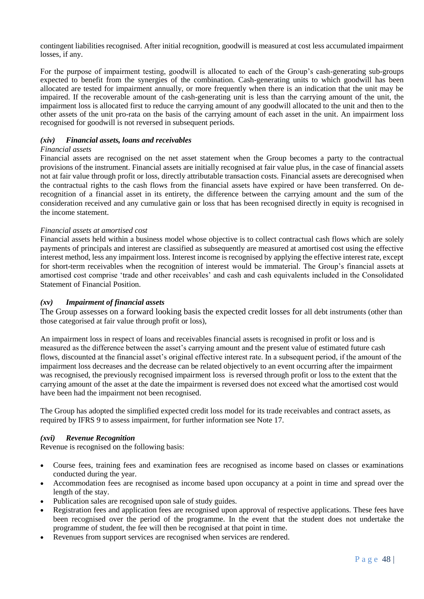contingent liabilities recognised. After initial recognition, goodwill is measured at cost less accumulated impairment losses, if any.

For the purpose of impairment testing, goodwill is allocated to each of the Group's cash-generating sub-groups expected to benefit from the synergies of the combination. Cash-generating units to which goodwill has been allocated are tested for impairment annually, or more frequently when there is an indication that the unit may be impaired. If the recoverable amount of the cash-generating unit is less than the carrying amount of the unit, the impairment loss is allocated first to reduce the carrying amount of any goodwill allocated to the unit and then to the other assets of the unit pro-rata on the basis of the carrying amount of each asset in the unit. An impairment loss recognised for goodwill is not reversed in subsequent periods.

#### *(xiv) Financial assets, loans and receivables*

#### *Financial assets*

Financial assets are recognised on the net asset statement when the Group becomes a party to the contractual provisions of the instrument. Financial assets are initially recognised at fair value plus, in the case of financial assets not at fair value through profit or loss, directly attributable transaction costs. Financial assets are derecognised when the contractual rights to the cash flows from the financial assets have expired or have been transferred. On derecognition of a financial asset in its entirety, the difference between the carrying amount and the sum of the consideration received and any cumulative gain or loss that has been recognised directly in equity is recognised in the income statement.

#### *Financial assets at amortised cost*

Financial assets held within a business model whose objective is to collect contractual cash flows which are solely payments of principals and interest are classified as subsequently are measured at amortised cost using the effective interest method, less any impairment loss. Interest income is recognised by applying the effective interest rate, except for short-term receivables when the recognition of interest would be immaterial. The Group's financial assets at amortised cost comprise 'trade and other receivables' and cash and cash equivalents included in the Consolidated Statement of Financial Position.

#### *(xv) Impairment of financial assets*

The Group assesses on a forward looking basis the expected credit losses for all debt instruments (other than those categorised at fair value through profit or loss),

An impairment loss in respect of loans and receivables financial assets is recognised in profit or loss and is measured as the difference between the asset's carrying amount and the present value of estimated future cash flows, discounted at the financial asset's original effective interest rate. In a subsequent period, if the amount of the impairment loss decreases and the decrease can be related objectively to an event occurring after the impairment was recognised, the previously recognised impairment loss is reversed through profit or loss to the extent that the carrying amount of the asset at the date the impairment is reversed does not exceed what the amortised cost would have been had the impairment not been recognised.

The Group has adopted the simplified expected credit loss model for its trade receivables and contract assets, as required by IFRS 9 to assess impairment, for further information see Note 17.

#### *(xvi) Revenue Recognition*

Revenue is recognised on the following basis:

- Course fees, training fees and examination fees are recognised as income based on classes or examinations conducted during the year.
- Accommodation fees are recognised as income based upon occupancy at a point in time and spread over the length of the stay.
- Publication sales are recognised upon sale of study guides.
- Registration fees and application fees are recognised upon approval of respective applications. These fees have been recognised over the period of the programme. In the event that the student does not undertake the programme of student, the fee will then be recognised at that point in time.
- Revenues from support services are recognised when services are rendered.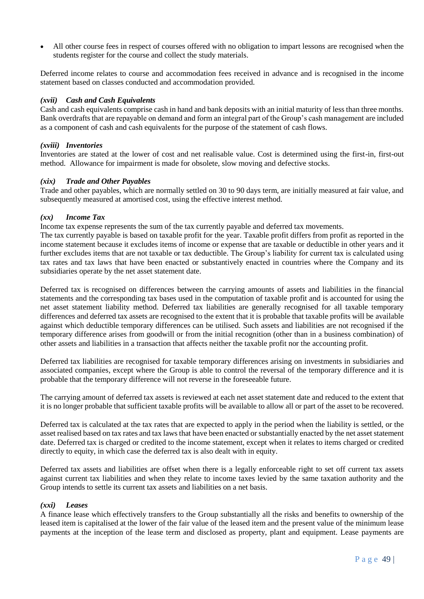• All other course fees in respect of courses offered with no obligation to impart lessons are recognised when the students register for the course and collect the study materials.

Deferred income relates to course and accommodation fees received in advance and is recognised in the income statement based on classes conducted and accommodation provided.

#### *(xvii) Cash and Cash Equivalents*

Cash and cash equivalents comprise cash in hand and bank deposits with an initial maturity of less than three months. Bank overdrafts that are repayable on demand and form an integral part of the Group's cash management are included as a component of cash and cash equivalents for the purpose of the statement of cash flows.

#### *(xviii) Inventories*

Inventories are stated at the lower of cost and net realisable value. Cost is determined using the first-in, first-out method. Allowance for impairment is made for obsolete, slow moving and defective stocks.

#### *(xix) Trade and Other Payables*

Trade and other payables, which are normally settled on 30 to 90 days term, are initially measured at fair value, and subsequently measured at amortised cost, using the effective interest method.

#### *(xx) Income Tax*

Income tax expense represents the sum of the tax currently payable and deferred tax movements.

The tax currently payable is based on taxable profit for the year. Taxable profit differs from profit as reported in the income statement because it excludes items of income or expense that are taxable or deductible in other years and it further excludes items that are not taxable or tax deductible. The Group's liability for current tax is calculated using tax rates and tax laws that have been enacted or substantively enacted in countries where the Company and its subsidiaries operate by the net asset statement date.

Deferred tax is recognised on differences between the carrying amounts of assets and liabilities in the financial statements and the corresponding tax bases used in the computation of taxable profit and is accounted for using the net asset statement liability method. Deferred tax liabilities are generally recognised for all taxable temporary differences and deferred tax assets are recognised to the extent that it is probable that taxable profits will be available against which deductible temporary differences can be utilised. Such assets and liabilities are not recognised if the temporary difference arises from goodwill or from the initial recognition (other than in a business combination) of other assets and liabilities in a transaction that affects neither the taxable profit nor the accounting profit.

Deferred tax liabilities are recognised for taxable temporary differences arising on investments in subsidiaries and associated companies, except where the Group is able to control the reversal of the temporary difference and it is probable that the temporary difference will not reverse in the foreseeable future.

The carrying amount of deferred tax assets is reviewed at each net asset statement date and reduced to the extent that it is no longer probable that sufficient taxable profits will be available to allow all or part of the asset to be recovered.

Deferred tax is calculated at the tax rates that are expected to apply in the period when the liability is settled, or the asset realised based on tax rates and tax laws that have been enacted or substantially enacted by the net asset statement date. Deferred tax is charged or credited to the income statement, except when it relates to items charged or credited directly to equity, in which case the deferred tax is also dealt with in equity.

Deferred tax assets and liabilities are offset when there is a legally enforceable right to set off current tax assets against current tax liabilities and when they relate to income taxes levied by the same taxation authority and the Group intends to settle its current tax assets and liabilities on a net basis.

#### *(xxi) Leases*

A finance lease which effectively transfers to the Group substantially all the risks and benefits to ownership of the leased item is capitalised at the lower of the fair value of the leased item and the present value of the minimum lease payments at the inception of the lease term and disclosed as property, plant and equipment. Lease payments are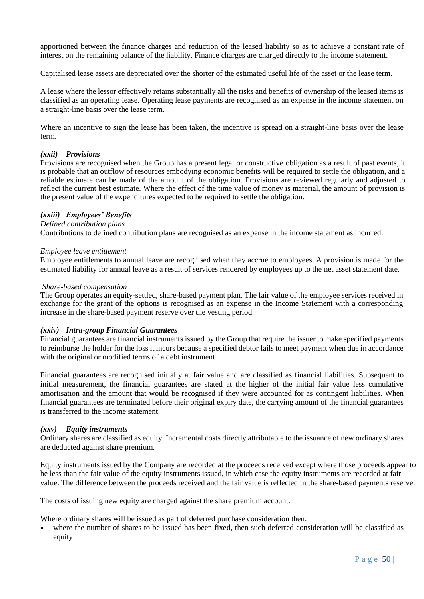apportioned between the finance charges and reduction of the leased liability so as to achieve a constant rate of interest on the remaining balance of the liability. Finance charges are charged directly to the income statement.

Capitalised lease assets are depreciated over the shorter of the estimated useful life of the asset or the lease term.

A lease where the lessor effectively retains substantially all the risks and benefits of ownership of the leased items is classified as an operating lease. Operating lease payments are recognised as an expense in the income statement on a straight-line basis over the lease term.

Where an incentive to sign the lease has been taken, the incentive is spread on a straight-line basis over the lease term.

#### *(xxii) Provisions*

Provisions are recognised when the Group has a present legal or constructive obligation as a result of past events, it is probable that an outflow of resources embodying economic benefits will be required to settle the obligation, and a reliable estimate can be made of the amount of the obligation. Provisions are reviewed regularly and adjusted to reflect the current best estimate. Where the effect of the time value of money is material, the amount of provision is the present value of the expenditures expected to be required to settle the obligation.

#### *(xxiii) Employees' Benefits*

#### *Defined contribution plans*

Contributions to defined contribution plans are recognised as an expense in the income statement as incurred.

#### *Employee leave entitlement*

Employee entitlements to annual leave are recognised when they accrue to employees. A provision is made for the estimated liability for annual leave as a result of services rendered by employees up to the net asset statement date.

#### *Share-based compensation*

The Group operates an equity-settled, share-based payment plan. The fair value of the employee services received in exchange for the grant of the options is recognised as an expense in the Income Statement with a corresponding increase in the share-based payment reserve over the vesting period.

#### *(xxiv) Intra-group Financial Guarantees*

Financial guarantees are financial instruments issued by the Group that require the issuer to make specified payments to reimburse the holder for the loss it incurs because a specified debtor fails to meet payment when due in accordance with the original or modified terms of a debt instrument.

Financial guarantees are recognised initially at fair value and are classified as financial liabilities. Subsequent to initial measurement, the financial guarantees are stated at the higher of the initial fair value less cumulative amortisation and the amount that would be recognised if they were accounted for as contingent liabilities. When financial guarantees are terminated before their original expiry date, the carrying amount of the financial guarantees is transferred to the income statement.

#### *(xxv) Equity instruments*

Ordinary shares are classified as equity. Incremental costs directly attributable to the issuance of new ordinary shares are deducted against share premium.

Equity instruments issued by the Company are recorded at the proceeds received except where those proceeds appear to be less than the fair value of the equity instruments issued, in which case the equity instruments are recorded at fair value. The difference between the proceeds received and the fair value is reflected in the share-based payments reserve.

The costs of issuing new equity are charged against the share premium account.

Where ordinary shares will be issued as part of deferred purchase consideration then:

where the number of shares to be issued has been fixed, then such deferred consideration will be classified as equity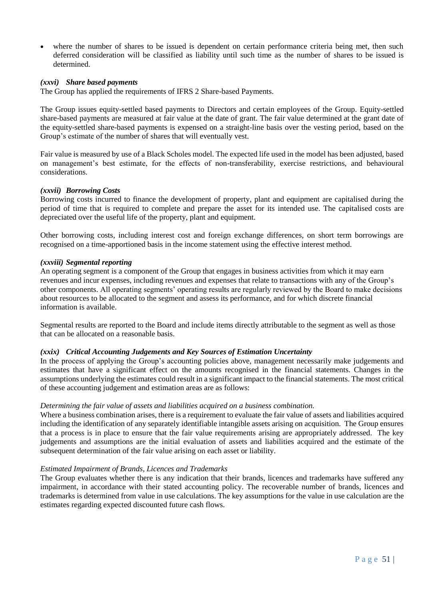where the number of shares to be issued is dependent on certain performance criteria being met, then such deferred consideration will be classified as liability until such time as the number of shares to be issued is determined.

#### *(xxvi) Share based payments*

The Group has applied the requirements of IFRS 2 Share-based Payments.

The Group issues equity-settled based payments to Directors and certain employees of the Group. Equity-settled share-based payments are measured at fair value at the date of grant. The fair value determined at the grant date of the equity-settled share-based payments is expensed on a straight-line basis over the vesting period, based on the Group's estimate of the number of shares that will eventually vest.

Fair value is measured by use of a Black Scholes model. The expected life used in the model has been adjusted, based on management's best estimate, for the effects of non-transferability, exercise restrictions, and behavioural considerations.

#### *(xxvii) Borrowing Costs*

Borrowing costs incurred to finance the development of property, plant and equipment are capitalised during the period of time that is required to complete and prepare the asset for its intended use. The capitalised costs are depreciated over the useful life of the property, plant and equipment.

Other borrowing costs, including interest cost and foreign exchange differences, on short term borrowings are recognised on a time-apportioned basis in the income statement using the effective interest method.

#### *(xxviii) Segmental reporting*

An operating segment is a component of the Group that engages in business activities from which it may earn revenues and incur expenses, including revenues and expenses that relate to transactions with any of the Group's other components. All operating segments' operating results are regularly reviewed by the Board to make decisions about resources to be allocated to the segment and assess its performance, and for which discrete financial information is available.

Segmental results are reported to the Board and include items directly attributable to the segment as well as those that can be allocated on a reasonable basis.

#### *(xxix) Critical Accounting Judgements and Key Sources of Estimation Uncertainty*

In the process of applying the Group's accounting policies above, management necessarily make judgements and estimates that have a significant effect on the amounts recognised in the financial statements. Changes in the assumptions underlying the estimates could result in a significant impact to the financial statements. The most critical of these accounting judgement and estimation areas are as follows:

#### *Determining the fair value of assets and liabilities acquired on a business combination.*

Where a business combination arises, there is a requirement to evaluate the fair value of assets and liabilities acquired including the identification of any separately identifiable intangible assets arising on acquisition. The Group ensures that a process is in place to ensure that the fair value requirements arising are appropriately addressed. The key judgements and assumptions are the initial evaluation of assets and liabilities acquired and the estimate of the subsequent determination of the fair value arising on each asset or liability.

#### *Estimated Impairment of Brands, Licences and Trademarks*

The Group evaluates whether there is any indication that their brands, licences and trademarks have suffered any impairment, in accordance with their stated accounting policy. The recoverable number of brands, licences and trademarks is determined from value in use calculations. The key assumptions for the value in use calculation are the estimates regarding expected discounted future cash flows.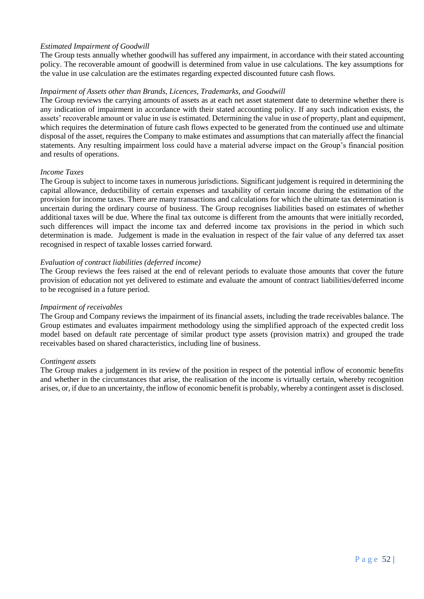#### *Estimated Impairment of Goodwill*

The Group tests annually whether goodwill has suffered any impairment, in accordance with their stated accounting policy. The recoverable amount of goodwill is determined from value in use calculations. The key assumptions for the value in use calculation are the estimates regarding expected discounted future cash flows.

#### *Impairment of Assets other than Brands, Licences, Trademarks, and Goodwill*

The Group reviews the carrying amounts of assets as at each net asset statement date to determine whether there is any indication of impairment in accordance with their stated accounting policy. If any such indication exists, the assets' recoverable amount or value in use is estimated. Determining the value in use of property, plant and equipment, which requires the determination of future cash flows expected to be generated from the continued use and ultimate disposal of the asset, requires the Company to make estimates and assumptions that can materially affect the financial statements. Any resulting impairment loss could have a material adverse impact on the Group's financial position and results of operations.

#### *Income Taxes*

The Group is subject to income taxes in numerous jurisdictions. Significant judgement is required in determining the capital allowance, deductibility of certain expenses and taxability of certain income during the estimation of the provision for income taxes. There are many transactions and calculations for which the ultimate tax determination is uncertain during the ordinary course of business. The Group recognises liabilities based on estimates of whether additional taxes will be due. Where the final tax outcome is different from the amounts that were initially recorded, such differences will impact the income tax and deferred income tax provisions in the period in which such determination is made. Judgement is made in the evaluation in respect of the fair value of any deferred tax asset recognised in respect of taxable losses carried forward.

#### *Evaluation of contract liabilities (deferred income)*

The Group reviews the fees raised at the end of relevant periods to evaluate those amounts that cover the future provision of education not yet delivered to estimate and evaluate the amount of contract liabilities/deferred income to be recognised in a future period.

#### *Impairment of receivables*

The Group and Company reviews the impairment of its financial assets, including the trade receivables balance. The Group estimates and evaluates impairment methodology using the simplified approach of the expected credit loss model based on default rate percentage of similar product type assets (provision matrix) and grouped the trade receivables based on shared characteristics, including line of business.

#### *Contingent assets*

The Group makes a judgement in its review of the position in respect of the potential inflow of economic benefits and whether in the circumstances that arise, the realisation of the income is virtually certain, whereby recognition arises, or, if due to an uncertainty, the inflow of economic benefit is probably, whereby a contingent asset is disclosed.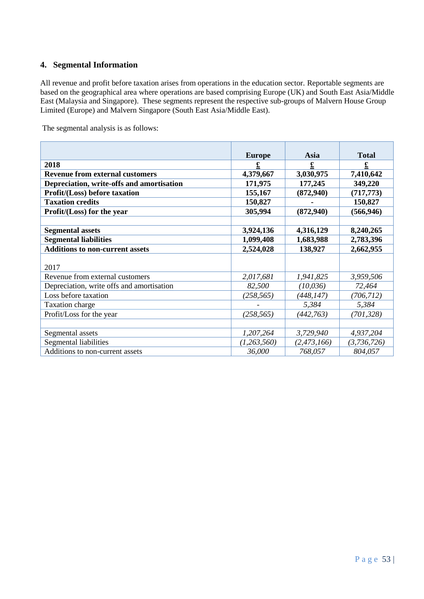## **4. Segmental Information**

All revenue and profit before taxation arises from operations in the education sector. Reportable segments are based on the geographical area where operations are based comprising Europe (UK) and South East Asia/Middle East (Malaysia and Singapore). These segments represent the respective sub-groups of Malvern House Group Limited (Europe) and Malvern Singapore (South East Asia/Middle East).

The segmental analysis is as follows:

|                                           | <b>Europe</b> | Asia          | <b>Total</b> |
|-------------------------------------------|---------------|---------------|--------------|
| 2018                                      |               | £             |              |
| <b>Revenue from external customers</b>    | 4,379,667     | 3,030,975     | 7,410,642    |
| Depreciation, write-offs and amortisation | 171,975       | 177,245       | 349,220      |
| Profit/(Loss) before taxation             | 155,167       | (872, 940)    | (717, 773)   |
| <b>Taxation credits</b>                   | 150,827       |               | 150,827      |
| Profit/(Loss) for the year                | 305,994       | (872, 940)    | (566, 946)   |
|                                           |               |               |              |
| <b>Segmental assets</b>                   | 3,924,136     | 4,316,129     | 8,240,265    |
| <b>Segmental liabilities</b>              | 1,099,408     | 1,683,988     | 2,783,396    |
| <b>Additions to non-current assets</b>    | 2,524,028     | 138,927       | 2,662,955    |
|                                           |               |               |              |
| 2017                                      |               |               |              |
| Revenue from external customers           | 2,017,681     | 1,941,825     | 3,959,506    |
| Depreciation, write offs and amortisation | 82,500        | (10, 036)     | 72,464       |
| Loss before taxation                      | (258, 565)    | (448, 147)    | (706, 712)   |
| <b>Taxation charge</b>                    |               | 5,384         | 5,384        |
| Profit/Loss for the year                  | (258, 565)    | (442, 763)    | (701, 328)   |
|                                           |               |               |              |
| Segmental assets                          | 1,207,264     | 3,729,940     | 4,937,204    |
| Segmental liabilities                     | (1,263,560)   | (2, 473, 166) | (3,736,726)  |
| Additions to non-current assets           | 36,000        | 768,057       | 804,057      |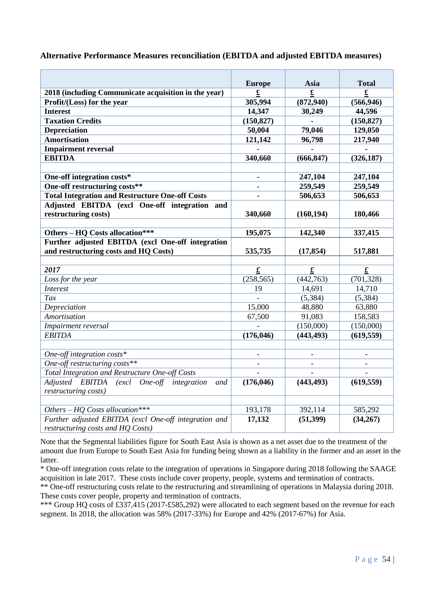|  |  |  |  | Alternative Performance Measures reconciliation (EBITDA and adjusted EBITDA measures) |
|--|--|--|--|---------------------------------------------------------------------------------------|
|--|--|--|--|---------------------------------------------------------------------------------------|

|                                                        | <b>Europe</b>            | Asia            | <b>Total</b>    |
|--------------------------------------------------------|--------------------------|-----------------|-----------------|
| 2018 (including Communicate acquisition in the year)   | £                        | £               | £               |
| Profit/(Loss) for the year                             | 305,994                  | (872, 940)      | (566, 946)      |
| <b>Interest</b>                                        | 14,347                   | 30,249          | 44,596          |
| <b>Taxation Credits</b>                                | (150, 827)               |                 | (150, 827)      |
| <b>Depreciation</b>                                    | 50,004                   | 79,046          | 129,050         |
| <b>Amortisation</b>                                    | 121,142                  | 96,798          | 217,940         |
| <b>Impairment reversal</b>                             |                          |                 |                 |
| <b>EBITDA</b>                                          | 340,660                  | (666, 847)      | (326, 187)      |
|                                                        |                          |                 |                 |
| One-off integration costs*                             | $\overline{\phantom{0}}$ | 247,104         | 247,104         |
| One-off restructuring costs**                          |                          | 259,549         | 259,549         |
| <b>Total Integration and Restructure One-off Costs</b> |                          | 506,653         | 506,653         |
| Adjusted EBITDA (excl One-off integration and          |                          |                 |                 |
| restructuring costs)                                   | 340,660                  | (160, 194)      | 180,466         |
|                                                        |                          |                 |                 |
| Others - HQ Costs allocation***                        | 195,075                  | 142,340         | 337,415         |
| Further adjusted EBITDA (excl One-off integration      |                          |                 |                 |
| and restructuring costs and HQ Costs)                  | 535,735                  | (17, 854)       | 517,881         |
|                                                        |                          |                 |                 |
| 2017                                                   | $\pmb{\pounds}$          | $\pmb{\pounds}$ | $\pmb{\pounds}$ |
| Loss for the year                                      | (258, 565)               | (442,763)       | (701, 328)      |
| <b>Interest</b>                                        | 19                       | 14,691          | 14,710          |
| Tax                                                    |                          | (5, 384)        | (5, 384)        |
| Depreciation                                           | 15,000                   | 48,880          | 63,880          |
| Amortisation                                           | 67,500                   | 91,083          | 158,583         |
| Impairment reversal                                    |                          | (150,000)       | (150,000)       |
| <b>EBITDA</b>                                          | (176, 046)               | (443, 493)      | (619, 559)      |
|                                                        |                          |                 |                 |
| One-off integration costs*                             |                          |                 |                 |
| One-off restructuring costs**                          | $\overline{a}$           | $\overline{a}$  |                 |
| Total Integration and Restructure One-off Costs        | $\overline{a}$           | $\overline{a}$  | $\blacksquare$  |
| Adjusted EBITDA (excl One-off integration<br>and       | (176, 046)               | (443, 493)      | (619, 559)      |
| restructuring costs)                                   |                          |                 |                 |
|                                                        |                          |                 |                 |
| Others - HQ Costs allocation***                        | 193,178                  | 392,114         | 585,292         |
| Further adjusted EBITDA (excl One-off integration and  | 17,132                   | (51, 399)       | (34,267)        |
| restructuring costs and HQ Costs)                      |                          |                 |                 |

Note that the Segmental liabilities figure for South East Asia is shown as a net asset due to the treatment of the amount due from Europe to South East Asia for funding being shown as a liability in the former and an asset in the latter.

\* One-off integration costs relate to the integration of operations in Singapore during 2018 following the SAAGE acquisition in late 2017. These costs include cover property, people, systems and termination of contracts.

\*\* One-off restructuring costs relate to the restructuring and streamlining of operations in Malaysia during 2018. These costs cover people, property and termination of contracts.

\*\*\* Group HQ costs of £337,415 (2017-£585,292) were allocated to each segment based on the revenue for each segment. In 2018, the allocation was 58% (2017-33%) for Europe and 42% (2017-67%) for Asia.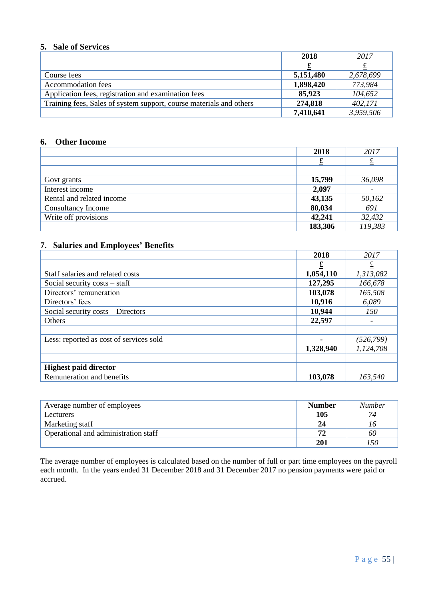## **5. Sale of Services**

|                                                                     | 2018      | 2017      |
|---------------------------------------------------------------------|-----------|-----------|
|                                                                     |           |           |
| Course fees                                                         | 5,151,480 | 2,678,699 |
| Accommodation fees                                                  | 1,898,420 | 773,984   |
| Application fees, registration and examination fees                 | 85,923    | 104,652   |
| Training fees, Sales of system support, course materials and others | 274,818   | 402,171   |
|                                                                     | 7,410,641 | 3,959,506 |

## **6. Other Income**

|                           | 2018    | 2017    |
|---------------------------|---------|---------|
|                           |         |         |
|                           |         |         |
| Govt grants               | 15,799  | 36,098  |
| Interest income           | 2,097   |         |
| Rental and related income | 43,135  | 50,162  |
| Consultancy Income        | 80,034  | 691     |
| Write off provisions      | 42,241  | 32,432  |
|                           | 183,306 | 119,383 |

## **7. Salaries and Employees' Benefits**

|                                         | 2018      | 2017       |
|-----------------------------------------|-----------|------------|
|                                         |           |            |
| Staff salaries and related costs        | 1,054,110 | 1,313,082  |
| Social security $costs - staff$         | 127,295   | 166,678    |
| Directors' remuneration                 | 103,078   | 165,508    |
| Directors' fees                         | 10,916    | 6,089      |
| Social security costs – Directors       | 10,944    | 150        |
| Others                                  | 22,597    |            |
| Less: reported as cost of services sold |           | (526, 799) |
|                                         | 1,328,940 | 1,124,708  |
| <b>Highest paid director</b>            |           |            |
| Remuneration and benefits               | 103,078   | 163,540    |

| Average number of employees          | <b>Number</b> | <b>Number</b> |
|--------------------------------------|---------------|---------------|
| Lecturers                            | 105           | 74            |
| Marketing staff                      | 24            | 10            |
| Operational and administration staff | 71            | 60            |
|                                      | 201           | -50           |

The average number of employees is calculated based on the number of full or part time employees on the payroll each month. In the years ended 31 December 2018 and 31 December 2017 no pension payments were paid or accrued.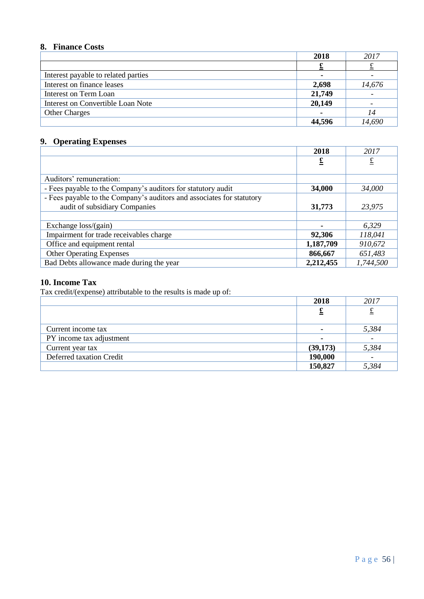## **8. Finance Costs**

|                                     | 2018   | 2017   |
|-------------------------------------|--------|--------|
|                                     |        |        |
| Interest payable to related parties |        |        |
| Interest on finance leases          | 2,698  | 14,676 |
| Interest on Term Loan               | 21,749 |        |
| Interest on Convertible Loan Note   | 20,149 |        |
| <b>Other Charges</b>                |        | 14     |
|                                     | 44,596 | 14,690 |

## **9. Operating Expenses**

|                                                                       | 2018              | 2017      |
|-----------------------------------------------------------------------|-------------------|-----------|
|                                                                       | $\overline{\tau}$ | £         |
|                                                                       |                   |           |
| Auditors' remuneration:                                               |                   |           |
| - Fees payable to the Company's auditors for statutory audit          | 34,000            | 34,000    |
| - Fees payable to the Company's auditors and associates for statutory |                   |           |
| audit of subsidiary Companies                                         | 31,773            | 23,975    |
|                                                                       |                   |           |
| Exchange loss/(gain)                                                  |                   | 6,329     |
| Impairment for trade receivables charge                               | 92,306            | 118,041   |
| Office and equipment rental                                           | 1,187,709         | 910,672   |
| <b>Other Operating Expenses</b>                                       | 866,667           | 651,483   |
| Bad Debts allowance made during the year                              | 2,212,455         | 1,744,500 |

## **10. Income Tax**

Tax credit/(expense) attributable to the results is made up of:

|                          | 2018        | 2017                     |
|--------------------------|-------------|--------------------------|
|                          | $\mathbf f$ | ᅚ                        |
| Current income tax       |             | 5,384                    |
| PY income tax adjustment |             | $\overline{\phantom{0}}$ |
| Current year tax         | (39,173)    | 5,384                    |
| Deferred taxation Credit | 190,000     |                          |
|                          | 150,827     | 5,384                    |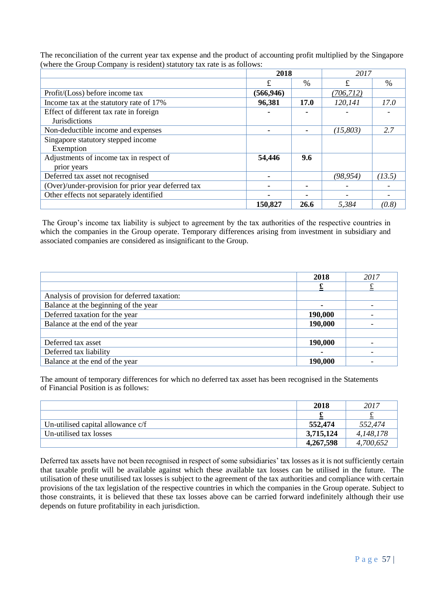The reconciliation of the current year tax expense and the product of accounting profit multiplied by the Singapore (where the Group Company is resident) statutory tax rate is as follows:

|                                                    | 2018       |             | 2017       |        |  |
|----------------------------------------------------|------------|-------------|------------|--------|--|
|                                                    | £          | $\%$        | £          | $\%$   |  |
| Profit/(Loss) before income tax                    | (566, 946) |             | (706, 712) |        |  |
| Income tax at the statutory rate of 17%            | 96,381     | <b>17.0</b> | 120,141    | 17.0   |  |
| Effect of different tax rate in foreign            |            |             |            |        |  |
| <b>Jurisdictions</b>                               |            |             |            |        |  |
| Non-deductible income and expenses                 |            |             | (15, 803)  | 2.7    |  |
| Singapore statutory stepped income                 |            |             |            |        |  |
| Exemption                                          |            |             |            |        |  |
| Adjustments of income tax in respect of            | 54,446     | 9.6         |            |        |  |
| prior years                                        |            |             |            |        |  |
| Deferred tax asset not recognised                  |            |             | (98,954)   | (13.5) |  |
| (Over)/under-provision for prior year deferred tax |            |             |            |        |  |
| Other effects not separately identified            |            |             |            |        |  |
|                                                    | 150,827    | 26.6        | 5,384      | (0.8)  |  |

The Group's income tax liability is subject to agreement by the tax authorities of the respective countries in which the companies in the Group operate. Temporary differences arising from investment in subsidiary and associated companies are considered as insignificant to the Group.

|                                              | 2018    | 2017 |
|----------------------------------------------|---------|------|
|                                              |         |      |
| Analysis of provision for deferred taxation: |         |      |
| Balance at the beginning of the year         |         |      |
| Deferred taxation for the year               | 190,000 |      |
| Balance at the end of the year               | 190,000 |      |
|                                              |         |      |
| Deferred tax asset                           | 190,000 |      |
| Deferred tax liability                       |         |      |
| Balance at the end of the year               | 190,000 |      |

The amount of temporary differences for which no deferred tax asset has been recognised in the Statements of Financial Position is as follows:

|                                   | 2018      | 2017      |
|-----------------------------------|-----------|-----------|
|                                   |           | ىە        |
| Un-utilised capital allowance c/f | 552,474   | 552,474   |
| Un-utilised tax losses            | 3,715,124 | 4,148,178 |
|                                   | 4,267,598 | 4,700,652 |

Deferred tax assets have not been recognised in respect of some subsidiaries' tax losses as it is not sufficiently certain that taxable profit will be available against which these available tax losses can be utilised in the future. The utilisation of these unutilised tax losses is subject to the agreement of the tax authorities and compliance with certain provisions of the tax legislation of the respective countries in which the companies in the Group operate. Subject to those constraints, it is believed that these tax losses above can be carried forward indefinitely although their use depends on future profitability in each jurisdiction.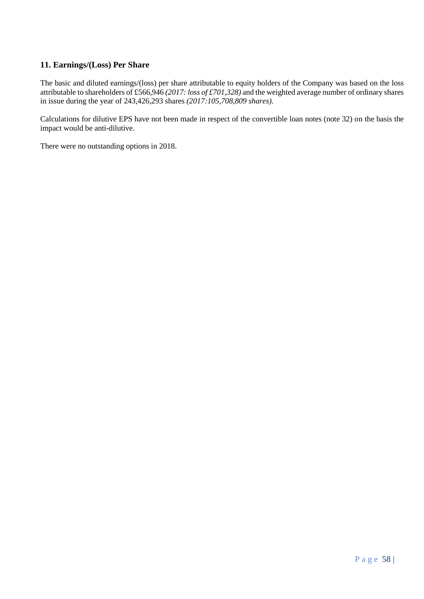## **11. Earnings/(Loss) Per Share**

The basic and diluted earnings/(loss) per share attributable to equity holders of the Company was based on the loss attributable to shareholders of £566,946 *(2017: loss of £701,328)* and the weighted average number of ordinary shares in issue during the year of 243,426,293 shares *(2017:105,708,809 shares).*

Calculations for dilutive EPS have not been made in respect of the convertible loan notes (note 32) on the basis the impact would be anti-dilutive.

There were no outstanding options in 2018.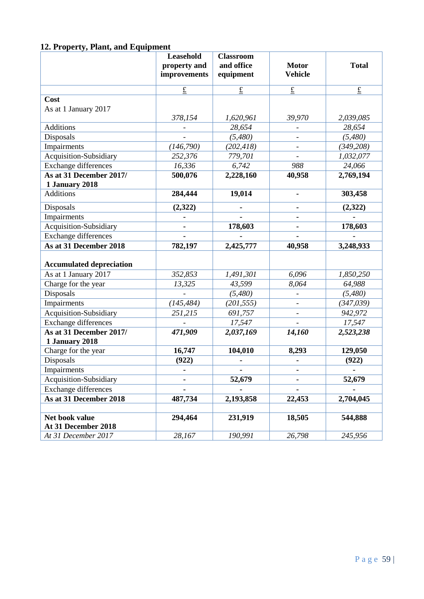## **12. Property, Plant, and Equipment**

|                                           | Leasehold<br>property and<br>improvements | <b>Classroom</b><br>and office<br>equipment | <b>Motor</b><br><b>Vehicle</b> | <b>Total</b>          |
|-------------------------------------------|-------------------------------------------|---------------------------------------------|--------------------------------|-----------------------|
|                                           | $\underline{\pounds}$                     | $\underline{\pounds}$                       | $\underline{\pounds}$          | $\underline{\pounds}$ |
| Cost                                      |                                           |                                             |                                |                       |
| As at 1 January 2017                      |                                           |                                             |                                |                       |
|                                           | 378,154                                   | 1,620,961                                   | 39,970                         | 2,039,085             |
| <b>Additions</b>                          |                                           | 28,654                                      |                                | 28,654                |
| Disposals                                 |                                           | (5,480)                                     |                                | (5,480)               |
| Impairments                               | (146, 790)                                | (202, 418)                                  |                                | (349, 208)            |
| Acquisition-Subsidiary                    | 252,376                                   | 779,701                                     |                                | 1,032,077             |
| Exchange differences                      | 16,336                                    | 6,742                                       | 988                            | 24,066                |
| As at 31 December 2017/                   | 500,076                                   | 2,228,160                                   | 40,958                         | 2,769,194             |
| 1 January 2018                            |                                           |                                             |                                |                       |
| Additions                                 | 284,444                                   | 19,014                                      |                                | 303,458               |
| Disposals                                 | (2,322)                                   |                                             |                                | (2,322)               |
| Impairments                               |                                           |                                             |                                |                       |
| Acquisition-Subsidiary                    |                                           | 178,603                                     |                                | 178,603               |
| Exchange differences                      |                                           |                                             |                                |                       |
| As at 31 December 2018                    | 782,197                                   | 2,425,777                                   | 40,958                         | 3,248,933             |
| <b>Accumulated depreciation</b>           |                                           |                                             |                                |                       |
| As at 1 January 2017                      | 352,853                                   | 1,491,301                                   | 6,096                          | 1,850,250             |
| Charge for the year                       | 13,325                                    | 43,599                                      | 8,064                          | 64,988                |
| Disposals                                 |                                           | (5,480)                                     |                                | (5,480)               |
| Impairments                               | (145, 484)                                | (201, 555)                                  |                                | (347,039)             |
| Acquisition-Subsidiary                    | 251,215                                   | 691,757                                     |                                | 942,972               |
| Exchange differences                      |                                           | 17,547                                      |                                | 17,547                |
| As at 31 December 2017/<br>1 January 2018 | 471,909                                   | 2,037,169                                   | 14,160                         | 2,523,238             |
| Charge for the year                       | 16,747                                    | 104,010                                     | 8,293                          | 129,050               |
| Disposals                                 | (922)                                     |                                             |                                | (922)                 |
| Impairments                               |                                           |                                             |                                |                       |
| Acquisition-Subsidiary                    |                                           | 52,679                                      | $\qquad \qquad \blacksquare$   | 52,679                |
| <b>Exchange differences</b>               |                                           |                                             |                                |                       |
| As at 31 December 2018                    | 487,734                                   | 2,193,858                                   | 22,453                         | 2,704,045             |
|                                           |                                           |                                             |                                |                       |
| Net book value<br>At 31 December 2018     | 294,464                                   | 231,919                                     | 18,505                         | 544,888               |
| At 31 December 2017                       | 28,167                                    | 190,991                                     | 26,798                         | 245,956               |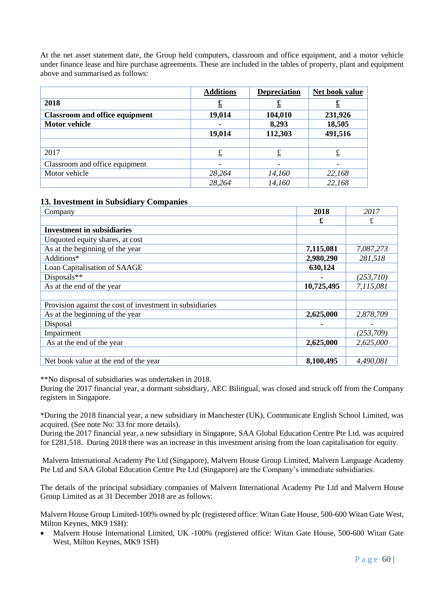At the net asset statement date, the Group held computers, classroom and office equipment, and a motor vehicle under finance lease and hire purchase agreements. These are included in the tables of property, plant and equipment above and summarised as follows:

|                                       | <b>Additions</b> | <b>Depreciation</b> | Net book value |
|---------------------------------------|------------------|---------------------|----------------|
| 2018                                  |                  | £                   | <u>£</u>       |
| <b>Classroom and office equipment</b> | 19,014           | 104,010             | 231,926        |
| <b>Motor vehicle</b>                  |                  | 8,293               | 18,505         |
|                                       | 19,014           | 112,303             | 491,516        |
|                                       |                  |                     |                |
| 2017                                  |                  | £                   | £              |
| Classroom and office equipment        |                  |                     |                |
| Motor vehicle                         | 28,264           | 14,160              | 22,168         |
|                                       | 28,264           | 14,160              | 22,168         |

#### **13. Investment in Subsidiary Companies**

| Company                                                  | 2018       | 2017       |
|----------------------------------------------------------|------------|------------|
|                                                          | £          | £          |
| <b>Investment in subsidiaries</b>                        |            |            |
| Unquoted equity shares, at cost                          |            |            |
| As at the beginning of the year                          | 7,115,081  | 7,087,273  |
| Additions*                                               | 2,980,290  | 281,518    |
| Loan Capitalisation of SAAGE                             | 630,124    |            |
| Disposals**                                              |            | (253,710)  |
| As at the end of the year                                | 10,725,495 | 7,115,081  |
|                                                          |            |            |
| Provision against the cost of investment in subsidiaries |            |            |
| As at the beginning of the year                          | 2,625,000  | 2,878,709  |
| Disposal                                                 |            |            |
| Impairment                                               |            | (253, 709) |
| As at the end of the year                                | 2,625,000  | 2,625,000  |
|                                                          |            |            |
| Net book value at the end of the year                    | 8,100,495  | 4,490,081  |

\*\*No disposal of subsidiaries was undertaken in 2018.

During the 2017 financial year, a dormant subsidiary, AEC Bilingual, was closed and struck off from the Company registers in Singapore.

\*During the 2018 financial year, a new subsidiary in Manchester (UK), Communicate English School Limited, was acquired. (See note No: 33 for more details).

During the 2017 financial year, a new subsidiary in Singapore, SAA Global Education Centre Pte Ltd, was acquired for £281,518. During 2018 there was an increase in this investment arising from the loan capitalisation for equity.

Malvern International Academy Pte Ltd (Singapore), Malvern House Group Limited, Malvern Language Academy Pte Ltd and SAA Global Education Centre Pte Ltd (Singapore) are the Company's immediate subsidiaries.

The details of the principal subsidiary companies of Malvern International Academy Pte Ltd and Malvern House Group Limited as at 31 December 2018 are as follows:

Malvern House Group Limited-100% owned by plc (registered office: Witan Gate House, 500-600 Witan Gate West, Milton Keynes, MK9 1SH):

• Malvern House International Limited, UK -100% (registered office: Witan Gate House, 500-600 Witan Gate West, Milton Keynes, MK9 1SH)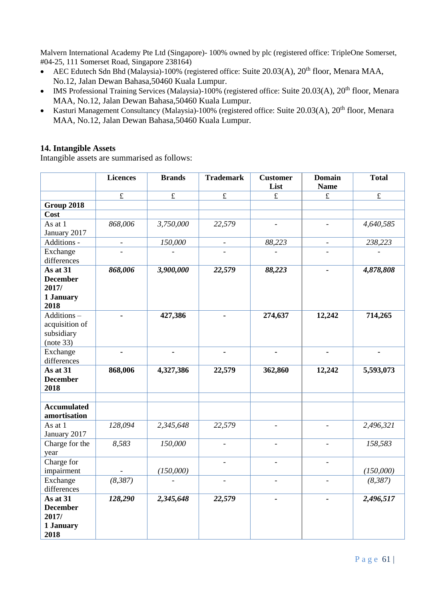Malvern International Academy Pte Ltd (Singapore)- 100% owned by plc (registered office: TripleOne Somerset, #04-25, 111 Somerset Road, Singapore 238164)

- AEC Edutech Sdn Bhd (Malaysia)-100% (registered office: Suite 20.03(A),  $20<sup>th</sup>$  floor, Menara MAA, No.12, Jalan Dewan Bahasa,50460 Kuala Lumpur.
- IMS Professional Training Services (Malaysia)-100% (registered office: Suite 20.03(A),  $20^{th}$  floor, Menara MAA, No.12, Jalan Dewan Bahasa,50460 Kuala Lumpur.
- Kasturi Management Consultancy (Malaysia)-100% (registered office: Suite 20.03(A), 20<sup>th</sup> floor, Menara MAA, No.12, Jalan Dewan Bahasa,50460 Kuala Lumpur.

## **14. Intangible Assets**

Intangible assets are summarised as follows:

|                                                           | <b>Licences</b> | <b>Brands</b> | <b>Trademark</b>         | <b>Customer</b><br>List | <b>Domain</b><br><b>Name</b> | <b>Total</b> |
|-----------------------------------------------------------|-----------------|---------------|--------------------------|-------------------------|------------------------------|--------------|
|                                                           | $\pounds$       | $\pounds$     | $\pounds$                | $\pounds$               | $\pounds$                    | $\pounds$    |
| <b>Group 2018</b>                                         |                 |               |                          |                         |                              |              |
| Cost                                                      |                 |               |                          |                         |                              |              |
| As at 1<br>January 2017                                   | 868,006         | 3,750,000     | 22,579                   |                         |                              | 4,640,585    |
| Additions -                                               | $\frac{1}{2}$   | 150,000       | $\overline{\phantom{a}}$ | 88,223                  | $\overline{\phantom{a}}$     | 238,223      |
| Exchange<br>differences                                   |                 |               |                          |                         |                              |              |
| As at 31<br><b>December</b><br>2017/<br>1 January<br>2018 | 868,006         | 3,900,000     | 22,579                   | 88,223                  | $\qquad \qquad \blacksquare$ | 4,878,808    |
| Additions-<br>acquisition of<br>subsidiary<br>(note 33)   | $\blacksquare$  | 427,386       |                          | 274,637                 | 12,242                       | 714,265      |
| Exchange<br>differences                                   | L,              | L.            |                          |                         | $\blacksquare$               | ä,           |
| As at 31<br><b>December</b><br>2018                       | 868,006         | 4,327,386     | 22,579                   | 362,860                 | 12,242                       | 5,593,073    |
| <b>Accumulated</b><br>amortisation                        |                 |               |                          |                         |                              |              |
| As at 1<br>January 2017                                   | 128,094         | 2,345,648     | 22,579                   | $\overline{a}$          | $\overline{a}$               | 2,496,321    |
| Charge for the<br>year                                    | 8,583           | 150,000       | $\overline{a}$           | $\overline{a}$          | $\overline{\phantom{a}}$     | 158,583      |
| Charge for<br>impairment                                  |                 | (150,000)     |                          |                         |                              | (150,000)    |
| Exchange<br>differences                                   | (8, 387)        |               |                          |                         |                              | (8,387)      |
| As at 31<br><b>December</b><br>2017/<br>1 January<br>2018 | 128,290         | 2,345,648     | 22,579                   | $\overline{a}$          | $\overline{\phantom{a}}$     | 2,496,517    |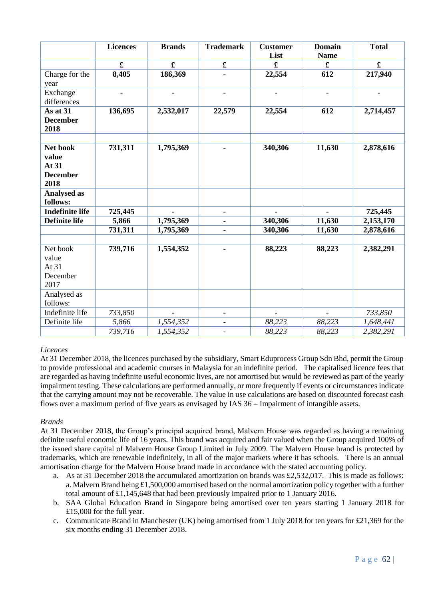|                        | <b>Licences</b>      | <b>Brands</b> | <b>Trademark</b>         | <b>Customer</b><br>List | <b>Domain</b><br><b>Name</b> | <b>Total</b> |
|------------------------|----------------------|---------------|--------------------------|-------------------------|------------------------------|--------------|
|                        | $\pmb{\mathfrak{L}}$ | $\mathbf f$   | $\pmb{\mathfrak{L}}$     | $\pmb{\mathfrak{L}}$    | £                            | $\mathbf f$  |
| Charge for the         | 8,405                | 186,369       |                          | 22,554                  | 612                          | 217,940      |
| year                   |                      |               |                          |                         |                              |              |
| Exchange               |                      |               |                          | ٠                       |                              |              |
| differences            |                      |               |                          |                         |                              |              |
| As at 31               | 136,695              | 2,532,017     | 22,579                   | 22,554                  | 612                          | 2,714,457    |
| <b>December</b>        |                      |               |                          |                         |                              |              |
| 2018                   |                      |               |                          |                         |                              |              |
|                        |                      |               |                          |                         |                              |              |
| Net book               | 731,311              | 1,795,369     |                          | 340,306                 | 11,630                       | 2,878,616    |
| value                  |                      |               |                          |                         |                              |              |
| At 31                  |                      |               |                          |                         |                              |              |
| <b>December</b>        |                      |               |                          |                         |                              |              |
| 2018                   |                      |               |                          |                         |                              |              |
| <b>Analysed as</b>     |                      |               |                          |                         |                              |              |
| follows:               |                      |               |                          |                         |                              |              |
| <b>Indefinite life</b> | 725,445              |               | ۰.                       |                         |                              | 725,445      |
| <b>Definite life</b>   | 5,866                | 1,795,369     |                          | 340,306                 | 11,630                       | 2,153,170    |
|                        | 731,311              | 1,795,369     |                          | 340,306                 | 11,630                       | 2,878,616    |
| Net book               | 739,716              | 1,554,352     |                          | 88,223                  | 88,223                       | 2,382,291    |
| value                  |                      |               |                          |                         |                              |              |
| At 31                  |                      |               |                          |                         |                              |              |
| December               |                      |               |                          |                         |                              |              |
| 2017                   |                      |               |                          |                         |                              |              |
| Analysed as            |                      |               |                          |                         |                              |              |
| follows:               |                      |               |                          |                         |                              |              |
| Indefinite life        | 733,850              |               | $\overline{\phantom{a}}$ |                         |                              | 733,850      |
| Definite life          | 5,866                | 1,554,352     | $\overline{\phantom{a}}$ | 88,223                  | 88,223                       | 1,648,441    |
|                        | 739,716              | 1,554,352     |                          | 88,223                  | 88,223                       | 2,382,291    |

### *Licences*

At 31 December 2018, the licences purchased by the subsidiary, Smart Eduprocess Group Sdn Bhd, permit the Group to provide professional and academic courses in Malaysia for an indefinite period. The capitalised licence fees that are regarded as having indefinite useful economic lives, are not amortised but would be reviewed as part of the yearly impairment testing. These calculations are performed annually, or more frequently if events or circumstances indicate that the carrying amount may not be recoverable. The value in use calculations are based on discounted forecast cash flows over a maximum period of five years as envisaged by IAS 36 – Impairment of intangible assets.

#### *Brands*

At 31 December 2018, the Group's principal acquired brand, Malvern House was regarded as having a remaining definite useful economic life of 16 years. This brand was acquired and fair valued when the Group acquired 100% of the issued share capital of Malvern House Group Limited in July 2009. The Malvern House brand is protected by trademarks, which are renewable indefinitely, in all of the major markets where it has schools. There is an annual amortisation charge for the Malvern House brand made in accordance with the stated accounting policy.

- a. As at 31 December 2018 the accumulated amortization on brands was £2,532,017. This is made as follows: a. Malvern Brand being £1,500,000 amortised based on the normal amortization policy together with a further total amount of £1,145,648 that had been previously impaired prior to 1 January 2016.
- b. SAA Global Education Brand in Singapore being amortised over ten years starting 1 January 2018 for £15,000 for the full year.
- c. Communicate Brand in Manchester (UK) being amortised from 1 July 2018 for ten years for £21,369 for the six months ending 31 December 2018.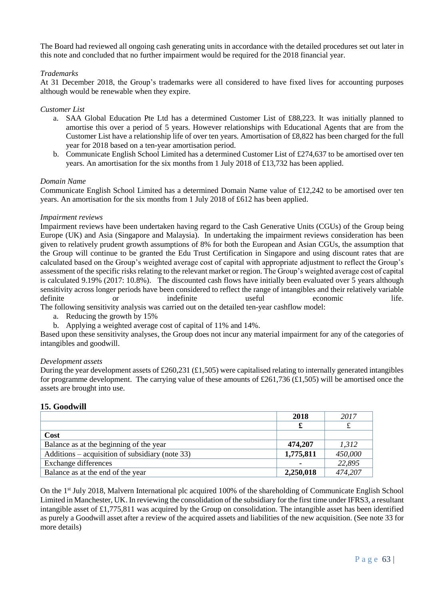The Board had reviewed all ongoing cash generating units in accordance with the detailed procedures set out later in this note and concluded that no further impairment would be required for the 2018 financial year.

#### *Trademarks*

At 31 December 2018, the Group's trademarks were all considered to have fixed lives for accounting purposes although would be renewable when they expire.

#### *Customer List*

- a. SAA Global Education Pte Ltd has a determined Customer List of £88,223. It was initially planned to amortise this over a period of 5 years. However relationships with Educational Agents that are from the Customer List have a relationship life of over ten years. Amortisation of £8,822 has been charged for the full year for 2018 based on a ten-year amortisation period.
- b. Communicate English School Limited has a determined Customer List of £274,637 to be amortised over ten years. An amortisation for the six months from 1 July 2018 of £13,732 has been applied.

#### *Domain Name*

Communicate English School Limited has a determined Domain Name value of £12,242 to be amortised over ten years. An amortisation for the six months from 1 July 2018 of £612 has been applied.

#### *Impairment reviews*

Impairment reviews have been undertaken having regard to the Cash Generative Units (CGUs) of the Group being Europe (UK) and Asia (Singapore and Malaysia). In undertaking the impairment reviews consideration has been given to relatively prudent growth assumptions of 8% for both the European and Asian CGUs, the assumption that the Group will continue to be granted the Edu Trust Certification in Singapore and using discount rates that are calculated based on the Group's weighted average cost of capital with appropriate adjustment to reflect the Group's assessment of the specific risks relating to the relevant market or region. The Group's weighted average cost of capital is calculated 9.19% (2017: 10.8%). The discounted cash flows have initially been evaluated over 5 years although sensitivity across longer periods have been considered to reflect the range of intangibles and their relatively variable definite or indefinite useful economic life.

The following sensitivity analysis was carried out on the detailed ten-year cashflow model:

- a. Reducing the growth by 15%
- b. Applying a weighted average cost of capital of 11% and 14%.

Based upon these sensitivity analyses, the Group does not incur any material impairment for any of the categories of intangibles and goodwill.

#### *Development assets*

During the year development assets of £260,231 (£1,505) were capitalised relating to internally generated intangibles for programme development. The carrying value of these amounts of £261,736 (£1,505) will be amortised once the assets are brought into use.

#### **15. Goodwill**

|                                                 | 2018           | 2017    |
|-------------------------------------------------|----------------|---------|
|                                                 |                |         |
| Cost                                            |                |         |
| Balance as at the beginning of the year         | 474,207        | 1,312   |
| Additions – acquisition of subsidiary (note 33) | 1,775,811      | 450,000 |
| Exchange differences                            | $\blacksquare$ | 22,895  |
| Balance as at the end of the year               | 2,250,018      | 474,207 |

On the 1<sup>st</sup> July 2018, Malvern International plc acquired 100% of the shareholding of Communicate English School Limited in Manchester, UK. In reviewing the consolidation of the subsidiary for the first time under IFRS3, a resultant intangible asset of £1,775,811 was acquired by the Group on consolidation. The intangible asset has been identified as purely a Goodwill asset after a review of the acquired assets and liabilities of the new acquisition. (See note 33 for more details)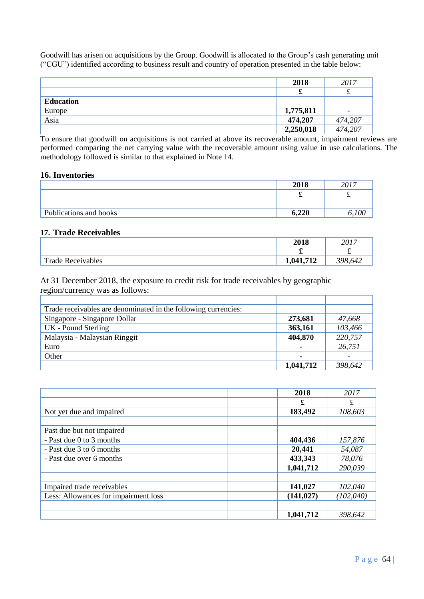Goodwill has arisen on acquisitions by the Group. Goodwill is allocated to the Group's cash generating unit ("CGU") identified according to business result and country of operation presented in the table below:

|                  | 2018      | 2017                     |
|------------------|-----------|--------------------------|
|                  | ക         | ىە                       |
| <b>Education</b> |           |                          |
| Europe           | 1,775,811 | $\overline{\phantom{0}}$ |
| Asia             | 474,207   | 474,207                  |
|                  | 2,250,018 | 474,207                  |

To ensure that goodwill on acquisitions is not carried at above its recoverable amount, impairment reviews are performed comparing the net carrying value with the recoverable amount using value in use calculations. The methodology followed is similar to that explained in Note 14.

#### **16. Inventories**

|                        | 2018  | 2017 |
|------------------------|-------|------|
|                        |       |      |
|                        |       |      |
| Publications and books | 6,220 |      |

### **17. Trade Receivables**

|                          | 2018     | 2017    |
|--------------------------|----------|---------|
|                          | ÷.       | ÷       |
| <b>Trade Receivables</b> | ,041,712 | 398,642 |

At 31 December 2018, the exposure to credit risk for trade receivables by geographic region/currency was as follows:

| Trade receivables are denominated in the following currencies: |                |         |
|----------------------------------------------------------------|----------------|---------|
| Singapore - Singapore Dollar                                   | 273,681        | 47,668  |
| UK - Pound Sterling                                            | 363,161        | 103,466 |
| Malaysia - Malaysian Ringgit                                   | 404,870        | 220,757 |
| Euro                                                           | $\blacksquare$ | 26,751  |
| Other                                                          |                |         |
|                                                                | 1,041,712      | 398,642 |

|                                      | 2018       | 2017       |
|--------------------------------------|------------|------------|
|                                      | £          | £          |
| Not yet due and impaired             | 183,492    | 108,603    |
|                                      |            |            |
| Past due but not impaired            |            |            |
| - Past due 0 to 3 months             | 404,436    | 157,876    |
| - Past due 3 to 6 months             | 20,441     | 54,087     |
| - Past due over 6 months             | 433,343    | 78,076     |
|                                      | 1,041,712  | 290,039    |
|                                      |            |            |
| Impaired trade receivables           | 141,027    | 102,040    |
| Less: Allowances for impairment loss | (141, 027) | (102, 040) |
|                                      |            |            |
|                                      | 1,041,712  | 398,642    |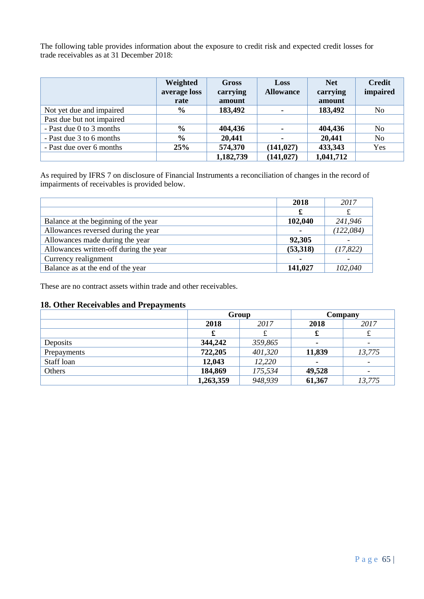The following table provides information about the exposure to credit risk and expected credit losses for trade receivables as at 31 December 2018:

|                           | Weighted<br>average loss<br>rate | Gross<br>carrying<br>amount | Loss<br><b>Allowance</b> | <b>Net</b><br>carrying<br>amount | <b>Credit</b><br>impaired |
|---------------------------|----------------------------------|-----------------------------|--------------------------|----------------------------------|---------------------------|
| Not yet due and impaired  | $\frac{6}{9}$                    | 183,492                     |                          | 183,492                          | No                        |
| Past due but not impaired |                                  |                             |                          |                                  |                           |
| - Past due 0 to 3 months  | $\frac{0}{0}$                    | 404,436                     |                          | 404,436                          | No                        |
| - Past due 3 to 6 months  | $\frac{0}{0}$                    | 20,441                      |                          | 20,441                           | No                        |
| - Past due over 6 months  | 25%                              | 574,370                     | (141, 027)               | 433,343                          | Yes                       |
|                           |                                  | 1,182,739                   | (141, 027)               | 1,041,712                        |                           |

As required by IFRS 7 on disclosure of Financial Instruments a reconciliation of changes in the record of impairments of receivables is provided below.

|                                        | 2018           | 2017       |
|----------------------------------------|----------------|------------|
|                                        | £              |            |
| Balance at the beginning of the year   | 102,040        | 241,946    |
| Allowances reversed during the year    | $\blacksquare$ | (122, 084) |
| Allowances made during the year        | 92,305         |            |
| Allowances written-off during the year | (53,318)       | (17, 822)  |
| Currency realignment                   |                |            |
| Balance as at the end of the year      | 141,027        | 102,040    |

These are no contract assets within trade and other receivables.

## **18. Other Receivables and Prepayments**

| . .         |           | Group   |        | Company |
|-------------|-----------|---------|--------|---------|
|             | 2018      | 2017    |        | 2017    |
|             | £         | ىد      | t.     | ىد      |
| Deposits    | 344,242   | 359,865 |        |         |
| Prepayments | 722,205   | 401,320 | 11,839 | 13,775  |
| Staff loan  | 12,043    | 12,220  |        |         |
| Others      | 184,869   | 175,534 | 49,528 |         |
|             | 1,263,359 | 948,939 | 61,367 | 13,775  |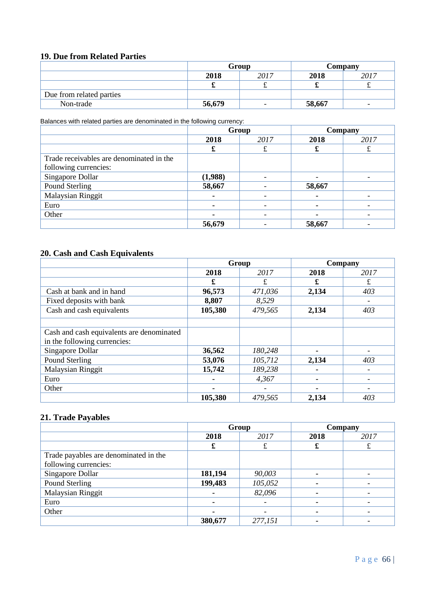## **19. Due from Related Parties**

|                          | Group        |                          |        | Company |
|--------------------------|--------------|--------------------------|--------|---------|
|                          | 2018<br>2017 |                          | 2018   | 2017    |
|                          | ഄ            | $\sim$                   | ÷      | $\sim$  |
| Due from related parties |              |                          |        |         |
| Non-trade                | 56,679       | $\overline{\phantom{0}}$ | 58,667 | -       |

Balances with related parties are denominated in the following currency:

|                                          | Group          |      |        | Company |
|------------------------------------------|----------------|------|--------|---------|
|                                          | 2018           | 2017 | 2018   | 2017    |
|                                          | £              |      |        |         |
| Trade receivables are denominated in the |                |      |        |         |
| following currencies:                    |                |      |        |         |
| Singapore Dollar                         | (1,988)        |      |        |         |
| Pound Sterling                           | 58,667         |      | 58,667 |         |
| Malaysian Ringgit                        | $\blacksquare$ |      |        |         |
| Euro                                     | ۰              |      |        |         |
| Other                                    |                |      |        |         |
|                                          | 56,679         |      | 58,667 |         |

## **20. Cash and Cash Equivalents**

|                                           | Group   |         |       | Company |
|-------------------------------------------|---------|---------|-------|---------|
|                                           | 2018    | 2017    | 2018  | 2017    |
|                                           | £       | £       | £     | £       |
| Cash at bank and in hand                  | 96,573  | 471,036 | 2,134 | 403     |
| Fixed deposits with bank                  | 8,807   | 8,529   |       |         |
| Cash and cash equivalents                 | 105,380 | 479,565 | 2,134 | 403     |
|                                           |         |         |       |         |
| Cash and cash equivalents are denominated |         |         |       |         |
| in the following currencies:              |         |         |       |         |
| Singapore Dollar                          | 36,562  | 180,248 |       |         |
| Pound Sterling                            | 53,076  | 105,712 | 2,134 | 403     |
| <b>Malaysian Ringgit</b>                  | 15,742  | 189,238 |       |         |
| Euro                                      |         | 4,367   |       |         |
| Other                                     | ۰       |         |       |         |
|                                           | 105,380 | 479,565 | 2,134 | 403     |

## **21. Trade Payables**

|                                       | Group          |         |      | Company |
|---------------------------------------|----------------|---------|------|---------|
|                                       | 2018<br>2017   |         | 2018 | 2017    |
|                                       | £              |         | £    |         |
| Trade payables are denominated in the |                |         |      |         |
| following currencies:                 |                |         |      |         |
| Singapore Dollar                      | 181,194        | 90,003  |      |         |
| Pound Sterling                        | 199,483        | 105,052 |      |         |
| Malaysian Ringgit                     | ۰              | 82,096  |      |         |
| Euro                                  | $\blacksquare$ |         |      |         |
| Other                                 |                |         |      |         |
|                                       | 380,677        | 277,151 |      |         |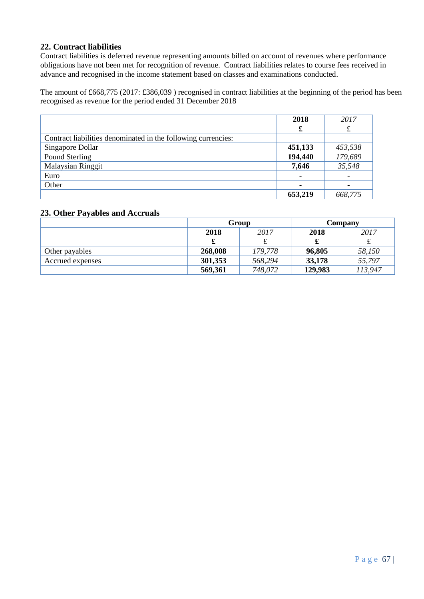## **22. Contract liabilities**

Contract liabilities is deferred revenue representing amounts billed on account of revenues where performance obligations have not been met for recognition of revenue. Contract liabilities relates to course fees received in advance and recognised in the income statement based on classes and examinations conducted.

The amount of £668,775 (2017: £386,039 ) recognised in contract liabilities at the beginning of the period has been recognised as revenue for the period ended 31 December 2018

|                                                               | 2018    | 2017    |
|---------------------------------------------------------------|---------|---------|
|                                                               | £       |         |
| Contract liabilities denominated in the following currencies: |         |         |
| Singapore Dollar                                              | 451,133 | 453,538 |
| Pound Sterling                                                | 194,440 | 179,689 |
| <b>Malaysian Ringgit</b>                                      | 7,646   | 35,548  |
| Euro                                                          | ۰       |         |
| Other                                                         | ۰       |         |
|                                                               | 653,219 | 668,775 |

### **23. Other Payables and Accruals**

|                  | Group   |         | Company |         |  |
|------------------|---------|---------|---------|---------|--|
|                  | 2018    | 2017    | 2018    | 2017    |  |
|                  | æ       |         |         |         |  |
| Other payables   | 268,008 | 179,778 | 96,805  | 58,150  |  |
| Accrued expenses | 301,353 | 568,294 | 33,178  | 55,797  |  |
|                  | 569,361 | 748,072 | 129,983 | 113,947 |  |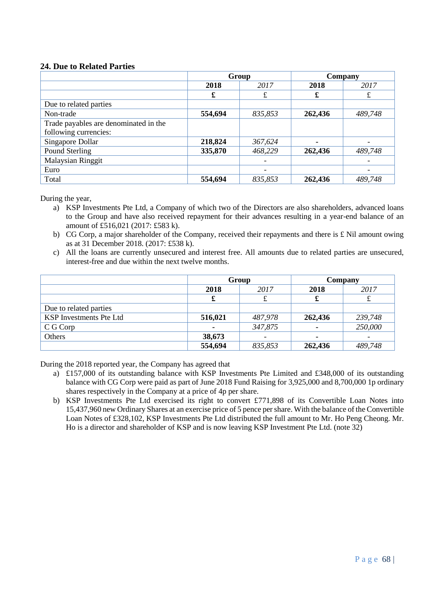## **24. Due to Related Parties**

|                                       | Group   |         |         | Company |
|---------------------------------------|---------|---------|---------|---------|
|                                       | 2018    | 2017    | 2018    | 2017    |
|                                       | £       | £       | £       | £       |
| Due to related parties                |         |         |         |         |
| Non-trade                             | 554,694 | 835,853 | 262,436 | 489,748 |
| Trade payables are denominated in the |         |         |         |         |
| following currencies:                 |         |         |         |         |
| Singapore Dollar                      | 218,824 | 367,624 | ۰       |         |
| Pound Sterling                        | 335,870 | 468,229 | 262,436 | 489,748 |
| <b>Malaysian Ringgit</b>              |         |         |         |         |
| Euro                                  |         |         |         |         |
| Total                                 | 554,694 | 835,853 | 262,436 | 489,748 |

During the year,

- a) KSP Investments Pte Ltd, a Company of which two of the Directors are also shareholders, advanced loans to the Group and have also received repayment for their advances resulting in a year-end balance of an amount of £516,021 (2017: £583 k).
- b) CG Corp, a major shareholder of the Company, received their repayments and there is £ Nil amount owing as at 31 December 2018. (2017: £538 k).
- c) All the loans are currently unsecured and interest free. All amounts due to related parties are unsecured, interest-free and due within the next twelve months.

|                                | Group          |         |         | Company |  |
|--------------------------------|----------------|---------|---------|---------|--|
|                                | 2018           | 2017    | 2018    | 2017    |  |
|                                | x              | ىمە     | T       |         |  |
| Due to related parties         |                |         |         |         |  |
| <b>KSP</b> Investments Pte Ltd | 516,021        | 487,978 | 262,436 | 239,748 |  |
| C G Corp                       | $\blacksquare$ | 347,875 |         | 250,000 |  |
| Others                         | 38,673         |         |         |         |  |
|                                | 554,694        | 835,853 | 262,436 | 489,748 |  |

During the 2018 reported year, the Company has agreed that

- a) £157,000 of its outstanding balance with KSP Investments Pte Limited and £348,000 of its outstanding balance with CG Corp were paid as part of June 2018 Fund Raising for 3,925,000 and 8,700,000 1p ordinary shares respectively in the Company at a price of 4p per share.
- b) KSP Investments Pte Ltd exercised its right to convert £771,898 of its Convertible Loan Notes into 15,437,960 new Ordinary Shares at an exercise price of 5 pence per share. With the balance of the Convertible Loan Notes of £328,102, KSP Investments Pte Ltd distributed the full amount to Mr. Ho Peng Cheong. Mr. Ho is a director and shareholder of KSP and is now leaving KSP Investment Pte Ltd. (note 32)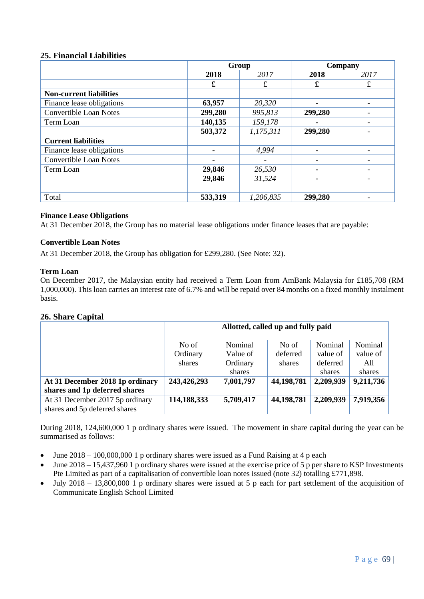#### **25. Financial Liabilities**

|                                | Group   |           |                | Company |
|--------------------------------|---------|-----------|----------------|---------|
|                                | 2018    | 2017      | 2018           | 2017    |
|                                | £       | £         | £              | £       |
| <b>Non-current liabilities</b> |         |           |                |         |
| Finance lease obligations      | 63,957  | 20,320    | ۰              |         |
| <b>Convertible Loan Notes</b>  | 299,280 | 995,813   | 299,280        |         |
| Term Loan                      | 140,135 | 159,178   | ۰              |         |
|                                | 503,372 | 1,175,311 | 299,280        |         |
| <b>Current liabilities</b>     |         |           |                |         |
| Finance lease obligations      | ۰       | 4,994     | $\blacksquare$ |         |
| <b>Convertible Loan Notes</b>  |         |           | $\blacksquare$ |         |
| Term Loan                      | 29,846  | 26,530    |                |         |
|                                | 29,846  | 31,524    |                |         |
|                                |         |           |                |         |
| Total                          | 533,319 | 1,206,835 | 299,280        |         |

#### **Finance Lease Obligations**

At 31 December 2018, the Group has no material lease obligations under finance leases that are payable:

#### **Convertible Loan Notes**

At 31 December 2018, the Group has obligation for £299,280. (See Note: 32).

#### **Term Loan**

On December 2017, the Malaysian entity had received a Term Loan from AmBank Malaysia for £185,708 (RM 1,000,000). This loan carries an interest rate of 6.7% and will be repaid over 84 months on a fixed monthly instalment basis.

### **26. Share Capital**

|                                                                  | Allotted, called up and fully paid |                     |                   |                     |                     |
|------------------------------------------------------------------|------------------------------------|---------------------|-------------------|---------------------|---------------------|
|                                                                  | No of<br>Ordinary                  | Nominal<br>Value of | No of<br>deferred | Nominal<br>value of | Nominal<br>value of |
|                                                                  | shares                             | Ordinary<br>shares  | shares            | deferred<br>shares  | All<br>shares       |
| At 31 December 2018 1p ordinary                                  | 243,426,293                        | 7,001,797           | 44,198,781        | 2,209,939           | 9,211,736           |
| shares and 1p deferred shares                                    |                                    |                     |                   |                     |                     |
| At 31 December 2017 5p ordinary<br>shares and 5p deferred shares | 114,188,333                        | 5,709,417           | 44,198,781        | 2,209,939           | 7,919,356           |

During 2018, 124,600,000 1 p ordinary shares were issued. The movement in share capital during the year can be summarised as follows:

- June  $2018 100,000,0001$  p ordinary shares were issued as a Fund Raising at 4 p each
- June  $2018 15,437,960$  1 p ordinary shares were issued at the exercise price of 5 p per share to KSP Investments Pte Limited as part of a capitalisation of convertible loan notes issued (note 32) totalling £771,898.
- July 2018 13,800,000 1 p ordinary shares were issued at 5 p each for part settlement of the acquisition of Communicate English School Limited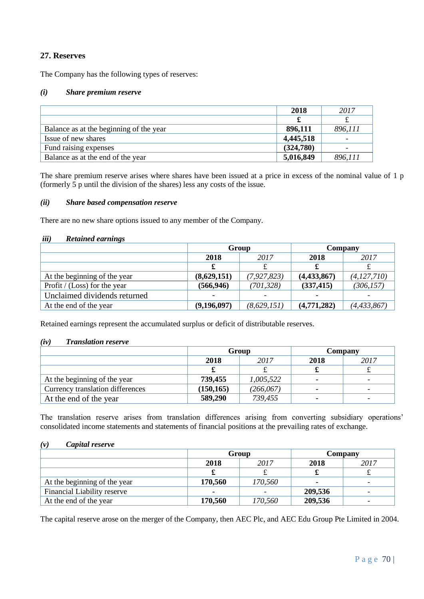## **27. Reserves**

The Company has the following types of reserves:

#### *(i) Share premium reserve*

|                                         | 2018      | 2017    |
|-----------------------------------------|-----------|---------|
|                                         |           |         |
| Balance as at the beginning of the year | 896,111   | 896,111 |
| Issue of new shares                     | 4,445,518 |         |
| Fund raising expenses                   | (324,780) |         |
| Balance as at the end of the year       | 5,016,849 | 896,111 |

The share premium reserve arises where shares have been issued at a price in excess of the nominal value of 1 p (formerly 5 p until the division of the shares) less any costs of the issue.

#### *(ii) Share based compensation reserve*

There are no new share options issued to any member of the Company.

#### *iii) Retained earnings*

|                              | Group          |                          | Company        |                          |
|------------------------------|----------------|--------------------------|----------------|--------------------------|
|                              | 2018           | 2017                     | 2018           | 2017                     |
|                              |                |                          | £              |                          |
| At the beginning of the year | (8,629,151)    | (7, 927, 823)            | (4,433,867)    | (4, 127, 710)            |
| Profit / (Loss) for the year | (566, 946)     | (701, 328)               | (337, 415)     | (306, 157)               |
| Unclaimed dividends returned | $\blacksquare$ | $\overline{\phantom{0}}$ | $\blacksquare$ | $\overline{\phantom{0}}$ |
| At the end of the year       | (9,196,097)    | (8,629,151)              | (4,771,282)    | (4, 433, 867)            |

Retained earnings represent the accumulated surplus or deficit of distributable reserves.

#### *(iv) Translation reserve*

|                                  | Group      |            | Company |      |
|----------------------------------|------------|------------|---------|------|
|                                  | 2018       | 2017       | 2018    | 2017 |
|                                  |            |            | ഄ       |      |
| At the beginning of the year     | 739,455    | 1,005,522  | $\sim$  |      |
| Currency translation differences | (150, 165) | (266, 067) | ۰.      |      |
| At the end of the year           | 589,290    | 739,455    |         | -    |

The translation reserve arises from translation differences arising from converting subsidiary operations' consolidated income statements and statements of financial positions at the prevailing rates of exchange.

#### *(v) Capital reserve*

|                                    | Group   |         | Company |      |
|------------------------------------|---------|---------|---------|------|
|                                    | 2018    | 2017    | 2018    | 2017 |
|                                    |         |         |         |      |
| At the beginning of the year       | 170,560 | 170,560 |         |      |
| <b>Financial Liability reserve</b> | ۰       |         | 209,536 |      |
| At the end of the year             | 170,560 | 170,560 | 209,536 |      |

The capital reserve arose on the merger of the Company, then AEC Plc, and AEC Edu Group Pte Limited in 2004.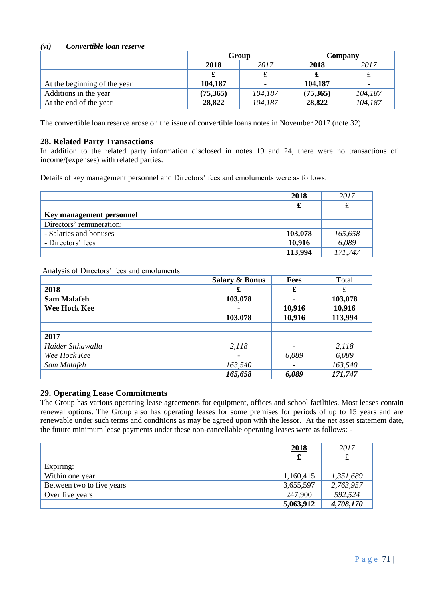## *(vi) Convertible loan reserve*

|                              | Group    |                          | Company  |         |
|------------------------------|----------|--------------------------|----------|---------|
|                              | 2018     | 2017                     | 2018     | 2017    |
|                              |          |                          |          |         |
| At the beginning of the year | 104,187  | $\overline{\phantom{0}}$ | 104,187  |         |
| Additions in the year        | (75,365) | 104,187                  | (75,365) | 104,187 |
| At the end of the year       | 28,822   | 104,187                  | 28,822   | 104,187 |

The convertible loan reserve arose on the issue of convertible loans notes in November 2017 (note 32)

# **28. Related Party Transactions**

In addition to the related party information disclosed in notes 19 and 24, there were no transactions of income/(expenses) with related parties.

Details of key management personnel and Directors' fees and emoluments were as follows:

|                          | 2018    | 2017    |
|--------------------------|---------|---------|
|                          |         |         |
| Key management personnel |         |         |
| Directors' remuneration: |         |         |
| - Salaries and bonuses   | 103,078 | 165,658 |
| - Directors' fees        | 10,916  | 6,089   |
|                          | 113,994 | 171,747 |

Analysis of Directors' fees and emoluments:

|                    | <b>Salary &amp; Bonus</b> | Fees   | Total   |
|--------------------|---------------------------|--------|---------|
| 2018               | £                         | £      | £       |
| <b>Sam Malafeh</b> | 103,078                   |        | 103,078 |
| Wee Hock Kee       | ۰                         | 10,916 | 10,916  |
|                    | 103,078                   | 10,916 | 113,994 |
|                    |                           |        |         |
| 2017               |                           |        |         |
| Haider Sithawalla  | 2,118                     |        | 2,118   |
| Wee Hock Kee       |                           | 6,089  | 6,089   |
| Sam Malafeh        | 163,540                   |        | 163,540 |
|                    | 165,658                   | 6,089  | 171,747 |

# **29. Operating Lease Commitments**

The Group has various operating lease agreements for equipment, offices and school facilities. Most leases contain renewal options. The Group also has operating leases for some premises for periods of up to 15 years and are renewable under such terms and conditions as may be agreed upon with the lessor. At the net asset statement date, the future minimum lease payments under these non-cancellable operating leases were as follows: -

|                           | <u>2018</u> | 2017      |
|---------------------------|-------------|-----------|
|                           | £           |           |
| Expiring:                 |             |           |
| Within one year           | 1,160,415   | 1,351,689 |
| Between two to five years | 3,655,597   | 2,763,957 |
| Over five years           | 247,900     | 592,524   |
|                           | 5,063,912   | 4,708,170 |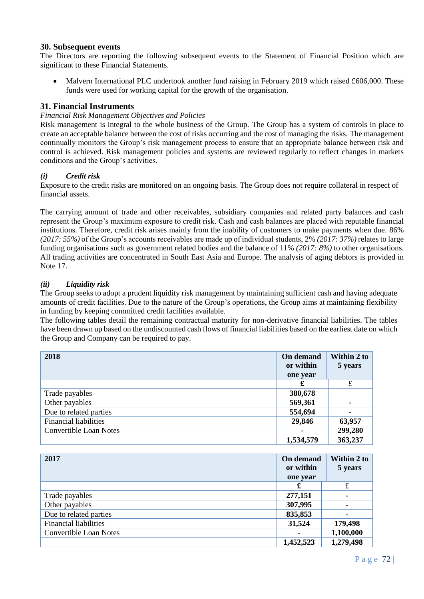## **30. Subsequent events**

The Directors are reporting the following subsequent events to the Statement of Financial Position which are significant to these Financial Statements.

• Malvern International PLC undertook another fund raising in February 2019 which raised £606,000. These funds were used for working capital for the growth of the organisation.

## **31. Financial Instruments**

#### *Financial Risk Management Objectives and Policies*

Risk management is integral to the whole business of the Group. The Group has a system of controls in place to create an acceptable balance between the cost of risks occurring and the cost of managing the risks. The management continually monitors the Group's risk management process to ensure that an appropriate balance between risk and control is achieved. Risk management policies and systems are reviewed regularly to reflect changes in markets conditions and the Group's activities.

## *(i) Credit risk*

Exposure to the credit risks are monitored on an ongoing basis. The Group does not require collateral in respect of financial assets.

The carrying amount of trade and other receivables, subsidiary companies and related party balances and cash represent the Group's maximum exposure to credit risk. Cash and cash balances are placed with reputable financial institutions. Therefore, credit risk arises mainly from the inability of customers to make payments when due. 86% *(2017: 55%)* of the Group's accounts receivables are made up of individual students, 2% *(2017: 37%)* relates to large funding organisations such as government related bodies and the balance of 11% *(2017: 8%)* to other organisations. All trading activities are concentrated in South East Asia and Europe. The analysis of aging debtors is provided in Note 17.

## *(ii) Liquidity risk*

The Group seeks to adopt a prudent liquidity risk management by maintaining sufficient cash and having adequate amounts of credit facilities. Due to the nature of the Group's operations, the Group aims at maintaining flexibility in funding by keeping committed credit facilities available.

The following tables detail the remaining contractual maturity for non-derivative financial liabilities. The tables have been drawn up based on the undiscounted cash flows of financial liabilities based on the earliest date on which the Group and Company can be required to pay.

| 2018                          | On demand | Within 2 to |
|-------------------------------|-----------|-------------|
|                               | or within | 5 years     |
|                               | one year  |             |
|                               | x         | £           |
| Trade payables                | 380,678   |             |
| Other payables                | 569,361   |             |
| Due to related parties        | 554,694   | ۰           |
| <b>Financial liabilities</b>  | 29,846    | 63,957      |
| <b>Convertible Loan Notes</b> | ۰         | 299,280     |
|                               | 1,534,579 | 363,237     |

| 2017                          | On demand<br>or within<br>one year | Within 2 to<br>5 years |
|-------------------------------|------------------------------------|------------------------|
|                               | £                                  | £                      |
| Trade payables                | 277,151                            |                        |
| Other payables                | 307,995                            |                        |
| Due to related parties        | 835,853                            |                        |
| <b>Financial liabilities</b>  | 31,524                             | 179,498                |
| <b>Convertible Loan Notes</b> |                                    | 1,100,000              |
|                               | 1,452,523                          | 1,279,498              |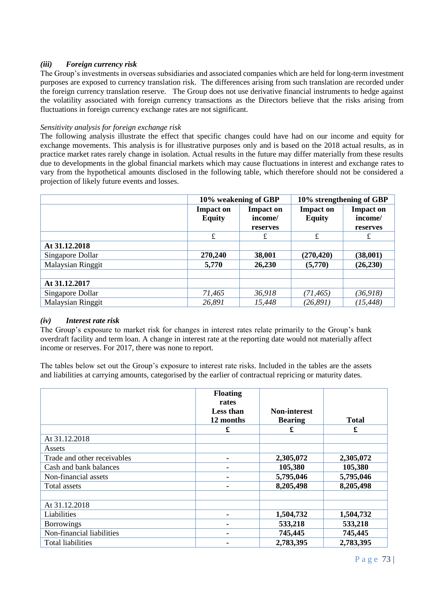# *(iii) Foreign currency risk*

The Group's investments in overseas subsidiaries and associated companies which are held for long-term investment purposes are exposed to currency translation risk. The differences arising from such translation are recorded under the foreign currency translation reserve. The Group does not use derivative financial instruments to hedge against the volatility associated with foreign currency transactions as the Directors believe that the risks arising from fluctuations in foreign currency exchange rates are not significant.

### *Sensitivity analysis for foreign exchange risk*

The following analysis illustrate the effect that specific changes could have had on our income and equity for exchange movements. This analysis is for illustrative purposes only and is based on the 2018 actual results, as in practice market rates rarely change in isolation. Actual results in the future may differ materially from these results due to developments in the global financial markets which may cause fluctuations in interest and exchange rates to vary from the hypothetical amounts disclosed in the following table, which therefore should not be considered a projection of likely future events and losses.

|                          | 10% weakening of GBP                                             |          | 10% strengthening of GBP          |                             |
|--------------------------|------------------------------------------------------------------|----------|-----------------------------------|-----------------------------|
|                          | <b>Impact on</b><br><b>Impact on</b><br><b>Equity</b><br>income/ |          | <b>Impact on</b><br><b>Equity</b> | <b>Impact on</b><br>income/ |
|                          |                                                                  | reserves |                                   | reserves                    |
|                          | £                                                                | £        | $\pounds$                         | £                           |
| At 31.12.2018            |                                                                  |          |                                   |                             |
| Singapore Dollar         | 270,240                                                          | 38,001   | (270, 420)                        | (38,001)                    |
| <b>Malaysian Ringgit</b> | 5,770                                                            | 26,230   | (5,770)                           | (26, 230)                   |
|                          |                                                                  |          |                                   |                             |
| At 31.12.2017            |                                                                  |          |                                   |                             |
| Singapore Dollar         | 71,465                                                           | 36,918   | (71, 465)                         | (36, 918)                   |
| Malaysian Ringgit        | 26,891                                                           | 15,448   | (26, 891)                         | (15, 448)                   |

#### *(iv) Interest rate risk*

The Group's exposure to market risk for changes in interest rates relate primarily to the Group's bank overdraft facility and term loan. A change in interest rate at the reporting date would not materially affect income or reserves. For 2017, there was none to report.

The tables below set out the Group's exposure to interest rate risks. Included in the tables are the assets and liabilities at carrying amounts, categorised by the earlier of contractual repricing or maturity dates.

|                             | <b>Floating</b><br>rates<br>Less than<br>12 months | <b>Non-interest</b><br><b>Bearing</b> | <b>Total</b> |
|-----------------------------|----------------------------------------------------|---------------------------------------|--------------|
|                             | £                                                  | £                                     | £            |
| At 31.12.2018               |                                                    |                                       |              |
| Assets                      |                                                    |                                       |              |
| Trade and other receivables | $\qquad \qquad$                                    | 2,305,072                             | 2,305,072    |
| Cash and bank balances      |                                                    | 105,380                               | 105,380      |
| Non-financial assets        |                                                    | 5,795,046                             | 5,795,046    |
| Total assets                | $\blacksquare$                                     | 8,205,498                             | 8,205,498    |
| At 31.12.2018               |                                                    |                                       |              |
| Liabilities                 | $\qquad \qquad$                                    | 1,504,732                             | 1,504,732    |
| <b>Borrowings</b>           | $\qquad \qquad$                                    | 533,218                               | 533,218      |
| Non-financial liabilities   | $\qquad \qquad$                                    | 745,445                               | 745,445      |
| <b>Total liabilities</b>    |                                                    | 2,783,395                             | 2,783,395    |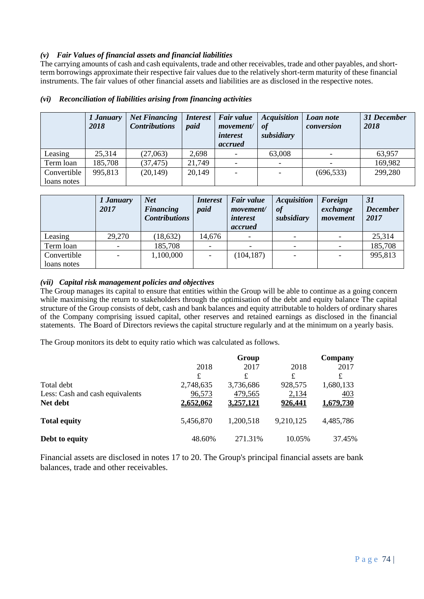## *(v) Fair Values of financial assets and financial liabilities*

The carrying amounts of cash and cash equivalents, trade and other receivables, trade and other payables, and shortterm borrowings approximate their respective fair values due to the relatively short-term maturity of these financial instruments. The fair values of other financial assets and liabilities are as disclosed in the respective notes.

|             | 1 January<br>2018 | <b>Net Financing</b><br><b>Contributions</b> | <i>Interest</i><br>paid | Fair value<br>movement/<br><i>interest</i><br>accrued | <b>Acquisition</b><br>0f<br>subsidiary | Loan note<br>conversion | 31 December<br>2018 |
|-------------|-------------------|----------------------------------------------|-------------------------|-------------------------------------------------------|----------------------------------------|-------------------------|---------------------|
| Leasing     | 25,314            | (27,063)                                     | 2,698                   |                                                       | 63,008                                 |                         | 63,957              |
| Term loan   | 185,708           | (37, 475)                                    | 21,749                  |                                                       |                                        |                         | 169,982             |
| Convertible | 995,813           | (20, 149)                                    | 20,149                  |                                                       |                                        | (696, 533)              | 299,280             |
| loans notes |                   |                                              |                         |                                                       |                                        |                         |                     |

## *(vi) Reconciliation of liabilities arising from financing activities*

|             | 1 January<br>2017 | <b>Net</b><br><b>Financing</b><br><b>Contributions</b> | <i>Interest</i><br>paid | Fair value<br><i>movement</i><br><i>interest</i><br>accrued | <b>Acquisition</b><br>ot<br>subsidiary | Foreign<br>exchange<br>movement | <b>31</b><br><b>December</b><br>2017 |
|-------------|-------------------|--------------------------------------------------------|-------------------------|-------------------------------------------------------------|----------------------------------------|---------------------------------|--------------------------------------|
| Leasing     | 29,270            | (18, 632)                                              | 14,676                  |                                                             |                                        |                                 | 25,314                               |
| Term loan   |                   | 185,708                                                |                         |                                                             |                                        |                                 | 185,708                              |
| Convertible |                   | 1,100,000                                              |                         | (104, 187)                                                  |                                        |                                 | 995,813                              |
| loans notes |                   |                                                        |                         |                                                             |                                        |                                 |                                      |

## *(vii) Capital risk management policies and objectives*

The Group manages its capital to ensure that entities within the Group will be able to continue as a going concern while maximising the return to stakeholders through the optimisation of the debt and equity balance The capital structure of the Group consists of debt, cash and bank balances and equity attributable to holders of ordinary shares of the Company comprising issued capital, other reserves and retained earnings as disclosed in the financial statements. The Board of Directors reviews the capital structure regularly and at the minimum on a yearly basis.

The Group monitors its debt to equity ratio which was calculated as follows.

|                                 |           | Group     |           | Company   |
|---------------------------------|-----------|-----------|-----------|-----------|
|                                 | 2018      | 2017      | 2018      | 2017      |
|                                 | £         | £         | £         | £         |
| Total debt                      | 2,748,635 | 3,736,686 | 928,575   | 1,680,133 |
| Less: Cash and cash equivalents | 96,573    | 479,565   | 2,134     | 403       |
| Net debt                        | 2.652.062 | 3.257.121 | 926.441   | 1.679.730 |
| <b>Total equity</b>             | 5,456,870 | 1,200,518 | 9,210,125 | 4,485,786 |
| Debt to equity                  | 48.60%    | 271.31%   | 10.05%    | 37.45%    |

Financial assets are disclosed in notes 17 to 20. The Group's principal financial assets are bank balances, trade and other receivables.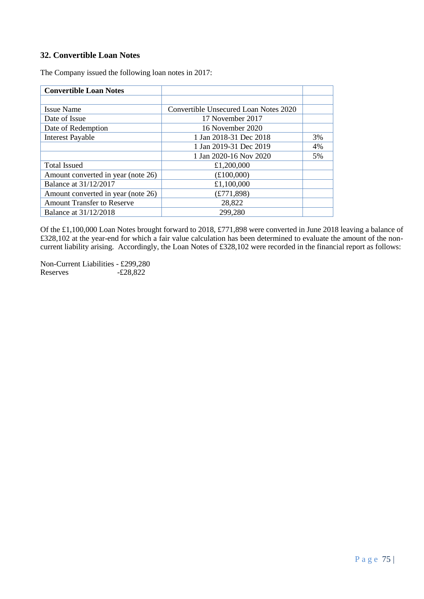# **32. Convertible Loan Notes**

The Company issued the following loan notes in 2017:

| <b>Convertible Loan Notes</b>      |                                       |    |
|------------------------------------|---------------------------------------|----|
|                                    |                                       |    |
| <b>Issue Name</b>                  | Convertible Unsecured Loan Notes 2020 |    |
| Date of Issue                      | 17 November 2017                      |    |
| Date of Redemption                 | 16 November 2020                      |    |
| <b>Interest Payable</b>            | 1 Jan 2018-31 Dec 2018                | 3% |
|                                    | 1 Jan 2019-31 Dec 2019                | 4% |
|                                    | 1 Jan 2020-16 Nov 2020                | 5% |
| <b>Total Issued</b>                | £1,200,000                            |    |
| Amount converted in year (note 26) | £100,000                              |    |
| Balance at 31/12/2017              | £1,100,000                            |    |
| Amount converted in year (note 26) | (E771,898)                            |    |
| <b>Amount Transfer to Reserve</b>  | 28,822                                |    |
| Balance at 31/12/2018              | 299,280                               |    |

Of the £1,100,000 Loan Notes brought forward to 2018, £771,898 were converted in June 2018 leaving a balance of £328,102 at the year-end for which a fair value calculation has been determined to evaluate the amount of the noncurrent liability arising. Accordingly, the Loan Notes of £328,102 were recorded in the financial report as follows:

Non-Current Liabilities - £299,280  $-E28,822$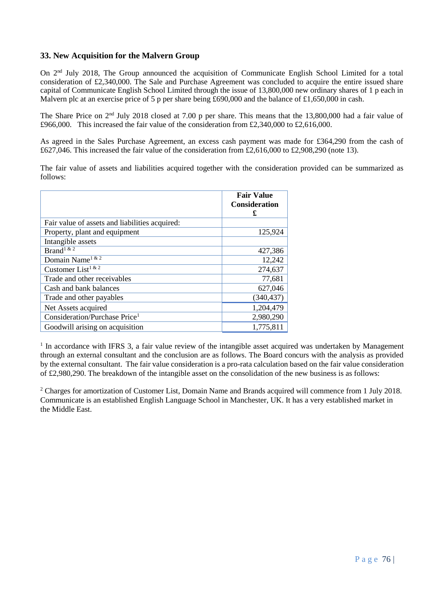## **33. New Acquisition for the Malvern Group**

On 2<sup>nd</sup> July 2018, The Group announced the acquisition of Communicate English School Limited for a total consideration of £2,340,000. The Sale and Purchase Agreement was concluded to acquire the entire issued share capital of Communicate English School Limited through the issue of 13,800,000 new ordinary shares of 1 p each in Malvern plc at an exercise price of 5 p per share being £690,000 and the balance of £1,650,000 in cash.

The Share Price on 2nd July 2018 closed at 7.00 p per share. This means that the 13,800,000 had a fair value of £966,000. This increased the fair value of the consideration from £2,340,000 to £2,616,000.

As agreed in the Sales Purchase Agreement, an excess cash payment was made for £364,290 from the cash of £627,046. This increased the fair value of the consideration from £2,616,000 to £2,908,290 (note 13).

The fair value of assets and liabilities acquired together with the consideration provided can be summarized as follows:

|                                                | <b>Fair Value</b><br><b>Consideration</b><br>£ |
|------------------------------------------------|------------------------------------------------|
| Fair value of assets and liabilities acquired: |                                                |
| Property, plant and equipment                  | 125,924                                        |
| Intangible assets                              |                                                |
| Brand <sup>1&amp;2</sup>                       | 427,386                                        |
| Domain Name <sup>1 &amp; 2</sup>               | 12,242                                         |
| Customer List <sup>1 &amp; 2</sup>             | 274,637                                        |
| Trade and other receivables                    | 77,681                                         |
| Cash and bank balances                         | 627,046                                        |
| Trade and other payables                       | (340, 437)                                     |
| Net Assets acquired                            | 1,204,479                                      |
| Consideration/Purchase Price <sup>1</sup>      | 2,980,290                                      |
| Goodwill arising on acquisition                | 1,775,811                                      |

<sup>1</sup> In accordance with IFRS 3, a fair value review of the intangible asset acquired was undertaken by Management through an external consultant and the conclusion are as follows. The Board concurs with the analysis as provided by the external consultant. The fair value consideration is a pro-rata calculation based on the fair value consideration of £2,980,290. The breakdown of the intangible asset on the consolidation of the new business is as follows:

<sup>2</sup> Charges for amortization of Customer List, Domain Name and Brands acquired will commence from 1 July 2018. Communicate is an established English Language School in Manchester, UK. It has a very established market in the Middle East.